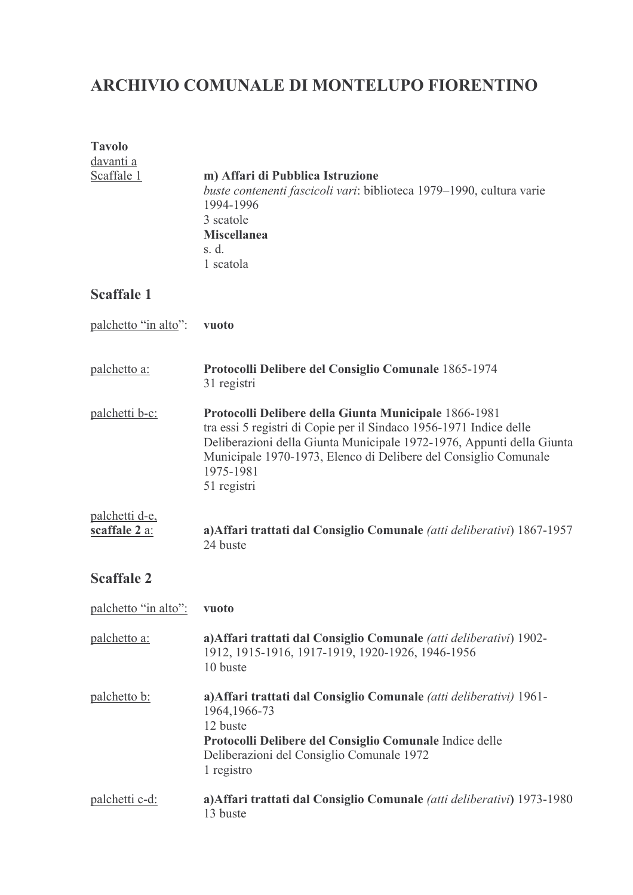# ARCHIVIO COMUNALE DI MONTELUPO FIORENTINO

| <b>Tavolo</b><br><u>davanti a</u><br>Scaffale 1 | m) Affari di Pubblica Istruzione<br>buste contenenti fascicoli vari: biblioteca 1979–1990, cultura varie                                                                                                                                                                                            |
|-------------------------------------------------|-----------------------------------------------------------------------------------------------------------------------------------------------------------------------------------------------------------------------------------------------------------------------------------------------------|
|                                                 | 1994-1996<br>3 scatole<br><b>Miscellanea</b><br>s. d.<br>1 scatola                                                                                                                                                                                                                                  |
| <b>Scaffale 1</b>                               |                                                                                                                                                                                                                                                                                                     |
| palchetto "in alto":                            | vuoto                                                                                                                                                                                                                                                                                               |
| palchetto a:                                    | Protocolli Delibere del Consiglio Comunale 1865-1974<br>31 registri                                                                                                                                                                                                                                 |
| <u>palchetti b-c:</u>                           | Protocolli Delibere della Giunta Municipale 1866-1981<br>tra essi 5 registri di Copie per il Sindaco 1956-1971 Indice delle<br>Deliberazioni della Giunta Municipale 1972-1976, Appunti della Giunta<br>Municipale 1970-1973, Elenco di Delibere del Consiglio Comunale<br>1975-1981<br>51 registri |
| palchetti d-e,<br>scaffale 2 a:                 | a) Affari trattati dal Consiglio Comunale (atti deliberativi) 1867-1957<br>24 buste                                                                                                                                                                                                                 |
| <b>Scaffale 2</b>                               |                                                                                                                                                                                                                                                                                                     |
| palchetto "in alto":                            | vuoto                                                                                                                                                                                                                                                                                               |
| palchetto a:                                    | a) Affari trattati dal Consiglio Comunale (atti deliberativi) 1902-<br>1912, 1915-1916, 1917-1919, 1920-1926, 1946-1956<br>10 buste                                                                                                                                                                 |
| palchetto b:                                    | a) Affari trattati dal Consiglio Comunale (atti deliberativi) 1961-<br>1964, 1966-73<br>12 buste<br>Protocolli Delibere del Consiglio Comunale Indice delle<br>Deliberazioni del Consiglio Comunale 1972<br>1 registro                                                                              |
| <u>palchetti c-d:</u>                           | a) Affari trattati dal Consiglio Comunale (atti deliberativi) 1973-1980<br>13 buste                                                                                                                                                                                                                 |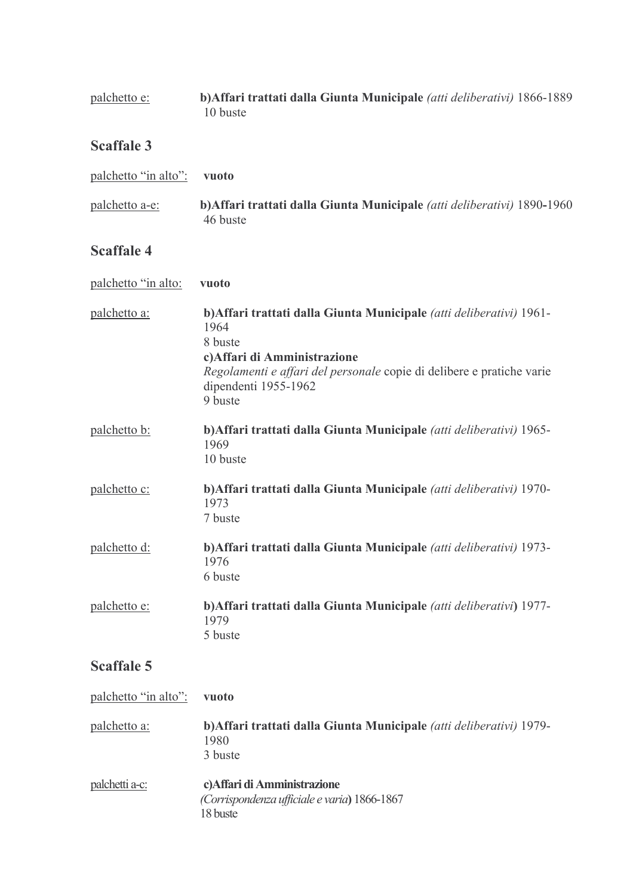| palchetto e: | b) Affari trattati dalla Giunta Municipale (atti deliberativi) 1866-1889<br>10 buste |
|--------------|--------------------------------------------------------------------------------------|
|              |                                                                                      |

# **Scaffale 3**

| palchetto "in alto": | vuoto                                                                                |
|----------------------|--------------------------------------------------------------------------------------|
| palchetto a-e:       | b) Affari trattati dalla Giunta Municipale (atti deliberativi) 1890-1960<br>46 buste |

# **Scaffale 4**

| palchetto "in alto: | vuoto                                                                                                                                                                                                                               |
|---------------------|-------------------------------------------------------------------------------------------------------------------------------------------------------------------------------------------------------------------------------------|
| palchetto a:        | b) Affari trattati dalla Giunta Municipale (atti deliberativi) 1961-<br>1964<br>8 buste<br>c) Affari di Amministrazione<br>Regolamenti e affari del personale copie di delibere e pratiche varie<br>dipendenti 1955-1962<br>9 buste |
| palchetto b:        | b) Affari trattati dalla Giunta Municipale (atti deliberativi) 1965-<br>1969<br>10 buste                                                                                                                                            |
| palchetto c:        | b) Affari trattati dalla Giunta Municipale (atti deliberativi) 1970-<br>1973<br>7 buste                                                                                                                                             |
| <u>palchetto d:</u> | b) Affari trattati dalla Giunta Municipale (atti deliberativi) 1973-<br>1976<br>6 buste                                                                                                                                             |
| palchetto e:        | b) Affari trattati dalla Giunta Municipale (atti deliberativi) 1977-<br>1979<br>5 buste                                                                                                                                             |

| palchetto "in alto": | vuoto                                                                                    |
|----------------------|------------------------------------------------------------------------------------------|
| palchetto a:         | b) Affari trattati dalla Giunta Municipale (atti deliberativi) 1979-<br>1980<br>3 buste  |
| palchetti a-c:       | c) Affari di Amministrazione<br>(Corrispondenza ufficiale e varia) 1866-1867<br>18 buste |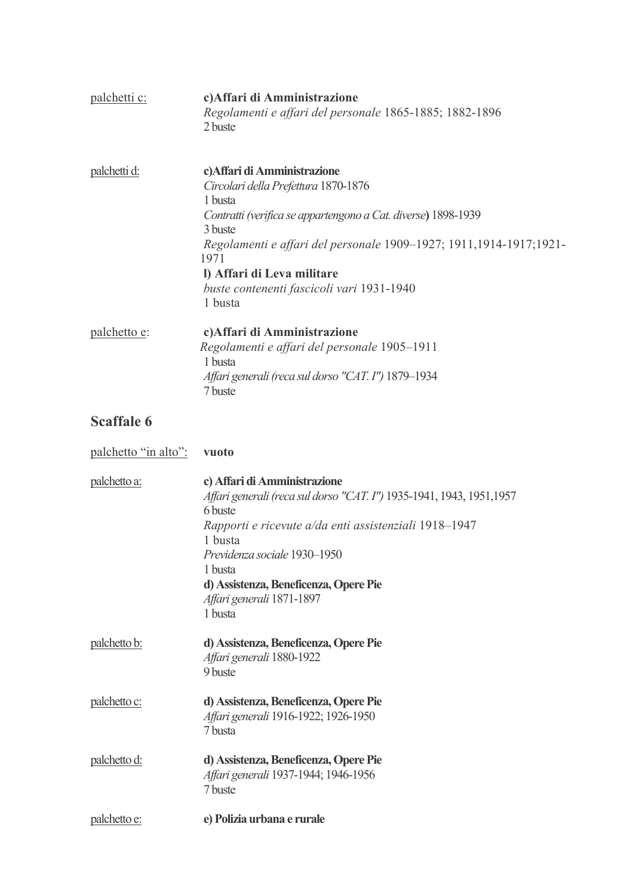| palchetti c:         | c) Affari di Amministrazione<br>Regolamenti e affari del personale 1865-1885; 1882-1896<br>2 buste                                                                                                                                                                                                                              |
|----------------------|---------------------------------------------------------------------------------------------------------------------------------------------------------------------------------------------------------------------------------------------------------------------------------------------------------------------------------|
| palchetti d:         | c) Affari di Amministrazione<br>Circolari della Prefettura 1870-1876<br>1 busta<br>Contratti (verifica se appartengono a Cat. diverse) 1898-1939<br>3 buste<br>Regolamenti e affari del personale 1909-1927; 1911,1914-1917;1921-<br>1971<br>l) Affari di Leva militare<br>buste contenenti fascicoli vari 1931-1940<br>1 busta |
| palchetto e:         | c) Affari di Amministrazione<br>Regolamenti e affari del personale 1905-1911<br>1 busta<br>Affari generali (reca sul dorso "CAT. I") 1879-1934<br>7 buste                                                                                                                                                                       |
| <b>Scaffale 6</b>    |                                                                                                                                                                                                                                                                                                                                 |
| palchetto "in alto": | vuoto                                                                                                                                                                                                                                                                                                                           |
| palchetto a:         | c) Affari di Amministrazione<br>Affari generali (reca sul dorso "CAT. I") 1935-1941, 1943, 1951,1957<br>6 buste<br>Rapporti e ricevute a/da enti assistenziali 1918-1947<br>1 busta<br>Previdenza sociale 1930-1950<br>1 busta<br>d) Assistenza, Beneficenza, Opere Pie<br>Affari generali 1871-1897<br>1 busta                 |
| palchetto b:         | d) Assistenza, Beneficenza, Opere Pie<br>Affari generali 1880-1922<br>9 buste                                                                                                                                                                                                                                                   |
| palchetto c:         | d) Assistenza, Beneficenza, Opere Pie<br>Affari generali 1916-1922; 1926-1950<br>7 busta                                                                                                                                                                                                                                        |
| palchetto d:         | d) Assistenza, Beneficenza, Opere Pie<br>Affari generali 1937-1944; 1946-1956<br>7 buste                                                                                                                                                                                                                                        |
| palchetto e:         | e) Polizia urbana e rurale                                                                                                                                                                                                                                                                                                      |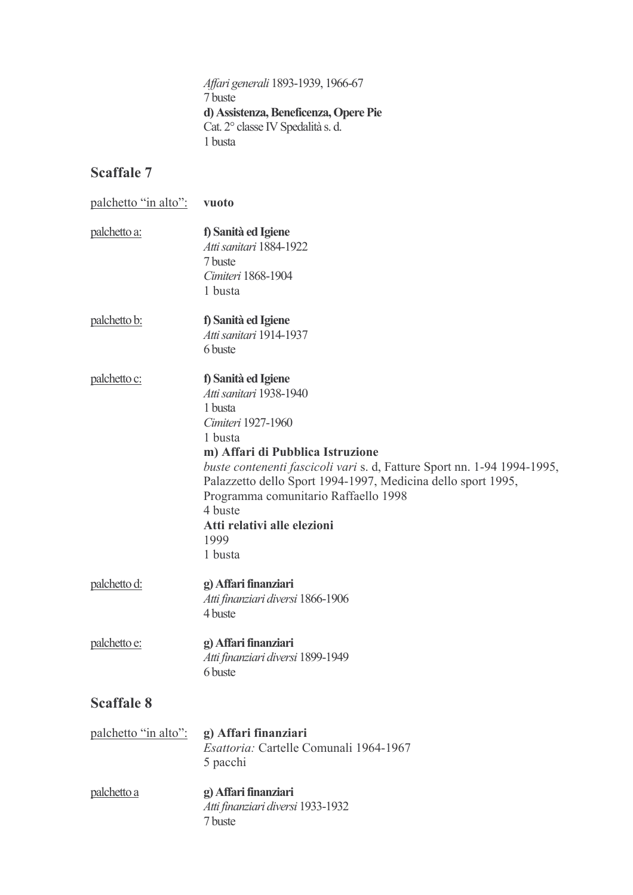Affari generali 1893-1939, 1966-67 7 buste d) Assistenza, Beneficenza, Opere Pie Cat. 2° classe IV Spedalità s. d. 1 busta

| palchetto "in alto": | vuoto                                                                                                                                                                                                                                                                                                                                                                          |
|----------------------|--------------------------------------------------------------------------------------------------------------------------------------------------------------------------------------------------------------------------------------------------------------------------------------------------------------------------------------------------------------------------------|
| palchetto a:         | f) Sanità ed Igiene<br>Atti sanitari 1884-1922<br>7 buste<br>Cimiteri 1868-1904<br>1 busta                                                                                                                                                                                                                                                                                     |
| palchetto b:         | f) Sanità ed Igiene<br>Atti sanitari 1914-1937<br>6 buste                                                                                                                                                                                                                                                                                                                      |
| <u>palchetto c:</u>  | f) Sanità ed Igiene<br>Atti sanitari 1938-1940<br>1 busta<br>Cimiteri 1927-1960<br>1 busta<br>m) Affari di Pubblica Istruzione<br>buste contenenti fascicoli vari s. d, Fatture Sport nn. 1-94 1994-1995,<br>Palazzetto dello Sport 1994-1997, Medicina dello sport 1995,<br>Programma comunitario Raffaello 1998<br>4 buste<br>Atti relativi alle elezioni<br>1999<br>1 busta |
| palchetto d:         | g) Affari finanziari<br>Atti finanziari diversi 1866-1906<br>4 buste                                                                                                                                                                                                                                                                                                           |
| palchetto e:         | g) Affari finanziari<br>Atti finanziari diversi 1899-1949<br>6 buste                                                                                                                                                                                                                                                                                                           |
| <b>Scaffale 8</b>    |                                                                                                                                                                                                                                                                                                                                                                                |
| palchetto "in alto": | g) Affari finanziari<br>Esattoria: Cartelle Comunali 1964-1967<br>5 pacchi                                                                                                                                                                                                                                                                                                     |
| palchetto a          | g) Affari finanziari<br>Atti finanziari diversi 1933-1932<br>7 buste                                                                                                                                                                                                                                                                                                           |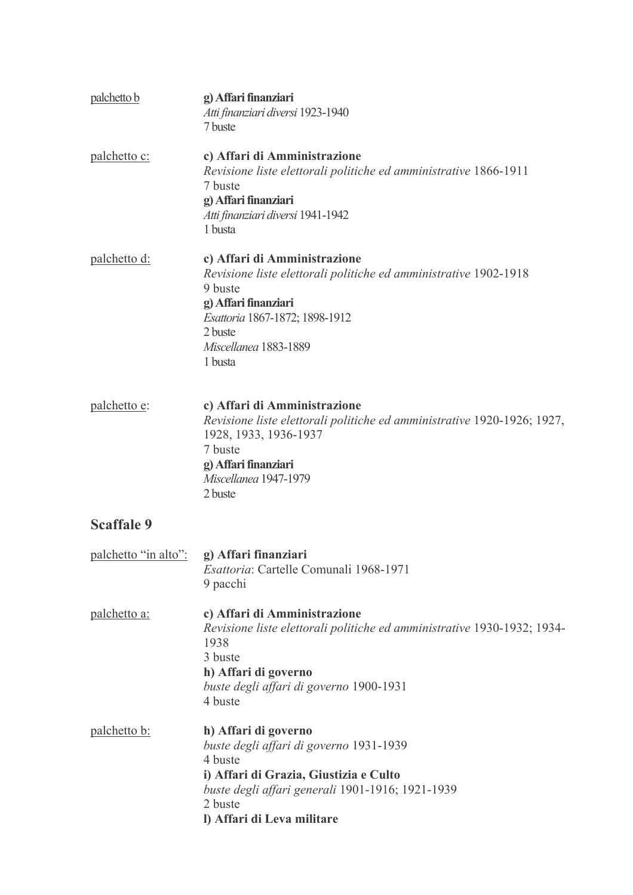| palchetto b                               | g) Affari finanziari<br>Atti finanziari diversi 1923-1940<br>7 buste                                                                                                                                                 |
|-------------------------------------------|----------------------------------------------------------------------------------------------------------------------------------------------------------------------------------------------------------------------|
| palchetto c:                              | c) Affari di Amministrazione<br>Revisione liste elettorali politiche ed amministrative 1866-1911<br>7 buste<br>g) Affari finanziari<br>Atti finanziari diversi 1941-1942<br>1 busta                                  |
| palchetto d:                              | c) Affari di Amministrazione<br>Revisione liste elettorali politiche ed amministrative 1902-1918<br>9 buste<br>g) Affari finanziari<br>Esattoria 1867-1872; 1898-1912<br>2 buste<br>Miscellanea 1883-1889<br>1 busta |
| palchetto e:                              | c) Affari di Amministrazione<br>Revisione liste elettorali politiche ed amministrative 1920-1926; 1927,<br>1928, 1933, 1936-1937<br>7 buste<br>g) Affari finanziari<br>Miscellanea 1947-1979<br>2 buste              |
| <b>Scaffale 9</b>                         |                                                                                                                                                                                                                      |
| palchetto "in alto": g) Affari finanziari | Esattoria: Cartelle Comunali 1968-1971<br>9 pacchi                                                                                                                                                                   |
| palchetto a:                              | c) Affari di Amministrazione<br>Revisione liste elettorali politiche ed amministrative 1930-1932; 1934-<br>1938<br>3 buste<br>h) Affari di governo<br>buste degli affari di governo 1900-1931<br>4 buste             |
| <u>palchetto b:</u>                       | h) Affari di governo<br>buste degli affari di governo 1931-1939<br>4 buste<br>i) Affari di Grazia, Giustizia e Culto<br>buste degli affari generali 1901-1916; 1921-1939<br>2 buste<br>I) Affari di Leva militare    |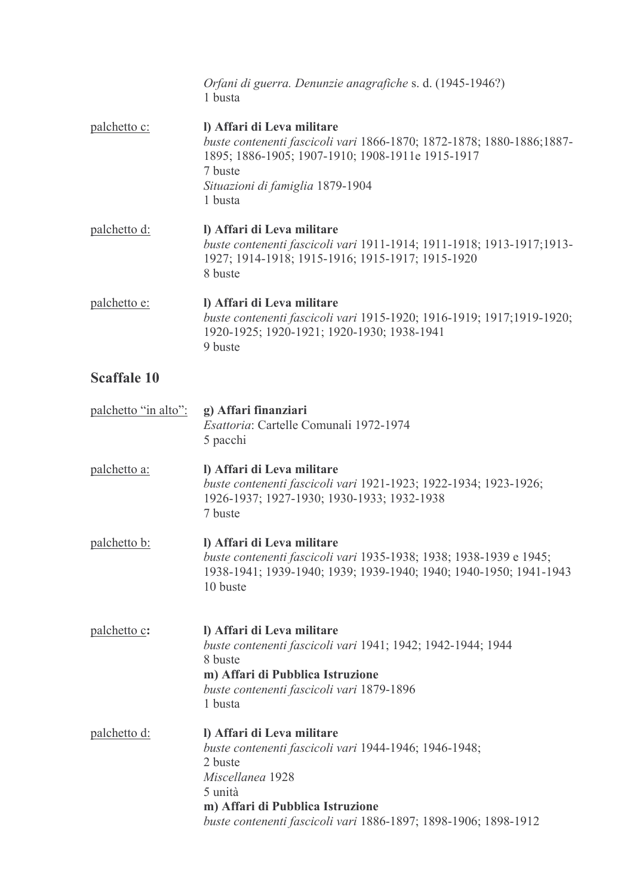|                      | Orfani di guerra. Denunzie anagrafiche s. d. (1945-1946?)<br>1 busta                                                                                                                                                                 |
|----------------------|--------------------------------------------------------------------------------------------------------------------------------------------------------------------------------------------------------------------------------------|
| palchetto c:         | I) Affari di Leva militare<br>buste contenenti fascicoli vari 1866-1870; 1872-1878; 1880-1886;1887-<br>1895; 1886-1905; 1907-1910; 1908-1911e 1915-1917<br>7 buste<br>Situazioni di famiglia 1879-1904<br>1 busta                    |
| palchetto d:         | I) Affari di Leva militare<br>buste contenenti fascicoli vari 1911-1914; 1911-1918; 1913-1917;1913-<br>1927; 1914-1918; 1915-1916; 1915-1917; 1915-1920<br>8 buste                                                                   |
| palchetto e:         | I) Affari di Leva militare<br>buste contenenti fascicoli vari 1915-1920; 1916-1919; 1917;1919-1920;<br>1920-1925; 1920-1921; 1920-1930; 1938-1941<br>9 buste                                                                         |
| <b>Scaffale 10</b>   |                                                                                                                                                                                                                                      |
| palchetto "in alto": | g) Affari finanziari<br>Esattoria: Cartelle Comunali 1972-1974<br>5 pacchi                                                                                                                                                           |
| palchetto a:         | I) Affari di Leva militare<br>buste contenenti fascicoli vari 1921-1923; 1922-1934; 1923-1926;<br>1926-1937; 1927-1930; 1930-1933; 1932-1938<br>7 buste                                                                              |
| <u>palchetto b:</u>  | I) Affari di Leva militare<br>buste contenenti fascicoli vari 1935-1938; 1938; 1938-1939 e 1945;<br>1938-1941; 1939-1940; 1939; 1939-1940; 1940; 1940-1950; 1941-1943<br>10 buste                                                    |
| palchetto c:         | I) Affari di Leva militare<br>buste contenenti fascicoli vari 1941; 1942; 1942-1944; 1944<br>8 buste<br>m) Affari di Pubblica Istruzione<br>buste contenenti fascicoli vari 1879-1896<br>1 busta                                     |
| palchetto d:         | l) Affari di Leva militare<br>buste contenenti fascicoli vari 1944-1946; 1946-1948;<br>2 buste<br>Miscellanea 1928<br>5 unità<br>m) Affari di Pubblica Istruzione<br>buste contenenti fascicoli vari 1886-1897; 1898-1906; 1898-1912 |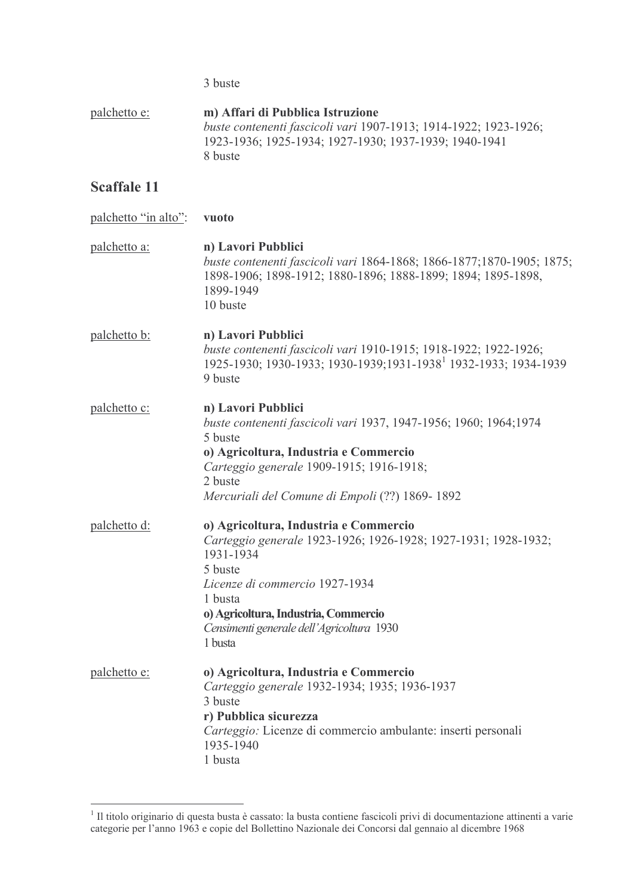3 buste

m) Affari di Pubblica Istruzione palchetto e: buste contenenti fascicoli vari 1907-1913; 1914-1922; 1923-1926; 1923-1936; 1925-1934; 1927-1930; 1937-1939; 1940-1941 8 buste

## **Scaffale 11**

palchetto "in alto": vuoto palchetto a: n) Lavori Pubblici buste contenenti fascicoli vari 1864-1868; 1866-1877; 1870-1905; 1875; 1898-1906; 1898-1912; 1880-1896; 1888-1899; 1894; 1895-1898, 1899-1949 10 buste palchetto b: n) Lavori Pubblici buste contenenti fascicoli vari 1910-1915; 1918-1922; 1922-1926; 1925-1930; 1930-1933; 1930-1939; 1931-1938<sup>1</sup> 1932-1933; 1934-1939 9 buste palchetto c: n) Lavori Pubblici buste contenenti fascicoli vari 1937, 1947-1956; 1960; 1964;1974 5 buste o) Agricoltura, Industria e Commercio Carteggio generale 1909-1915; 1916-1918; 2 buste Mercuriali del Comune di Empoli (??) 1869-1892 palchetto d: o) Agricoltura, Industria e Commercio Carteggio generale 1923-1926; 1926-1928; 1927-1931; 1928-1932; 1931-1934 5 buste Licenze di commercio 1927-1934 1 busta o) Agricoltura, Industria, Commercio Censimenti generale dell'Agricoltura 1930 1 busta palchetto e: o) Agricoltura, Industria e Commercio Carteggio generale 1932-1934; 1935; 1936-1937 3 buste r) Pubblica sicurezza Carteggio: Licenze di commercio ambulante: inserti personali 1935-1940 1 busta

<sup>&</sup>lt;sup>1</sup> Il titolo originario di questa busta è cassato: la busta contiene fascicoli privi di documentazione attinenti a varie categorie per l'anno 1963 e copie del Bollettino Nazionale dei Concorsi dal gennaio al dicembre 1968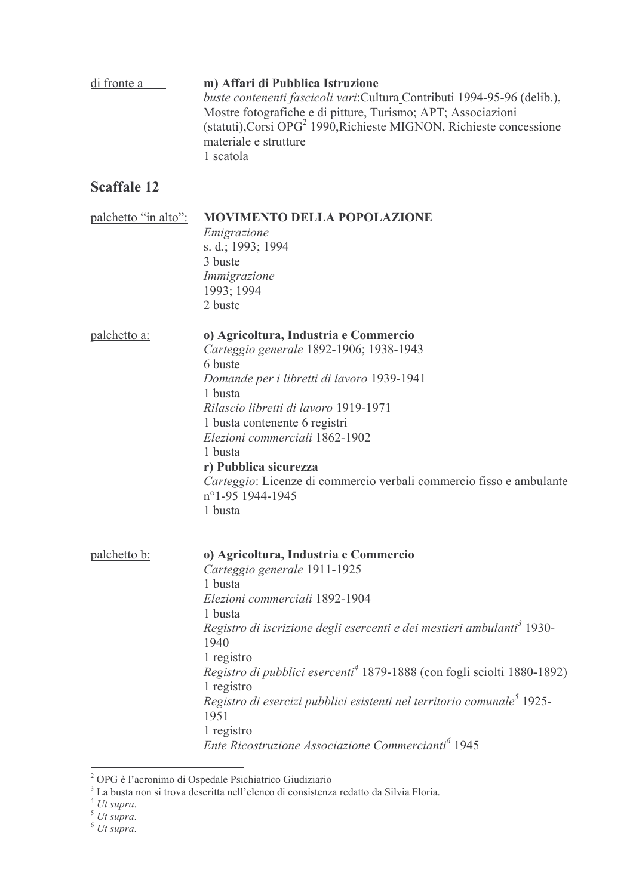| di fronte a          | m) Affari di Pubblica Istruzione<br>buste contenenti fascicoli vari: Cultura Contributi 1994-95-96 (delib.),<br>Mostre fotografiche e di pitture, Turismo; APT; Associazioni<br>(statuti), Corsi OPG <sup>2</sup> 1990, Richieste MIGNON, Richieste concessione<br>materiale e strutture<br>1 scatola                                                                                                      |
|----------------------|------------------------------------------------------------------------------------------------------------------------------------------------------------------------------------------------------------------------------------------------------------------------------------------------------------------------------------------------------------------------------------------------------------|
| <b>Scaffale 12</b>   |                                                                                                                                                                                                                                                                                                                                                                                                            |
| palchetto "in alto": | <b>MOVIMENTO DELLA POPOLAZIONE</b><br>Emigrazione<br>s. d.; 1993; 1994<br>3 buste<br>Immigrazione<br>1993; 1994<br>2 buste                                                                                                                                                                                                                                                                                 |
| palchetto a:         | o) Agricoltura, Industria e Commercio<br>Carteggio generale 1892-1906; 1938-1943<br>6 buste<br>Domande per i libretti di lavoro 1939-1941<br>1 busta<br>Rilascio libretti di lavoro 1919-1971<br>1 busta contenente 6 registri<br>Elezioni commerciali 1862-1902<br>1 busta<br>r) Pubblica sicurezza<br>Carteggio: Licenze di commercio verbali commercio fisso e ambulante<br>n°1-95 1944-1945<br>1 busta |
| palchetto b:         | o) Agricoltura, Industria e Commercio<br>Carteggio generale 1911-1925<br>1 busta                                                                                                                                                                                                                                                                                                                           |

1 registro Ente Ricostruzione Associazione Commercianti<sup>6</sup> 1945

Registro di iscrizione degli esercenti e dei mestieri ambulanti<sup>3</sup> 1930-

Registro di pubblici esercenti<sup>4</sup> 1879-1888 (con fogli sciolti 1880-1892)

Registro di esercizi pubblici esistenti nel territorio comunale<sup>5</sup> 1925-

1 busta

1940 1 registro

1951

1 registro

Elezioni commerciali 1892-1904

<sup>&</sup>lt;sup>2</sup> OPG è l'acronimo di Ospedale Psichiatrico Giudiziario<br><sup>3</sup> La busta non si trova descritta nell'elenco di consistenza redatto da Silvia Floria.<br><sup>4</sup> Ut supra.

 $5 \text{U}$  supra.

 $6$  Ut supra.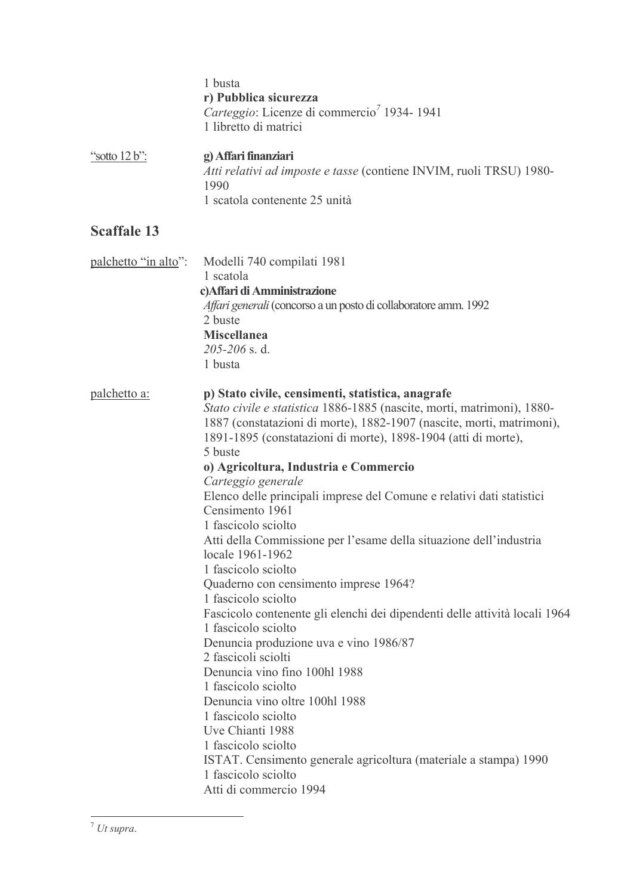|                    | 1 busta<br>r) Pubblica sicurezza<br>Carteggio: Licenze di commercio <sup>7</sup> 1934-1941<br>1 libretto di matrici |
|--------------------|---------------------------------------------------------------------------------------------------------------------|
| "sotto $12 b$ ":   | g) Affari finanziari<br>Atti relativi ad imposte e tasse (contiene INVIM, ruoli TRSU) 1980-<br>1990                 |
|                    | 1 scatola contenente 25 unità                                                                                       |
| <b>Scaffale 13</b> |                                                                                                                     |

| palchetto "in alto": | Modelli 740 compilati 1981<br>1 scatola<br>c) Affari di Amministrazione<br>Affari generali (concorso a un posto di collaboratore amm. 1992)<br>2 buste<br><b>Miscellanea</b><br>205-206 s.d.<br>1 busta                                                                                                                                                                                                                                                                                                                                                                                                                                                                                                                                                                                                                                                                                                                                                                                                                                                                                                     |
|----------------------|-------------------------------------------------------------------------------------------------------------------------------------------------------------------------------------------------------------------------------------------------------------------------------------------------------------------------------------------------------------------------------------------------------------------------------------------------------------------------------------------------------------------------------------------------------------------------------------------------------------------------------------------------------------------------------------------------------------------------------------------------------------------------------------------------------------------------------------------------------------------------------------------------------------------------------------------------------------------------------------------------------------------------------------------------------------------------------------------------------------|
| palchetto a:         | p) Stato civile, censimenti, statistica, anagrafe<br>Stato civile e statistica 1886-1885 (nascite, morti, matrimoni), 1880-<br>1887 (constatazioni di morte), 1882-1907 (nascite, morti, matrimoni),<br>1891-1895 (constatazioni di morte), 1898-1904 (atti di morte),<br>5 buste<br>o) Agricoltura, Industria e Commercio<br>Carteggio generale<br>Elenco delle principali imprese del Comune e relativi dati statistici<br>Censimento 1961<br>1 fascicolo sciolto<br>Atti della Commissione per l'esame della situazione dell'industria<br>locale 1961-1962<br>1 fascicolo sciolto<br>Quaderno con censimento imprese 1964?<br>1 fascicolo sciolto<br>Fascicolo contenente gli elenchi dei dipendenti delle attività locali 1964<br>1 fascicolo sciolto<br>Denuncia produzione uva e vino 1986/87<br>2 fascicoli sciolti<br>Denuncia vino fino 100hl 1988<br>1 fascicolo sciolto<br>Denuncia vino oltre 100hl 1988<br>1 fascicolo sciolto<br>Uve Chianti 1988<br>1 fascicolo sciolto<br>ISTAT. Censimento generale agricoltura (materiale a stampa) 1990<br>1 fascicolo sciolto<br>Atti di commercio 1994 |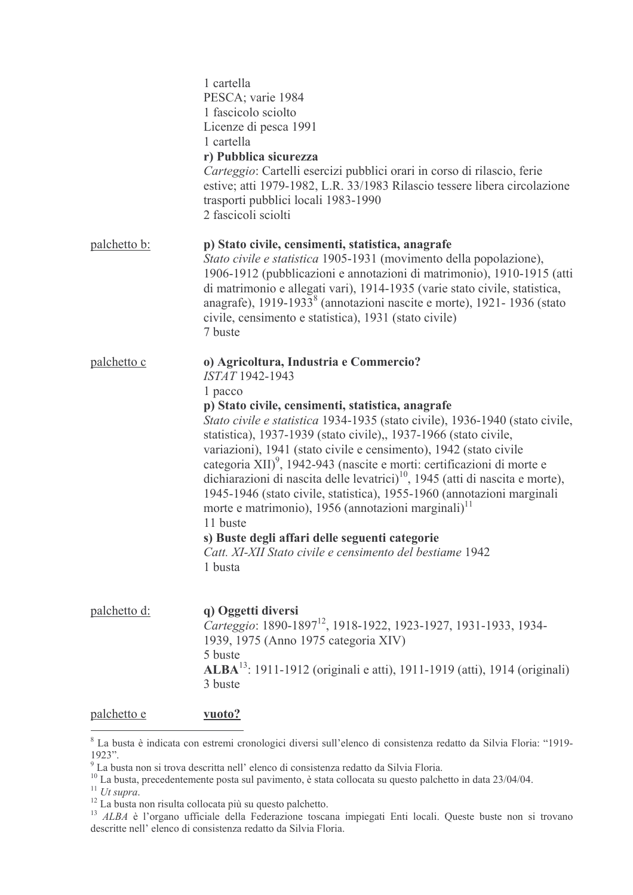|                     | 1 cartella<br>PESCA; varie 1984<br>1 fascicolo sciolto<br>Licenze di pesca 1991<br>1 cartella<br>r) Pubblica sicurezza<br>Carteggio: Cartelli esercizi pubblici orari in corso di rilascio, ferie<br>estive; atti 1979-1982, L.R. 33/1983 Rilascio tessere libera circolazione<br>trasporti pubblici locali 1983-1990<br>2 fascicoli sciolti                                                                                                                                                                                                                                                                                                                                                                                                                                                                            |
|---------------------|-------------------------------------------------------------------------------------------------------------------------------------------------------------------------------------------------------------------------------------------------------------------------------------------------------------------------------------------------------------------------------------------------------------------------------------------------------------------------------------------------------------------------------------------------------------------------------------------------------------------------------------------------------------------------------------------------------------------------------------------------------------------------------------------------------------------------|
| <u>palchetto b:</u> | p) Stato civile, censimenti, statistica, anagrafe<br>Stato civile e statistica 1905-1931 (movimento della popolazione),<br>1906-1912 (pubblicazioni e annotazioni di matrimonio), 1910-1915 (atti<br>di matrimonio e allegati vari), 1914-1935 (varie stato civile, statistica,<br>anagrafe), 1919-1933 <sup>8</sup> (annotazioni nascite e morte), 1921-1936 (stato<br>civile, censimento e statistica), 1931 (stato civile)<br>7 buste                                                                                                                                                                                                                                                                                                                                                                                |
| <u>palchetto c</u>  | o) Agricoltura, Industria e Commercio?<br>ISTAT 1942-1943<br>1 pacco<br>p) Stato civile, censimenti, statistica, anagrafe<br>Stato civile e statistica 1934-1935 (stato civile), 1936-1940 (stato civile,<br>statistica), 1937-1939 (stato civile),, 1937-1966 (stato civile,<br>variazioni), 1941 (stato civile e censimento), 1942 (stato civile<br>categoria XII) <sup>9</sup> , 1942-943 (nascite e morti: certificazioni di morte e<br>dichiarazioni di nascita delle levatrici) <sup>10</sup> , 1945 (atti di nascita e morte),<br>1945-1946 (stato civile, statistica), 1955-1960 (annotazioni marginali<br>morte e matrimonio), 1956 (annotazioni marginali) <sup>11</sup><br>11 buste<br>s) Buste degli affari delle seguenti categorie<br>Catt. XI-XII Stato civile e censimento del bestiame 1942<br>1 busta |
| palchetto d:        | q) Oggetti diversi<br>Carteggio: 1890-1897 <sup>12</sup> , 1918-1922, 1923-1927, 1931-1933, 1934-<br>1939, 1975 (Anno 1975 categoria XIV)<br>5 buste<br><b>ALBA</b> <sup>13</sup> : 1911-1912 (originali e atti), 1911-1919 (atti), 1914 (originali)<br>3 buste                                                                                                                                                                                                                                                                                                                                                                                                                                                                                                                                                         |
| palchetto e         | vuoto?                                                                                                                                                                                                                                                                                                                                                                                                                                                                                                                                                                                                                                                                                                                                                                                                                  |

<sup>&</sup>lt;sup>8</sup> La busta è indicata con estremi cronologici diversi sull'elenco di consistenza redatto da Silvia Floria: "1919-La busta e muicata con estiemi cronologici urversi sui elenco di consistenza redatto da Silvia Floria.<br><sup>10</sup> La busta non si trova descritta nell' elenco di consistenza redatto da Silvia Floria.<br><sup>10</sup> La busta, precedenteme

descritte nell'elenco di consistenza redatto da Silvia Floria.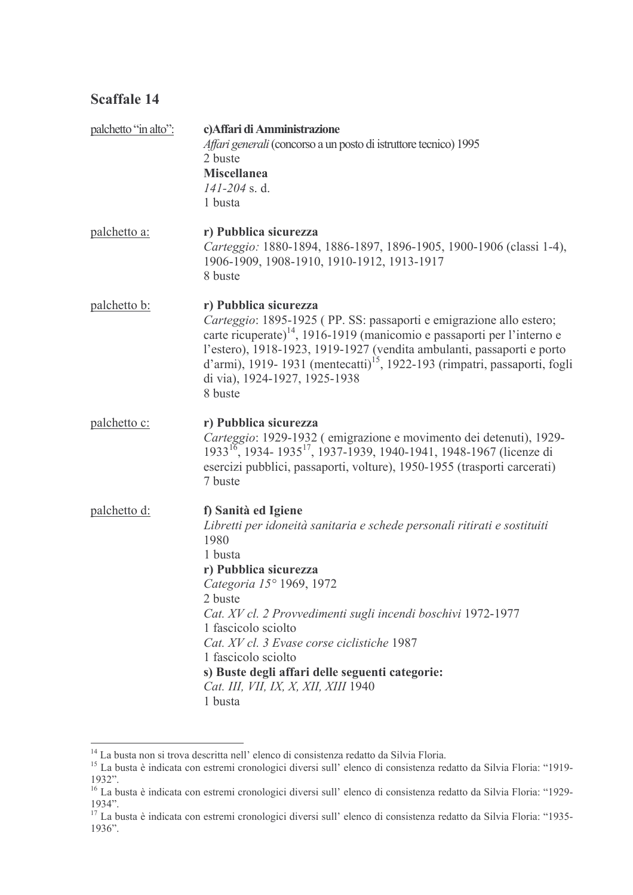| palchetto "in alto": | c) Affari di Amministrazione<br>Affari generali (concorso a un posto di istruttore tecnico) 1995<br>2 buste<br><b>Miscellanea</b><br>$141 - 204$ s.d.<br>1 busta                                                                                                                                                                                                                                                                                     |
|----------------------|------------------------------------------------------------------------------------------------------------------------------------------------------------------------------------------------------------------------------------------------------------------------------------------------------------------------------------------------------------------------------------------------------------------------------------------------------|
| <u>palchetto a:</u>  | r) Pubblica sicurezza<br>Carteggio: 1880-1894, 1886-1897, 1896-1905, 1900-1906 (classi 1-4),<br>1906-1909, 1908-1910, 1910-1912, 1913-1917<br>8 buste                                                                                                                                                                                                                                                                                                |
| <u>palchetto b:</u>  | r) Pubblica sicurezza<br>Carteggio: 1895-1925 (PP. SS: passaporti e emigrazione allo estero;<br>carte ricuperate) <sup><math>14</math></sup> , 1916-1919 (manicomio e passaporti per l'interno e<br>l'estero), 1918-1923, 1919-1927 (vendita ambulanti, passaporti e porto<br>d'armi), 1919-1931 (mentecatti) <sup>15</sup> , 1922-193 (rimpatri, passaporti, fogli<br>di via), 1924-1927, 1925-1938<br>8 buste                                      |
| palchetto c:         | r) Pubblica sicurezza<br>Carteggio: 1929-1932 (emigrazione e movimento dei detenuti), 1929-<br>1933 <sup>16</sup> , 1934-1935 <sup>17</sup> , 1937-1939, 1940-1941, 1948-1967 (licenze di<br>esercizi pubblici, passaporti, volture), 1950-1955 (trasporti carcerati)<br>7 buste                                                                                                                                                                     |
| palchetto d:         | f) Sanità ed Igiene<br>Libretti per idoneità sanitaria e schede personali ritirati e sostituiti<br>1980<br>1 busta<br>r) Pubblica sicurezza<br>Categoria 15° 1969, 1972<br>2 buste<br>Cat. XV cl. 2 Provvedimenti sugli incendi boschivi 1972-1977<br>1 fascicolo sciolto<br>Cat. XV cl. 3 Evase corse ciclistiche 1987<br>1 fascicolo sciolto<br>s) Buste degli affari delle seguenti categorie:<br>Cat. III, VII, IX, X, XII, XIII 1940<br>1 busta |

 $^{14}$  La busta non si trova descritta nell' elenco di consistenza redatto da Silvia Floria.<br><sup>15</sup> La busta è indicata con estremi cronologici diversi sull' elenco di consistenza redatto da Silvia Floria: "1919-

<sup>1932&</sup>quot;.<br><sup>16</sup> La busta è indicata con estremi cronologici diversi sull'elenco di consistenza redatto da Silvia Floria: "1929-

<sup>1934&</sup>quot;.<br><sup>17</sup> La busta è indicata con estremi cronologici diversi sull'elenco di consistenza redatto da Silvia Floria: "1935-1936".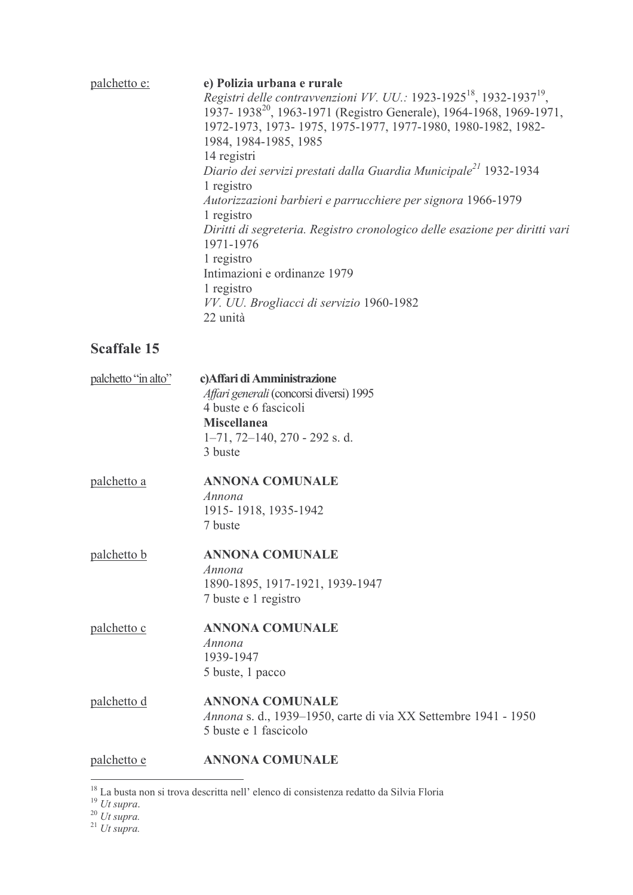| <u>palchetto e:</u> | e) Polizia urbana e rurale<br>Registri delle contravvenzioni VV. UU.: 1923-1925 <sup>18</sup> , 1932-1937 <sup>19</sup> , |
|---------------------|---------------------------------------------------------------------------------------------------------------------------|
|                     | 1937-1938 <sup>20</sup> , 1963-1971 (Registro Generale), 1964-1968, 1969-1971,                                            |
|                     | 1972-1973, 1973-1975, 1975-1977, 1977-1980, 1980-1982, 1982-                                                              |
|                     | 1984, 1984-1985, 1985                                                                                                     |
|                     | 14 registri                                                                                                               |
|                     | Diario dei servizi prestati dalla Guardia Municipale <sup>21</sup> 1932-1934<br>1 registro                                |
|                     | Autorizzazioni barbieri e parrucchiere per signora 1966-1979<br>1 registro                                                |
|                     | Diritti di segreteria. Registro cronologico delle esazione per diritti vari<br>1971-1976                                  |
|                     | 1 registro                                                                                                                |
|                     | Intimazioni e ordinanze 1979                                                                                              |
|                     | 1 registro                                                                                                                |
|                     | VV. UU. Brogliacci di servizio 1960-1982<br>22 unità                                                                      |
| <b>Scaffale 15</b>  |                                                                                                                           |
| palchetto "in alto" | c) Affari di Amministrazione                                                                                              |
|                     | Affari generali (concorsi diversi) 1995                                                                                   |
|                     | 4 buste e 6 fascicoli                                                                                                     |
|                     | <b>Miscellanea</b>                                                                                                        |

 $1-71$ ,  $72-140$ ,  $270 - 292$  s.d. 3 buste

#### palchetto a **ANNONA COMUNALE** Annona 1915-1918, 1935-1942

7 buste

#### palchetto b **ANNONA COMUNALE**

Annona 1890-1895, 1917-1921, 1939-1947 7 buste e 1 registro

#### palchetto c **ANNONA COMUNALE** Annona 1939-1947 5 buste, 1 pacco

#### palchetto d **ANNONA COMUNALE** Annona s. d., 1939-1950, carte di via XX Settembre 1941 - 1950 5 buste e 1 fascicolo

#### **ANNONA COMUNALE** palchetto e

<sup>&</sup>lt;sup>18</sup> La busta non si trova descritta nell' elenco di consistenza redatto da Silvia Floria<br><sup>19</sup> Ut supra.<br><sup>20</sup> Ut supra.<br><sup>21</sup> Ut supra.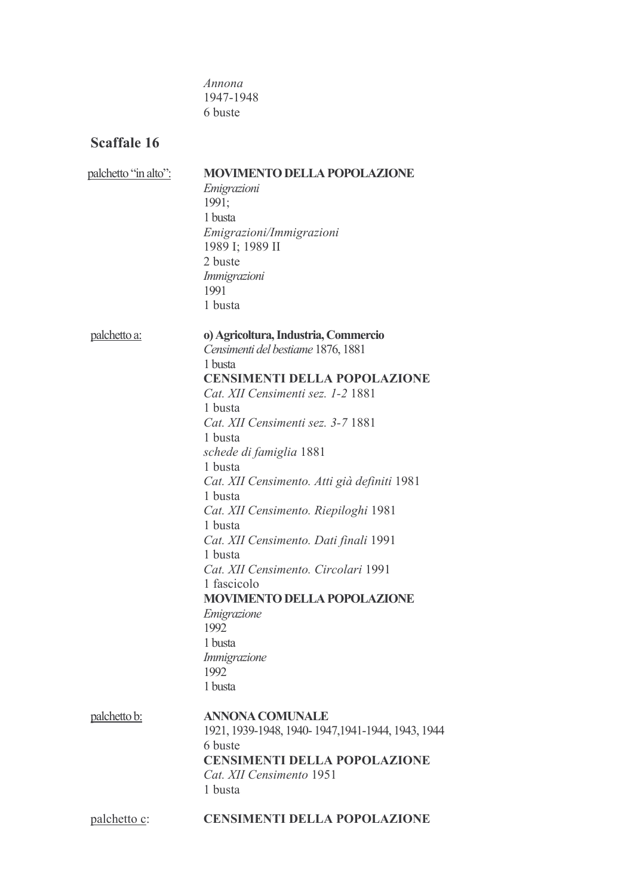Annona 1947-1948 6 buste

| palchetto "in alto": | <b>MOVIMENTO DELLA POPOLAZIONE</b>                |
|----------------------|---------------------------------------------------|
|                      | Emigrazioni                                       |
|                      | 1991;                                             |
|                      | 1 busta                                           |
|                      | Emigrazioni/Immigrazioni                          |
|                      |                                                   |
|                      | 1989 I; 1989 II                                   |
|                      | 2 buste                                           |
|                      | Immigrazioni                                      |
|                      | 1991                                              |
|                      | 1 busta                                           |
| <u>palchetto a:</u>  | o) Agricoltura, Industria, Commercio              |
|                      | Censimenti del bestiame 1876, 1881                |
|                      | 1 busta                                           |
|                      | <b>CENSIMENTI DELLA POPOLAZIONE</b>               |
|                      |                                                   |
|                      | Cat. XII Censimenti sez. 1-2 1881                 |
|                      | 1 busta                                           |
|                      | Cat. XII Censimenti sez. 3-7 1881                 |
|                      | 1 busta                                           |
|                      | schede di famiglia 1881                           |
|                      | 1 busta                                           |
|                      | Cat. XII Censimento. Atti già definiti 1981       |
|                      | 1 busta                                           |
|                      | Cat. XII Censimento. Riepiloghi 1981              |
|                      | 1 busta                                           |
|                      |                                                   |
|                      | Cat. XII Censimento. Dati finali 1991             |
|                      | 1 busta                                           |
|                      | Cat. XII Censimento. Circolari 1991               |
|                      | 1 fascicolo                                       |
|                      | <b>MOVIMENTO DELLA POPOLAZIONE</b>                |
|                      | Emigrazione                                       |
|                      | 1992                                              |
|                      | 1 busta                                           |
|                      | Immigrazione                                      |
|                      | 1992                                              |
|                      |                                                   |
|                      | 1 busta                                           |
| palchetto b:         | <b>ANNONA COMUNALE</b>                            |
|                      | 1921, 1939-1948, 1940-1947, 1941-1944, 1943, 1944 |
|                      | 6 buste                                           |
|                      | <b>CENSIMENTI DELLA POPOLAZIONE</b>               |
|                      |                                                   |
|                      | Cat. XII Censimento 1951                          |
|                      | 1 busta                                           |
| <u>palchetto c</u> : | <b>CENSIMENTI DELLA POPOLAZIONE</b>               |
|                      |                                                   |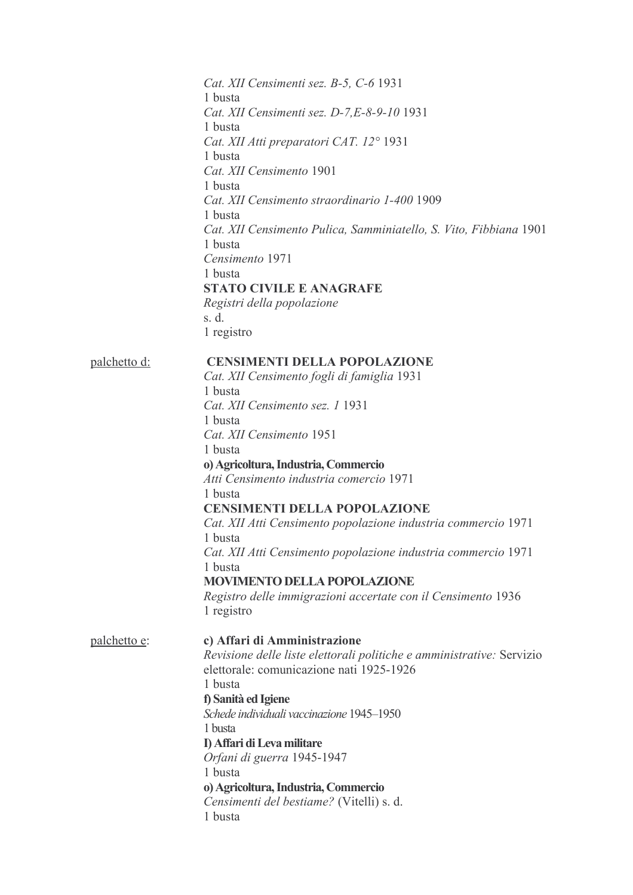Cat. XII Censimenti sez. B-5, C-6 1931 1 busta Cat. XII Censimenti sez. D-7.E-8-9-10 1931 1 busta Cat. XII Atti preparatori CAT. 12° 1931 1 busta Cat. XII Censimento 1901 1 busta Cat. XII Censimento straordinario 1-400 1909 1 busta Cat. XII Censimento Pulica, Samminiatello, S. Vito, Fibbiana 1901 1 busta Censimento 1971 1 busta **STATO CIVILE E ANAGRAFE** Registri della popolazione s. d. 1 registro palchetto d: **CENSIMENTI DELLA POPOLAZIONE** Cat. XII Censimento fogli di famiglia 1931 1 busta Cat. XII Censimento sez. 1 1931 1 busta Cat. XII Censimento 1951 1 busta o) Agricoltura, Industria, Commercio Atti Censimento industria comercio 1971 1 busta **CENSIMENTI DELLA POPOLAZIONE** Cat. XII Atti Censimento popolazione industria commercio 1971 1 busta Cat. XII Atti Censimento popolazione industria commercio 1971 1 busta **MOVIMENTO DELLA POPOLAZIONE** Registro delle immigrazioni accertate con il Censimento 1936 1 registro palchetto e: c) Affari di Amministrazione Revisione delle liste elettorali politiche e amministrative: Servizio elettorale: comunicazione nati 1925-1926 1 busta f) Sanità ed Igiene Schede individuali vaccinazione 1945-1950 1 busta D Affari di Leva militare Orfani di guerra 1945-1947 1 busta o) Agricoltura, Industria, Commercio Censimenti del bestiame? (Vitelli) s. d. 1 busta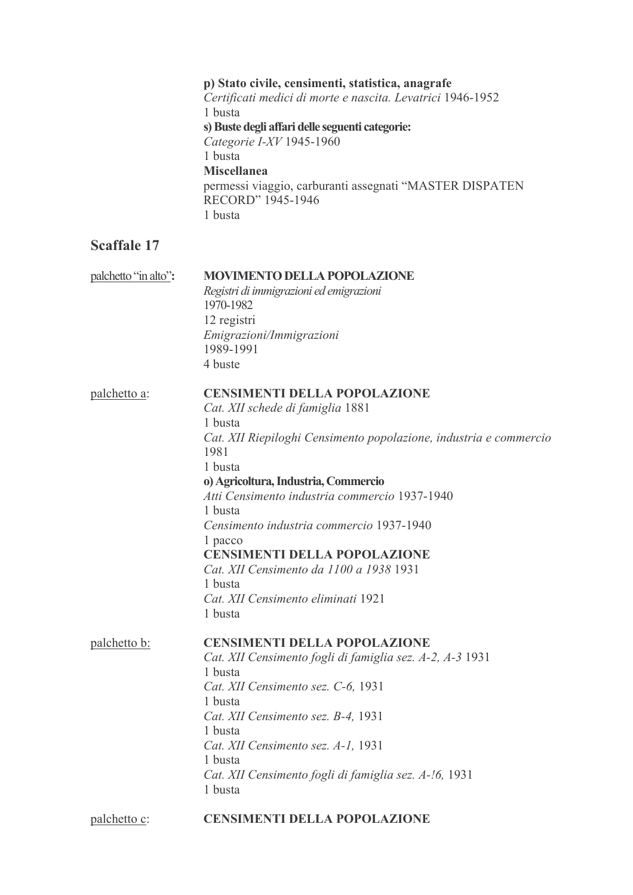p) Stato civile, censimenti, statistica, anagrafe Certificati medici di morte e nascita. Levatrici 1946-1952 1 busta s) Buste degli affari delle seguenti categorie: Categorie I-XV 1945-1960 1 busta **Miscellanea** permessi viaggio, carburanti assegnati "MASTER DISPATEN RECORD" 1945-1946 1 busta

## **Scaffale 17**

| palchetto "in alto": | <b>MOVIMENTO DELLA POPOLAZIONE</b><br>Registri di immigrazioni ed emigrazioni<br>1970-1982<br>12 registri<br>Emigrazioni/Immigrazioni<br>1989-1991<br>4 buste                                                                                                                                                                                                                                                                                                                       |
|----------------------|-------------------------------------------------------------------------------------------------------------------------------------------------------------------------------------------------------------------------------------------------------------------------------------------------------------------------------------------------------------------------------------------------------------------------------------------------------------------------------------|
| palchetto a:         | <b>CENSIMENTI DELLA POPOLAZIONE</b><br>Cat. XII schede di famiglia 1881<br>1 busta<br>Cat. XII Riepiloghi Censimento popolazione, industria e commercio<br>1981<br>1 busta<br>o) Agricoltura, Industria, Commercio<br>Atti Censimento industria commercio 1937-1940<br>1 busta<br>Censimento industria commercio 1937-1940<br>1 pacco<br><b>CENSIMENTI DELLA POPOLAZIONE</b><br>Cat. XII Censimento da 1100 a 1938 1931<br>1 busta<br>Cat. XII Censimento eliminati 1921<br>1 busta |
| palchetto b:         | <b>CENSIMENTI DELLA POPOLAZIONE</b><br>Cat. XII Censimento fogli di famiglia sez. A-2, A-3 1931<br>1 busta<br>Cat. XII Censimento sez. C-6, 1931<br>1 busta<br>Cat. XII Censimento sez. B-4, 1931<br>1 busta<br>Cat. XII Censimento sez. A-1, 1931<br>1 busta<br>Cat. XII Censimento fogli di famiglia sez. A-!6, 1931<br>1 busta                                                                                                                                                   |

#### palchetto c: **CENSIMENTI DELLA POPOLAZIONE**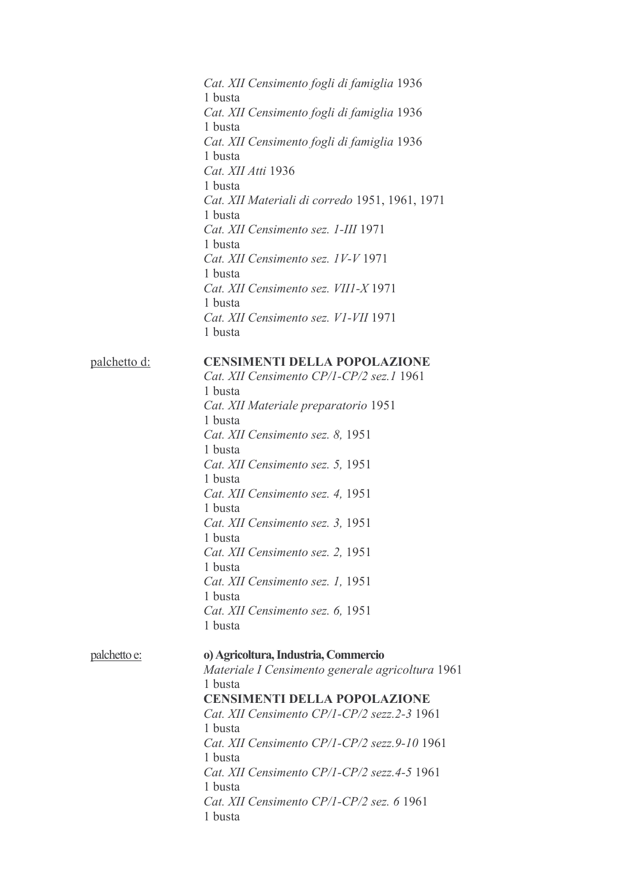Cat. XII Censimento fogli di famiglia 1936 1 busta Cat. XII Censimento fogli di famiglia 1936 1 busta Cat. XII Censimento fogli di famiglia 1936 1 busta Cat. XII Atti 1936 1 busta Cat. XII Materiali di corredo 1951, 1961, 1971 1 busta Cat. XII Censimento sez. 1-III 1971 1 busta Cat. XII Censimento sez. 1V-V 1971 1 busta Cat. XII Censimento sez. VII1-X 1971 1 busta Cat. XII Censimento sez. V1-VII 1971 1 busta palchetto d: **CENSIMENTI DELLA POPOLAZIONE** Cat. XII Censimento CP/1-CP/2 sez.1 1961 1 busta Cat. XII Materiale preparatorio 1951 1 busta Cat. XII Censimento sez. 8, 1951 1 busta Cat. XII Censimento sez. 5, 1951 1 busta Cat. XII Censimento sez. 4, 1951 1 busta Cat. XII Censimento sez. 3, 1951 1 busta Cat. XII Censimento sez. 2, 1951 1 busta Cat. XII Censimento sez. 1, 1951 1 busta Cat. XII Censimento sez. 6, 1951 1 busta palchetto e: o) Agricoltura, Industria, Commercio Materiale I Censimento generale agricoltura 1961 1 busta **CENSIMENTI DELLA POPOLAZIONE** Cat. XII Censimento CP/1-CP/2 sezz.2-3 1961 1 busta Cat. XII Censimento CP/1-CP/2 sezz.9-10 1961 1 busta Cat. XII Censimento CP/1-CP/2 sezz.4-5 1961 1 busta Cat. XII Censimento CP/1-CP/2 sez. 6 1961 1 busta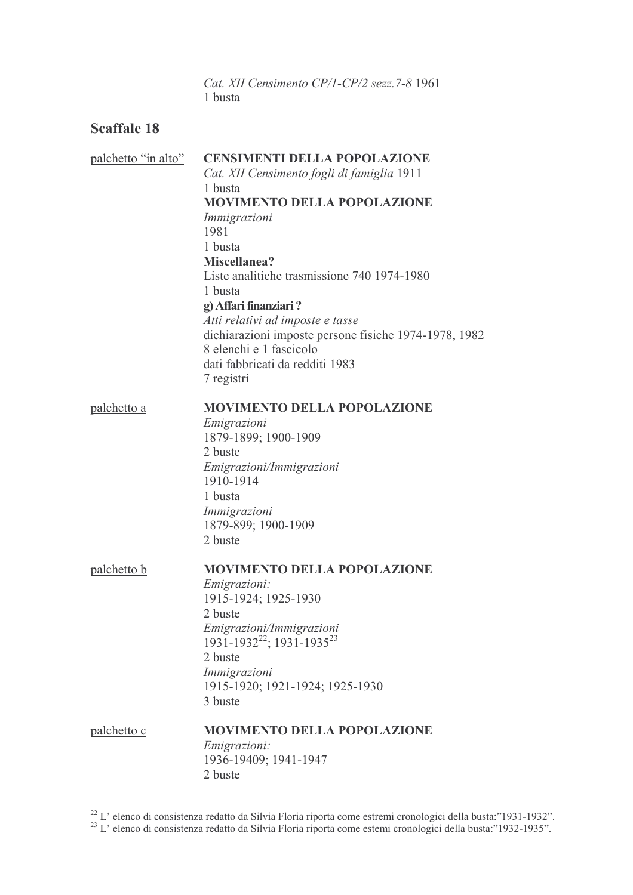Cat. XII Censimento CP/1-CP/2 sezz. 7-8 1961 1 busta

| palchetto "in alto" | <b>CENSIMENTI DELLA POPOLAZIONE</b><br>Cat. XII Censimento fogli di famiglia 1911<br>1 busta<br><b>MOVIMENTO DELLA POPOLAZIONE</b>                                    |  |
|---------------------|-----------------------------------------------------------------------------------------------------------------------------------------------------------------------|--|
|                     | Immigrazioni<br>1981<br>1 busta                                                                                                                                       |  |
|                     | Miscellanea?<br>Liste analitiche trasmissione 740 1974-1980<br>1 busta<br>g) Affari finanziari?                                                                       |  |
|                     | Atti relativi ad imposte e tasse<br>dichiarazioni imposte persone fisiche 1974-1978, 1982<br>8 elenchi e 1 fascicolo<br>dati fabbricati da redditi 1983<br>7 registri |  |
| palchetto a         | <b>MOVIMENTO DELLA POPOLAZIONE</b><br>Emigrazioni                                                                                                                     |  |
|                     | 1879-1899; 1900-1909                                                                                                                                                  |  |
|                     | 2 buste                                                                                                                                                               |  |
|                     | Emigrazioni/Immigrazioni<br>1910-1914                                                                                                                                 |  |
|                     | 1 busta                                                                                                                                                               |  |
|                     | Immigrazioni                                                                                                                                                          |  |
|                     | 1879-899; 1900-1909<br>2 buste                                                                                                                                        |  |
| palchetto b         | <b>MOVIMENTO DELLA POPOLAZIONE</b>                                                                                                                                    |  |
|                     | Emigrazioni:                                                                                                                                                          |  |
|                     | 1915-1924; 1925-1930<br>2 buste                                                                                                                                       |  |
|                     | Emigrazioni/Immigrazioni                                                                                                                                              |  |
|                     | 1931-1932 <sup>22</sup> ; 1931-1935 <sup>23</sup>                                                                                                                     |  |
|                     | 2 buste                                                                                                                                                               |  |
|                     | Immigrazioni                                                                                                                                                          |  |
|                     | 1915-1920; 1921-1924; 1925-1930<br>3 buste                                                                                                                            |  |
|                     |                                                                                                                                                                       |  |
| palchetto c         | <b>MOVIMENTO DELLA POPOLAZIONE</b>                                                                                                                                    |  |
|                     | <i>Emigrazioni:</i><br>1936-19409; 1941-1947                                                                                                                          |  |
|                     | 2 buste                                                                                                                                                               |  |
|                     |                                                                                                                                                                       |  |

<sup>&</sup>lt;sup>22</sup> L' elenco di consistenza redatto da Silvia Floria riporta come estremi cronologici della busta:"1931-1932".<br><sup>23</sup> L' elenco di consistenza redatto da Silvia Floria riporta come estemi cronologici della busta:"1932-193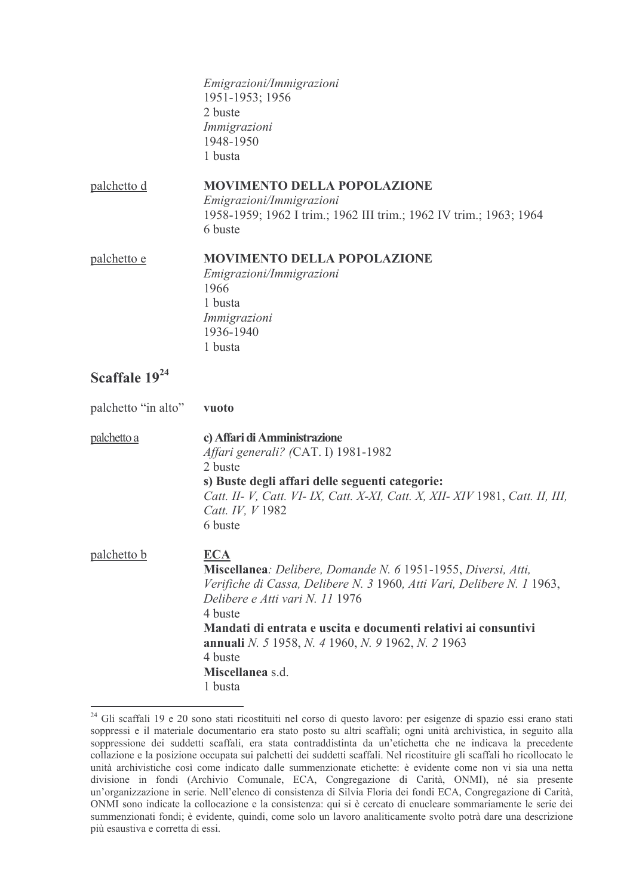Emigrazioni/Immigrazioni 1951-1953; 1956 2 buste Immigrazioni 1948-1950 1 busta

palchetto d **MOVIMENTO DELLA POPOLAZIONE** Emigrazioni/Immigrazioni 1958-1959; 1962 I trim.; 1962 III trim.; 1962 IV trim.; 1963; 1964 6 buste

#### palchetto e **MOVIMENTO DELLA POPOLAZIONE** Emigrazioni/Immigrazioni 1966

1 busta Immigrazioni 1936-1940 1 busta

## Scaffale 19<sup>24</sup>

palchetto "in alto" vuoto palchetto a c) Affari di Amministrazione Affari generali? (CAT. I) 1981-1982 2 buste s) Buste degli affari delle seguenti categorie: Catt. II- V, Catt. VI- IX, Catt. X-XI, Catt. X, XII- XIV 1981, Catt. II, III, Catt. IV. V 1982 6 buste palchetto b **ECA** Miscellanea: Delibere, Domande N. 6 1951-1955, Diversi, Atti, Verifiche di Cassa, Delibere N. 3 1960, Atti Vari, Delibere N. 1 1963, Delibere e Atti vari N. 11 1976 4 huste Mandati di entrata e uscita e documenti relativi ai consuntivi annuali N. 5 1958, N. 4 1960, N. 9 1962, N. 2 1963 4 buste Miscellanea s d 1 busta

<sup>&</sup>lt;sup>24</sup> Gli scaffali 19 e 20 sono stati ricostituiti nel corso di questo lavoro: per esigenze di spazio essi erano stati soppressi e il materiale documentario era stato posto su altri scaffali; ogni unità archivistica, in seguito alla soppressione dei suddetti scaffali, era stata contraddistinta da un'etichetta che ne indicava la precedente collazione e la posizione occupata sui palchetti dei suddetti scaffali. Nel ricostituire gli scaffali ho ricollocato le unità archivistiche così come indicato dalle summenzionate etichette: è evidente come non vi sia una netta divisione in fondi (Archivio Comunale, ECA, Congregazione di Carità, ONMI), né sia presente un'organizzazione in serie. Nell'elenco di consistenza di Silvia Floria dei fondi ECA, Congregazione di Carità, ONMI sono indicate la collocazione e la consistenza: qui si è cercato di enucleare sommariamente le serie dei summenzionati fondi; è evidente, quindi, come solo un lavoro analiticamente svolto potrà dare una descrizione più esaustiva e corretta di essi.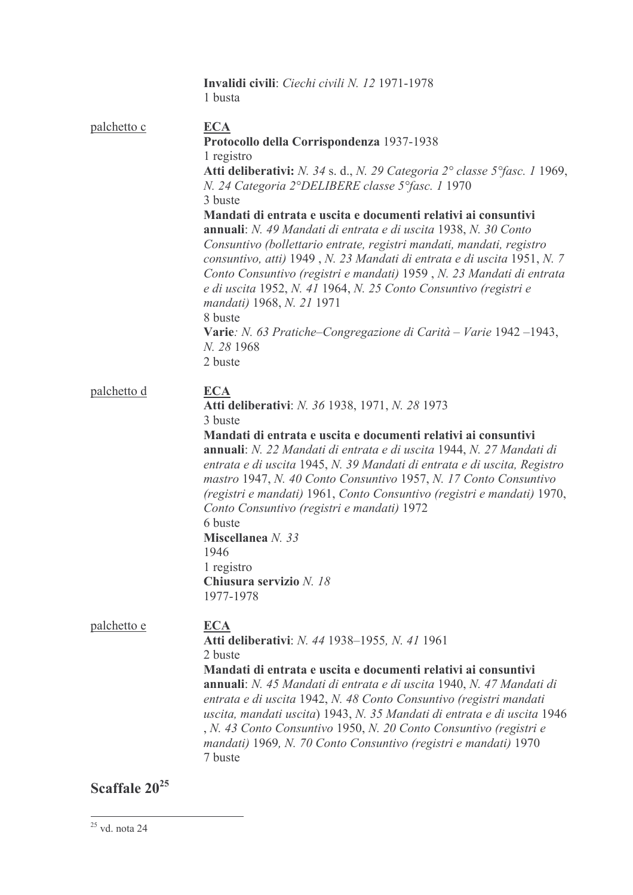|             | <b>Invalidi civili</b> : <i>Ciechi civili N. 12</i> 1971-1978<br>1 busta                                                                                                                                                                                                                                                                                                                                                                                                                                                                                                                                                                                                            |
|-------------|-------------------------------------------------------------------------------------------------------------------------------------------------------------------------------------------------------------------------------------------------------------------------------------------------------------------------------------------------------------------------------------------------------------------------------------------------------------------------------------------------------------------------------------------------------------------------------------------------------------------------------------------------------------------------------------|
| palchetto c | <b>ECA</b><br>Protocollo della Corrispondenza 1937-1938<br>1 registro<br>Atti deliberativi: N. 34 s. d., N. 29 Categoria 2° classe 5° fasc. 1 1969,<br>N. 24 Categoria 2°DELIBERE classe 5°fasc. 1 1970<br>3 buste<br>Mandati di entrata e uscita e documenti relativi ai consuntivi<br>annuali: N. 49 Mandati di entrata e di uscita 1938, N. 30 Conto<br>Consuntivo (bollettario entrate, registri mandati, mandati, registro<br>consuntivo, atti) 1949, N. 23 Mandati di entrata e di uscita 1951, N. 7<br>Conto Consuntivo (registri e mandati) 1959, N. 23 Mandati di entrata<br>e di uscita 1952, N. 41 1964, N. 25 Conto Consuntivo (registri e<br>mandati) 1968, N. 21 1971 |
|             | 8 buste<br>Varie: N. 63 Pratiche–Congregazione di Carità – Varie 1942 –1943,<br>N. 28 1968<br>2 buste                                                                                                                                                                                                                                                                                                                                                                                                                                                                                                                                                                               |
| palchetto d | <b>ECA</b><br><b>Atti deliberativi:</b> <i>N. 36</i> 1938, 1971, <i>N. 28</i> 1973<br>3 buste<br>Mandati di entrata e uscita e documenti relativi ai consuntivi<br><b>annuali</b> : <i>N. 22 Mandati di entrata e di uscita</i> 1944, <i>N. 27 Mandati di</i><br>entrata e di uscita 1945, N. 39 Mandati di entrata e di uscita, Registro<br>mastro 1947, N. 40 Conto Consuntivo 1957, N. 17 Conto Consuntivo<br>(registri e mandati) 1961, Conto Consuntivo (registri e mandati) 1970,<br>Conto Consuntivo (registri e mandati) 1972<br>6 buste<br>Miscellanea N. 33<br>1946<br>1 registro<br>Chiusura servizio N. 18<br>1977-1978                                                 |
| palchetto e | <b>ECA</b><br>Atti deliberativi: N. 44 1938-1955, N. 41 1961<br>2 buste<br>Mandati di entrata e uscita e documenti relativi ai consuntivi<br>annuali: N. 45 Mandati di entrata e di uscita 1940, N. 47 Mandati di<br>entrata e di uscita 1942, N. 48 Conto Consuntivo (registri mandati<br>uscita, mandati uscita) 1943, N. 35 Mandati di entrata e di uscita 1946<br>, N. 43 Conto Consuntivo 1950, N. 20 Conto Consuntivo (registri e<br>mandati) 1969, N. 70 Conto Consuntivo (registri e mandati) 1970<br>7 buste                                                                                                                                                               |

Scaffale  $20^{25}$ 

 $\overline{a}$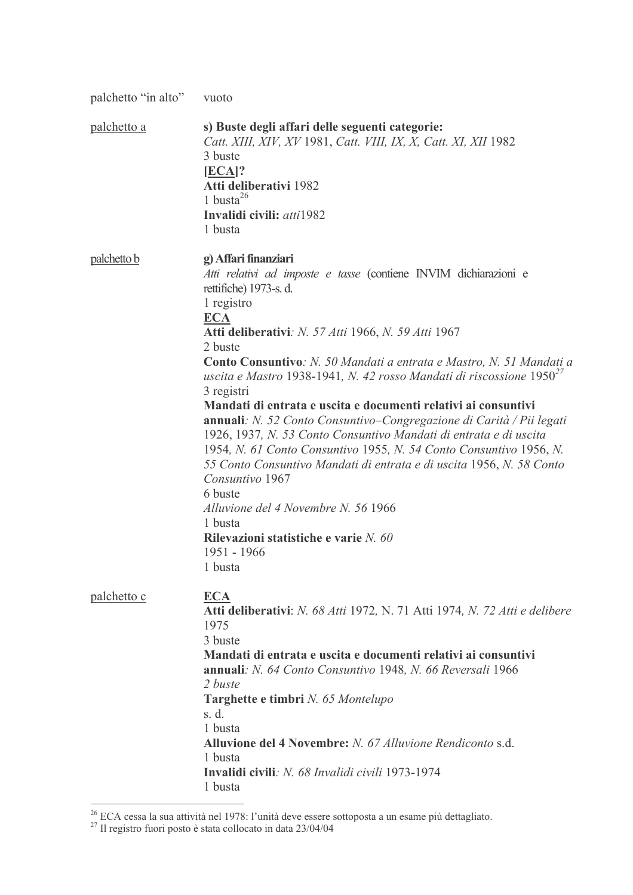| palchetto "in alto" | vuoto                                                                                                                                                                                                                                                                                                                                                                                                                                                                                                                                                                                                                                                                                                                                                                                                                                                                                                            |
|---------------------|------------------------------------------------------------------------------------------------------------------------------------------------------------------------------------------------------------------------------------------------------------------------------------------------------------------------------------------------------------------------------------------------------------------------------------------------------------------------------------------------------------------------------------------------------------------------------------------------------------------------------------------------------------------------------------------------------------------------------------------------------------------------------------------------------------------------------------------------------------------------------------------------------------------|
| <u>palchetto a</u>  | s) Buste degli affari delle seguenti categorie:<br>Catt. XIII, XIV, XV 1981, Catt. VIII, IX, X, Catt. XI, XII 1982<br>3 buste<br>$[ECA]$ ?<br>Atti deliberativi 1982<br>1 busta $26$<br>Invalidi civili: atti1982<br>1 busta                                                                                                                                                                                                                                                                                                                                                                                                                                                                                                                                                                                                                                                                                     |
| palchetto b         | g) Affari finanziari<br>Atti relativi ad imposte e tasse (contiene INVIM dichiarazioni e<br>rettifiche) 1973-s. d.<br>1 registro<br><b>ECA</b><br><b>Atti deliberativi:</b> <i>N. 57 Atti 1966, N. 59 Atti 1967</i><br>2 buste<br>Conto Consuntivo: N. 50 Mandati a entrata e Mastro, N. 51 Mandati a<br>uscita e Mastro 1938-1941, N. 42 rosso Mandati di riscossione $1950^{27}$<br>3 registri<br>Mandati di entrata e uscita e documenti relativi ai consuntivi<br>annuali: N. 52 Conto Consuntivo-Congregazione di Carità / Pii legati<br>1926, 1937, N. 53 Conto Consuntivo Mandati di entrata e di uscita<br>1954, N. 61 Conto Consuntivo 1955, N. 54 Conto Consuntivo 1956, N.<br>55 Conto Consuntivo Mandati di entrata e di uscita 1956, N. 58 Conto<br>Consuntivo 1967<br>6 buste<br>Alluvione del 4 Novembre N. 56 1966<br>1 busta<br>Rilevazioni statistiche e varie N. 60<br>1951 - 1966<br>1 busta |
| palchetto c         | <b>ECA</b><br>Atti deliberativi: N. 68 Atti 1972, N. 71 Atti 1974, N. 72 Atti e delibere<br>1975<br>3 buste<br>Mandati di entrata e uscita e documenti relativi ai consuntivi<br>annuali: N. 64 Conto Consuntivo 1948, N. 66 Reversali 1966<br>2 buste<br>Targhette e timbri N. 65 Montelupo<br>s. d.<br>1 busta<br>Alluvione del 4 Novembre: N. 67 Alluvione Rendiconto s.d.<br>1 busta<br>Invalidi civili: N. 68 Invalidi civili 1973-1974<br>1 busta                                                                                                                                                                                                                                                                                                                                                                                                                                                          |

<sup>&</sup>lt;sup>26</sup> ECA cessa la sua attività nel 1978: l'unità deve essere sottoposta a un esame più dettagliato.<br><sup>27</sup> Il registro fuori posto è stata collocato in data 23/04/04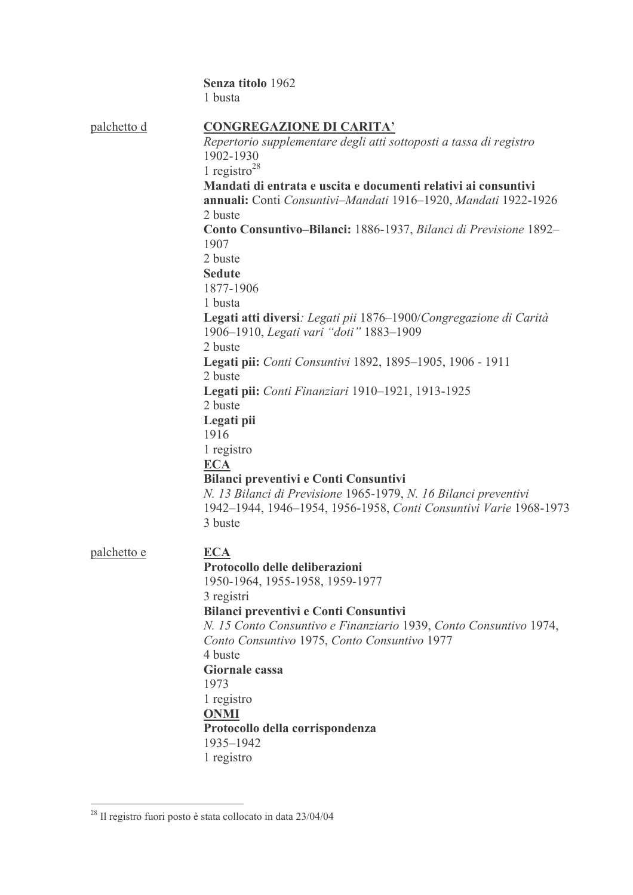|                    | Senza titolo 1962                                                                                                                                                                                                                                                                                                                                                                                                                                                                                                                                                                                                                                                                                                                                                                                                                                                                                                                   |
|--------------------|-------------------------------------------------------------------------------------------------------------------------------------------------------------------------------------------------------------------------------------------------------------------------------------------------------------------------------------------------------------------------------------------------------------------------------------------------------------------------------------------------------------------------------------------------------------------------------------------------------------------------------------------------------------------------------------------------------------------------------------------------------------------------------------------------------------------------------------------------------------------------------------------------------------------------------------|
|                    | 1 busta                                                                                                                                                                                                                                                                                                                                                                                                                                                                                                                                                                                                                                                                                                                                                                                                                                                                                                                             |
| palchetto d        | <b>CONGREGAZIONE DI CARITA'</b><br>Repertorio supplementare degli atti sottoposti a tassa di registro<br>1902-1930<br>1 registro <sup>28</sup><br>Mandati di entrata e uscita e documenti relativi ai consuntivi<br>annuali: Conti Consuntivi-Mandati 1916-1920, Mandati 1922-1926<br>2 buste<br>Conto Consuntivo-Bilanci: 1886-1937, Bilanci di Previsione 1892-<br>1907<br>2 buste<br><b>Sedute</b><br>1877-1906<br>1 busta<br>Legati atti diversi: Legati pii 1876-1900/Congregazione di Carità<br>1906-1910, Legati vari "doti" 1883-1909<br>2 buste<br>Legati pii: Conti Consuntivi 1892, 1895-1905, 1906 - 1911<br>2 buste<br>Legati pii: Conti Finanziari 1910-1921, 1913-1925<br>2 buste<br>Legati pii<br>1916<br>1 registro<br><b>ECA</b><br>Bilanci preventivi e Conti Consuntivi<br>N. 13 Bilanci di Previsione 1965-1979, N. 16 Bilanci preventivi<br>1942-1944, 1946-1954, 1956-1958, Conti Consuntivi Varie 1968-1973 |
| <u>palchetto e</u> | <b>ECA</b><br>Protocollo delle deliberazioni<br>1950-1964, 1955-1958, 1959-1977<br>3 registri<br>Bilanci preventivi e Conti Consuntivi<br>N. 15 Conto Consuntivo e Finanziario 1939, Conto Consuntivo 1974,<br>Conto Consuntivo 1975, Conto Consuntivo 1977<br>4 buste<br><b>Giornale cassa</b><br>1973<br>1 registro<br><b>ONMI</b><br>Protocollo della corrispondenza<br>1935-1942<br>1 registro                                                                                                                                                                                                                                                                                                                                                                                                                                                                                                                                  |

 $\frac{1}{28}$  Il registro fuori posto è stata collocato in data 23/04/04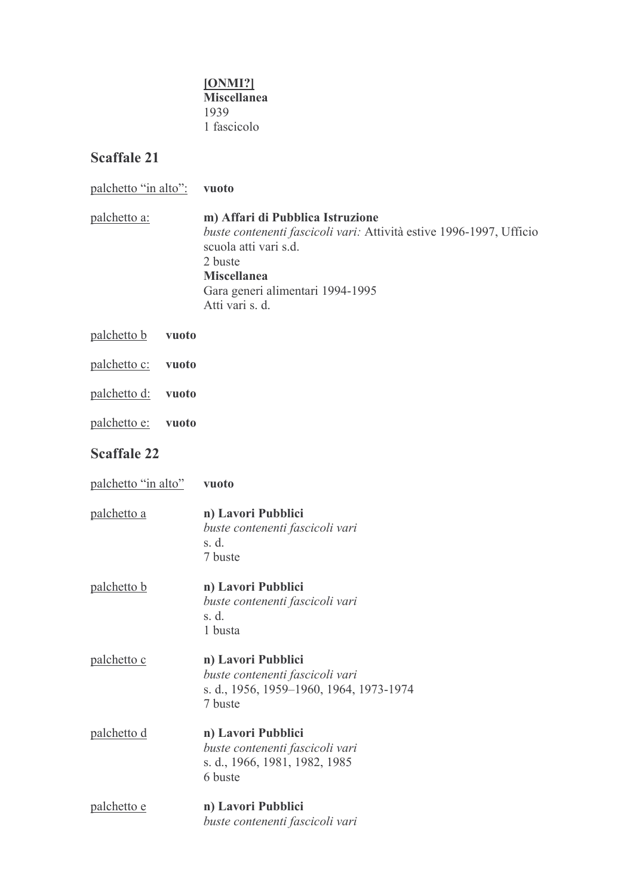#### [ONMI?] Miscellanea 1939 1 fascicolo

| palchetto "in alto": |       | vuoto                                                                                                                                                                                                                    |
|----------------------|-------|--------------------------------------------------------------------------------------------------------------------------------------------------------------------------------------------------------------------------|
| <u>palchetto a:</u>  |       | m) Affari di Pubblica Istruzione<br>buste contenenti fascicoli vari: Attività estive 1996-1997, Ufficio<br>scuola atti vari s.d.<br>2 buste<br><b>Miscellanea</b><br>Gara generi alimentari 1994-1995<br>Atti vari s. d. |
| palchetto b          | vuoto |                                                                                                                                                                                                                          |
| <u>palchetto c:</u>  | vuoto |                                                                                                                                                                                                                          |
| palchetto d:         | vuoto |                                                                                                                                                                                                                          |
| palchetto e:         | vuoto |                                                                                                                                                                                                                          |
| <b>Scaffale 22</b>   |       |                                                                                                                                                                                                                          |
| palchetto "in alto"  |       | vuoto                                                                                                                                                                                                                    |
| palchetto a          |       | n) Lavori Pubblici<br>buste contenenti fascicoli vari<br>s. d.<br>7 buste                                                                                                                                                |
| palchetto b          |       | n) Lavori Pubblici<br>buste contenenti fascicoli vari<br>s. d.<br>1 busta                                                                                                                                                |
| palchetto c          |       | n) Lavori Pubblici<br>buste contenenti fascicoli vari<br>s. d., 1956, 1959–1960, 1964, 1973-1974<br>7 buste                                                                                                              |
| palchetto d          |       | n) Lavori Pubblici<br>buste contenenti fascicoli vari<br>s. d., 1966, 1981, 1982, 1985<br>6 buste                                                                                                                        |
| palchetto e          |       | n) Lavori Pubblici<br>buste contenenti fascicoli vari                                                                                                                                                                    |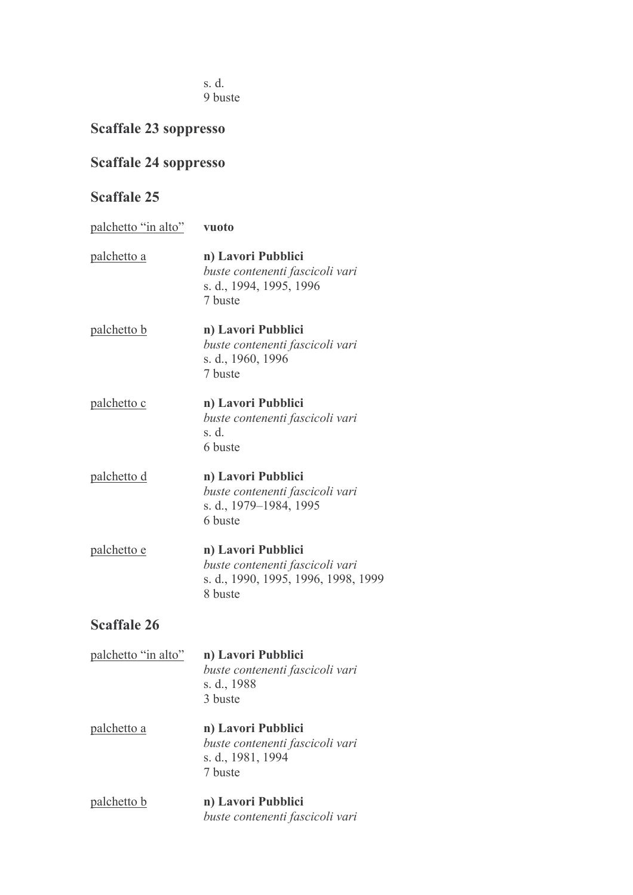s. d. 9 buste

## **Scaffale 23 soppresso**

### **Scaffale 24 soppresso**

- palchetto "in alto" vuoto n) Lavori Pubblici palchetto a buste contenenti fascicoli vari s. d., 1994, 1995, 1996 7 buste palchetto b n) Lavori Pubblici buste contenenti fascicoli vari s. d., 1960, 1996 7 buste palchetto c n) Lavori Pubblici buste contenenti fascicoli vari  $s. d.$ 6 buste palchetto d n) Lavori Pubblici buste contenenti fascicoli vari s. d., 1979-1984, 1995 6 buste palchetto e n) Lavori Pubblici buste contenenti fascicoli vari s. d., 1990, 1995, 1996, 1998, 1999 8 buste **Scaffale 26** palchetto "in alto" n) Lavori Pubblici buste contenenti fascicoli vari
	- s. d., 1988 3 buste
- palchetto a n) Lavori Pubblici buste contenenti fascicoli vari s. d., 1981, 1994 7 buste
- palchetto b n) Lavori Pubblici buste contenenti fascicoli vari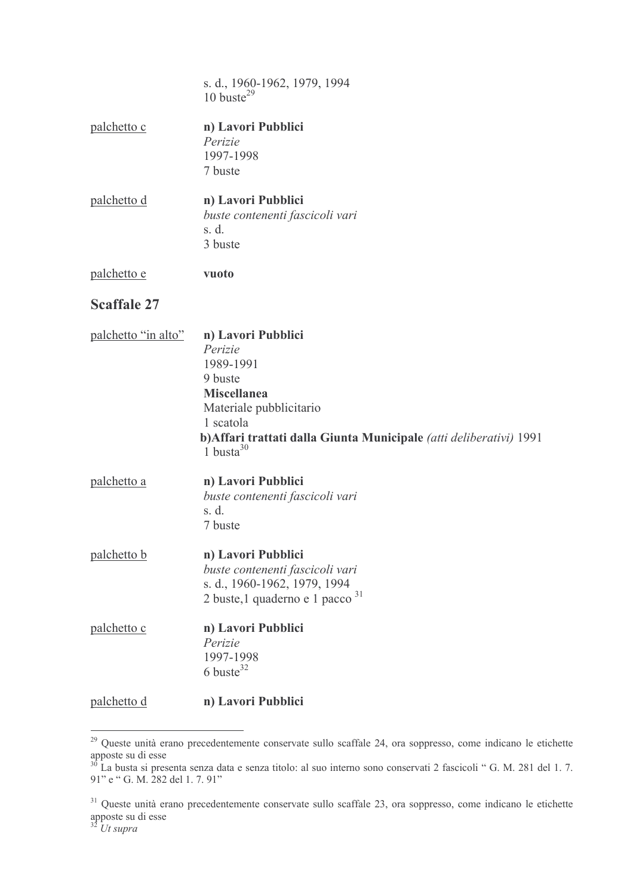|                     | s. d., 1960-1962, 1979, 1994<br>$10 \text{ burste}^{29}$                                                                                                                                                   |
|---------------------|------------------------------------------------------------------------------------------------------------------------------------------------------------------------------------------------------------|
| palchetto c         | n) Lavori Pubblici<br>Perizie<br>1997-1998<br>7 buste                                                                                                                                                      |
| palchetto d         | n) Lavori Pubblici<br>buste contenenti fascicoli vari<br>s. d.<br>3 buste                                                                                                                                  |
| palchetto e         | vuoto                                                                                                                                                                                                      |
| <b>Scaffale 27</b>  |                                                                                                                                                                                                            |
| palchetto "in alto" | n) Lavori Pubblici<br>Perizie<br>1989-1991<br>9 buste<br><b>Miscellanea</b><br>Materiale pubblicitario<br>1 scatola<br>b) Affari trattati dalla Giunta Municipale (atti deliberativi) 1991<br>1 busta $30$ |
| palchetto a         | n) Lavori Pubblici<br>buste contenenti fascicoli vari<br>s. d.<br>7 buste                                                                                                                                  |
| palchetto b         | n) Lavori Pubblici<br>buste contenenti fascicoli vari<br>s. d., 1960-1962, 1979, 1994<br>2 buste, 1 quaderno e 1 pacco <sup>31</sup>                                                                       |
| palchetto c         | n) Lavori Pubblici<br>Perizie<br>1997-1998<br>$6$ buste <sup>32</sup>                                                                                                                                      |
| palchetto d         | n) Lavori Pubblici                                                                                                                                                                                         |

<sup>&</sup>lt;sup>29</sup> Queste unità erano precedentemente conservate sullo scaffale 24, ora soppresso, come indicano le etichette

apposte su di esse<br>
<sup>30</sup> La busta si presenta senza data e senza titolo: al suo interno sono conservati 2 fascicoli " G. M. 281 del 1. 7.<br>
91" e " G. M. 282 del 1. 7. 91"

<sup>&</sup>lt;sup>31</sup> Queste unità erano precedentemente conservate sullo scaffale 23, ora soppresso, come indicano le etichette apposte su di esse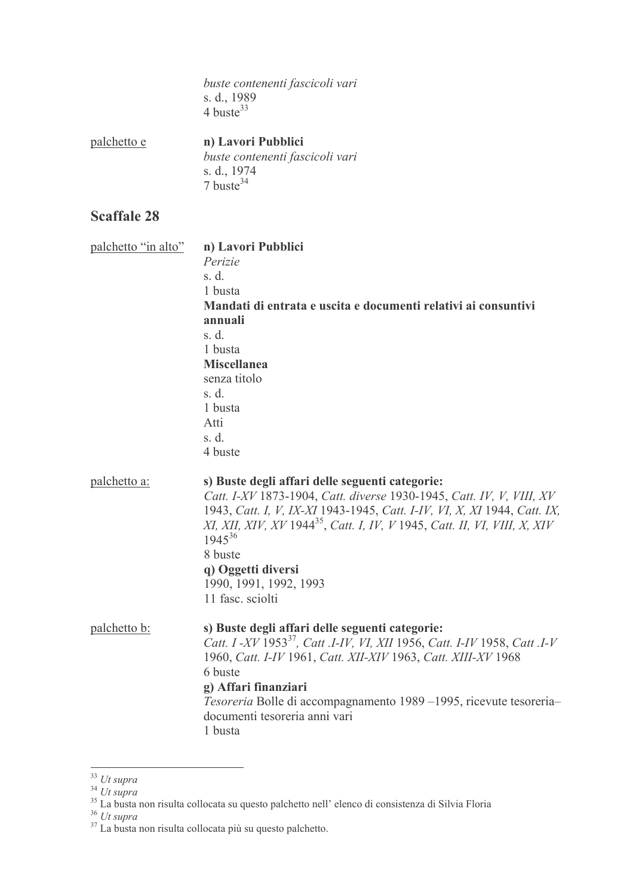buste contenenti fascicoli vari s. d., 1989<br>4 buste<sup>33</sup>

palchetto e n) Lavori Pubblici buste contenenti fascicoli vari s. d., 1974<br>7 buste<sup>34</sup>

| palchetto "in alto" | n) Lavori Pubblici                                                                    |
|---------------------|---------------------------------------------------------------------------------------|
|                     | Perizie                                                                               |
|                     | s. d.                                                                                 |
|                     | 1 busta                                                                               |
|                     | Mandati di entrata e uscita e documenti relativi ai consuntivi                        |
|                     | annuali                                                                               |
|                     | s. d.                                                                                 |
|                     | 1 busta                                                                               |
|                     | <b>Miscellanea</b>                                                                    |
|                     | senza titolo                                                                          |
|                     | s. d.                                                                                 |
|                     | 1 busta                                                                               |
|                     | Atti                                                                                  |
|                     | s. d.                                                                                 |
|                     | 4 buste                                                                               |
| palchetto a:        | s) Buste degli affari delle seguenti categorie:                                       |
|                     | Catt. I-XV 1873-1904, Catt. diverse 1930-1945, Catt. IV, V, VIII, XV                  |
|                     | 1943, Catt. I, V, IX-XI 1943-1945, Catt. I-IV, VI, X, XI 1944, Catt. IX,              |
|                     | XI, XII, XIV, XV 1944 <sup>35</sup> , Catt. I, IV, V 1945, Catt. II, VI, VIII, X, XIV |
|                     | $1945^{36}$                                                                           |
|                     | 8 buste                                                                               |
|                     | q) Oggetti diversi                                                                    |
|                     | 1990, 1991, 1992, 1993                                                                |
|                     | 11 fasc. sciolti                                                                      |
| palchetto b:        | s) Buste degli affari delle seguenti categorie:                                       |
|                     | Catt. I -XV 1953 <sup>37</sup> , Catt .I-IV, VI, XII 1956, Catt. I-IV 1958, Catt .I-V |
|                     | 1960, Catt. I-IV 1961, Catt. XII-XIV 1963, Catt. XIII-XV 1968                         |
|                     | 6 buste                                                                               |
|                     | g) Affari finanziari                                                                  |
|                     | Tesoreria Bolle di accompagnamento 1989-1995, ricevute tesoreria-                     |
|                     | documenti tesoreria anni vari                                                         |
|                     | 1 busta                                                                               |
|                     |                                                                                       |

<sup>&</sup>lt;sup>33</sup> Ut supra<br><sup>34</sup> Ut supra<br><sup>35</sup> La busta non risulta collocata su questo palchetto nell' elenco di consistenza di Silvia Floria<br><sup>36</sup> Ut supra<br><sup>37</sup> La busta non risulta collocata più su questo palchetto.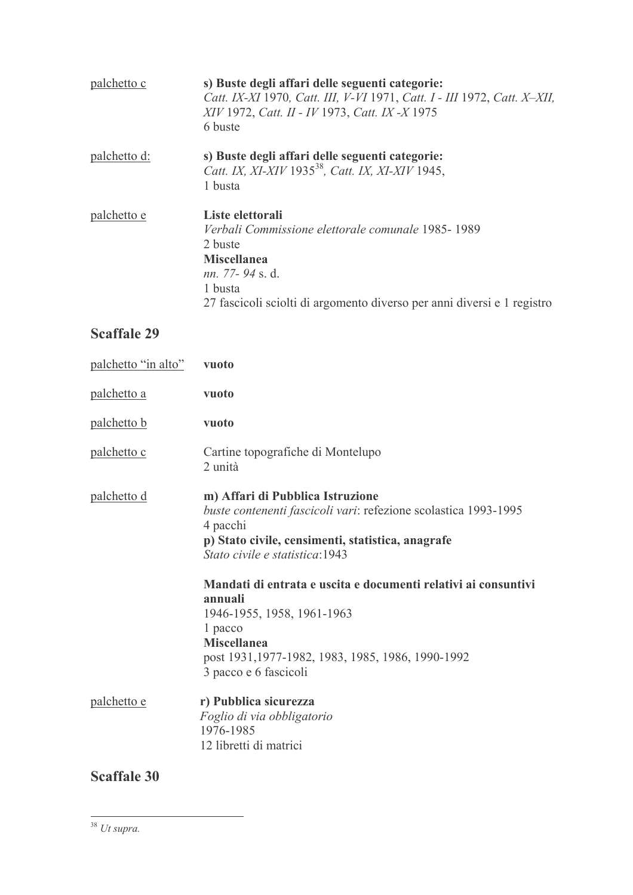| palchetto c  | s) Buste degli affari delle seguenti categorie:<br>Catt. IX-XI 1970, Catt. III, V-VI 1971, Catt. I - III 1972, Catt. X-XII,<br>XIV 1972, Catt. II - IV 1973, Catt. IX - X 1975<br>6 buste                             |
|--------------|-----------------------------------------------------------------------------------------------------------------------------------------------------------------------------------------------------------------------|
| palchetto d: | s) Buste degli affari delle seguenti categorie:<br>Catt. IX, XI-XIV 1935 <sup>38</sup> , Catt. IX, XI-XIV 1945,<br>1 busta                                                                                            |
| palchetto e  | Liste elettorali<br>Verbali Commissione elettorale comunale 1985-1989<br>2 buste<br><b>Miscellanea</b><br><i>nn.</i> 77-94 s.d.<br>1 busta<br>27 fascicoli sciolti di argomento diverso per anni diversi e 1 registro |

## **Scaffale 29**

| palchetto "in alto" | vuoto                                                                                                                                                                                                                                                                                                                                                                                                                            |
|---------------------|----------------------------------------------------------------------------------------------------------------------------------------------------------------------------------------------------------------------------------------------------------------------------------------------------------------------------------------------------------------------------------------------------------------------------------|
| <u>palchetto a</u>  | vuoto                                                                                                                                                                                                                                                                                                                                                                                                                            |
| palchetto b         | vuoto                                                                                                                                                                                                                                                                                                                                                                                                                            |
| <u>palchetto c</u>  | Cartine topografiche di Montelupo<br>2 unità                                                                                                                                                                                                                                                                                                                                                                                     |
| <u>palchetto d</u>  | m) Affari di Pubblica Istruzione<br>buste contenenti fascicoli vari: refezione scolastica 1993-1995<br>4 pacchi<br>p) Stato civile, censimenti, statistica, anagrafe<br>Stato civile e statistica:1943<br>Mandati di entrata e uscita e documenti relativi ai consuntivi<br>annuali<br>1946-1955, 1958, 1961-1963<br>1 pacco<br><b>Miscellanea</b><br>post 1931, 1977-1982, 1983, 1985, 1986, 1990-1992<br>3 pacco e 6 fascicoli |
| <u>palchetto e</u>  | r) Pubblica sicurezza<br>Foglio di via obbligatorio<br>1976-1985<br>12 libretti di matrici                                                                                                                                                                                                                                                                                                                                       |

 $\overline{a}$ 

 $\frac{1}{38}$  Ut supra.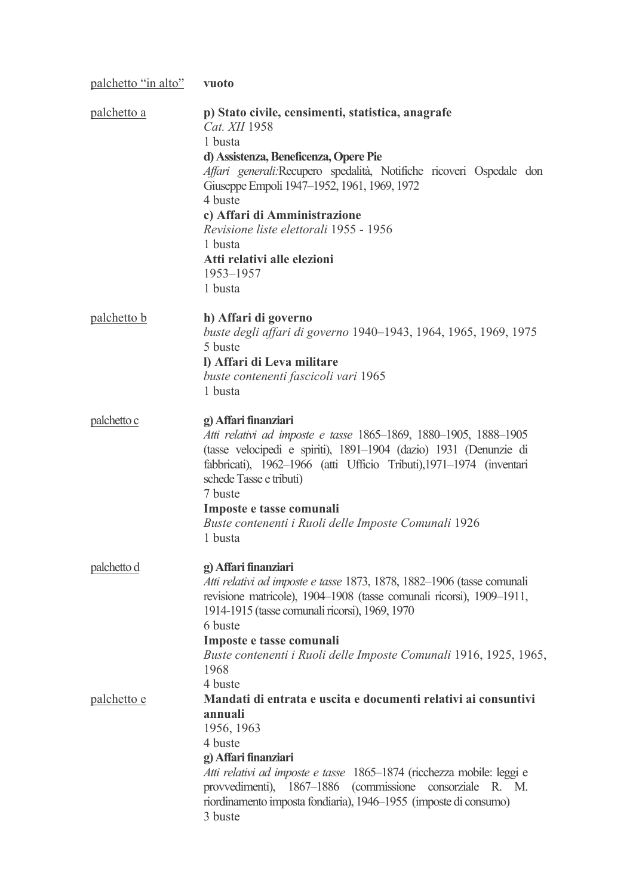| palchetto "in alto" | vuoto                                                                                                                                                                                                                                                                                                                                                                                                |
|---------------------|------------------------------------------------------------------------------------------------------------------------------------------------------------------------------------------------------------------------------------------------------------------------------------------------------------------------------------------------------------------------------------------------------|
| palchetto a         | p) Stato civile, censimenti, statistica, anagrafe<br>Cat. XII 1958<br>1 busta<br>d) Assistenza, Beneficenza, Opere Pie<br>Affari generali: Recupero spedalità, Notifiche ricoveri Ospedale don<br>Giuseppe Empoli 1947-1952, 1961, 1969, 1972<br>4 buste<br>c) Affari di Amministrazione<br>Revisione liste elettorali 1955 - 1956<br>1 busta<br>Atti relativi alle elezioni<br>1953-1957<br>1 busta |
| palchetto b         | h) Affari di governo<br>buste degli affari di governo 1940–1943, 1964, 1965, 1969, 1975<br>5 buste<br>I) Affari di Leva militare<br>buste contenenti fascicoli vari 1965<br>1 busta                                                                                                                                                                                                                  |
| palchetto c         | g) Affari finanziari<br>Atti relativi ad imposte e tasse 1865–1869, 1880–1905, 1888–1905<br>(tasse velocipedi e spiriti), 1891-1904 (dazio) 1931 (Denunzie di<br>fabbricati), 1962-1966 (atti Ufficio Tributi), 1971-1974 (inventari<br>schede Tasse e tributi)<br>7 buste<br>Imposte e tasse comunali<br>Buste contenenti i Ruoli delle Imposte Comunali 1926<br>1 busta                            |
| palchetto d         | g) Affari finanziari<br>Atti relativi ad imposte e tasse 1873, 1878, 1882-1906 (tasse comunali<br>revisione matricole), 1904–1908 (tasse comunali ricorsi), 1909–1911,<br>1914-1915 (tasse comunali ricorsi), 1969, 1970<br>6 buste<br>Imposte e tasse comunali<br>Buste contenenti i Ruoli delle Imposte Comunali 1916, 1925, 1965,<br>1968<br>4 buste                                              |
| palchetto e         | Mandati di entrata e uscita e documenti relativi ai consuntivi<br>annuali<br>1956, 1963<br>4 buste<br>g) Affari finanziari<br>Atti relativi ad imposte e tasse 1865-1874 (ricchezza mobile: leggi e<br>provvedimenti), 1867-1886 (commissione consorziale R. M.<br>riordinamento imposta fondiaria), 1946-1955 (imposte di consumo)<br>3 buste                                                       |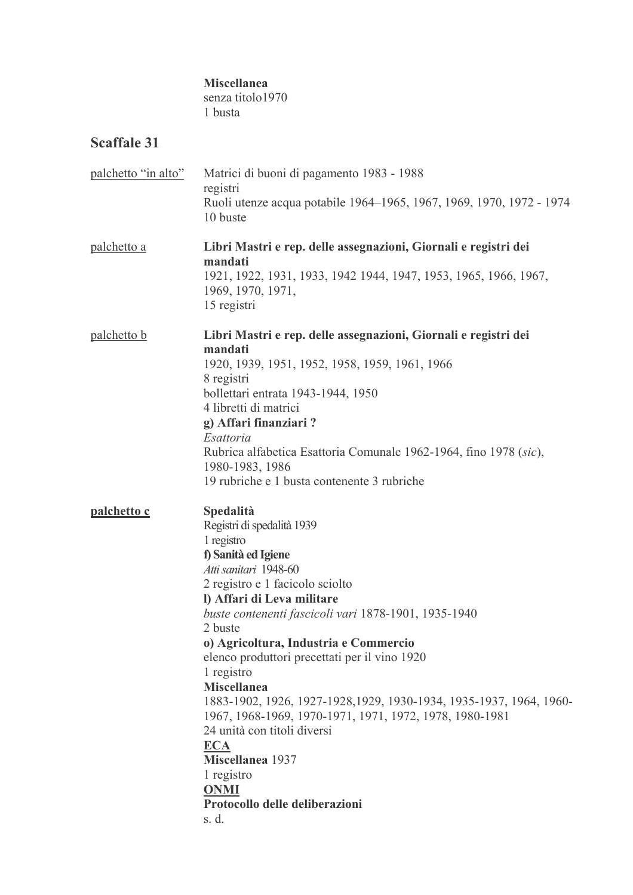#### Miscellanea

senza titolo1970 1 busta

| palchetto "in alto" | Matrici di buoni di pagamento 1983 - 1988<br>registri<br>Ruoli utenze acqua potabile 1964–1965, 1967, 1969, 1970, 1972 - 1974<br>10 buste                                                                                                                                                                                                                                                                                                                                                                                                                                                                                                                     |
|---------------------|---------------------------------------------------------------------------------------------------------------------------------------------------------------------------------------------------------------------------------------------------------------------------------------------------------------------------------------------------------------------------------------------------------------------------------------------------------------------------------------------------------------------------------------------------------------------------------------------------------------------------------------------------------------|
| palchetto a         | Libri Mastri e rep. delle assegnazioni, Giornali e registri dei<br>mandati<br>1921, 1922, 1931, 1933, 1942 1944, 1947, 1953, 1965, 1966, 1967,<br>1969, 1970, 1971,                                                                                                                                                                                                                                                                                                                                                                                                                                                                                           |
| palchetto b         | 15 registri<br>Libri Mastri e rep. delle assegnazioni, Giornali e registri dei<br>mandati<br>1920, 1939, 1951, 1952, 1958, 1959, 1961, 1966<br>8 registri<br>bollettari entrata 1943-1944, 1950<br>4 libretti di matrici<br>g) Affari finanziari?<br>Esattoria<br>Rubrica alfabetica Esattoria Comunale 1962-1964, fino 1978 (sic),<br>1980-1983, 1986                                                                                                                                                                                                                                                                                                        |
| palchetto c         | 19 rubriche e 1 busta contenente 3 rubriche<br><b>Spedalità</b><br>Registri di spedalità 1939<br>1 registro<br>f) Sanità ed Igiene<br>Atti sanitari 1948-60<br>2 registro e 1 facicolo sciolto<br>l) Affari di Leva militare<br>buste contenenti fascicoli vari 1878-1901, 1935-1940<br>2 buste<br>o) Agricoltura, Industria e Commercio<br>elenco produttori precettati per il vino 1920<br>1 registro<br><b>Miscellanea</b><br>1883-1902, 1926, 1927-1928, 1929, 1930-1934, 1935-1937, 1964, 1960-<br>1967, 1968-1969, 1970-1971, 1971, 1972, 1978, 1980-1981<br>24 unità con titoli diversi<br><b>ECA</b><br>Miscellanea 1937<br>1 registro<br><b>ONMI</b> |
|                     | Protocollo delle deliberazioni<br>s. d.                                                                                                                                                                                                                                                                                                                                                                                                                                                                                                                                                                                                                       |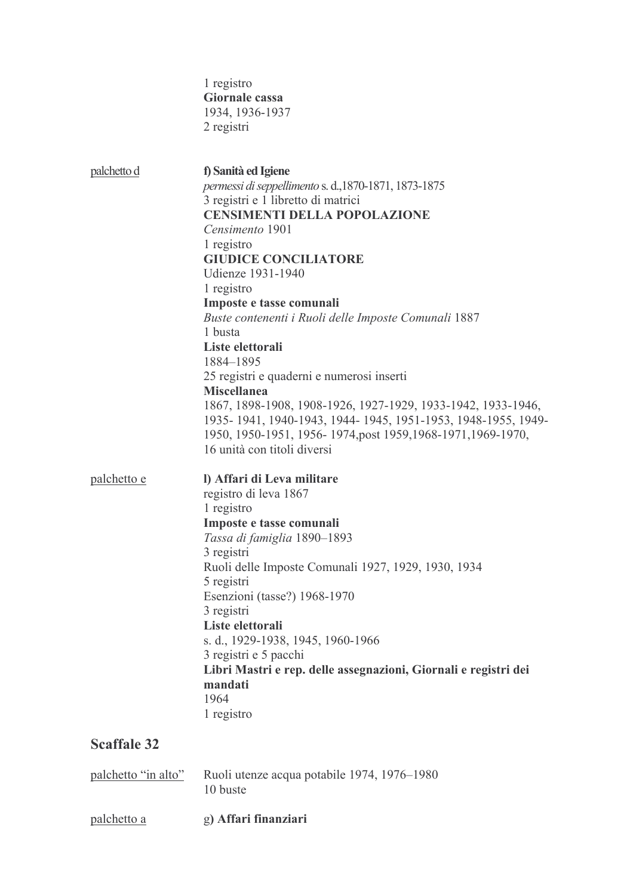1 registro Giornale cassa 1934, 1936-1937 2 registri

| palchetto d         | f) Sanità ed Igiene<br>permessi di seppellimento s. d., 1870-1871, 1873-1875<br>3 registri e 1 libretto di matrici<br><b>CENSIMENTI DELLA POPOLAZIONE</b><br>Censimento 1901<br>1 registro<br><b>GIUDICE CONCILIATORE</b><br>Udienze 1931-1940<br>1 registro<br>Imposte e tasse comunali<br>Buste contenenti i Ruoli delle Imposte Comunali 1887<br>1 busta<br>Liste elettorali<br>1884-1895<br>25 registri e quaderni e numerosi inserti<br><b>Miscellanea</b><br>1867, 1898-1908, 1908-1926, 1927-1929, 1933-1942, 1933-1946,<br>1935-1941, 1940-1943, 1944-1945, 1951-1953, 1948-1955, 1949-<br>1950, 1950-1951, 1956-1974, post 1959, 1968-1971, 1969-1970,<br>16 unità con titoli diversi |
|---------------------|------------------------------------------------------------------------------------------------------------------------------------------------------------------------------------------------------------------------------------------------------------------------------------------------------------------------------------------------------------------------------------------------------------------------------------------------------------------------------------------------------------------------------------------------------------------------------------------------------------------------------------------------------------------------------------------------|
| palchetto e         | I) Affari di Leva militare<br>registro di leva 1867<br>1 registro<br>Imposte e tasse comunali<br>Tassa di famiglia 1890-1893<br>3 registri<br>Ruoli delle Imposte Comunali 1927, 1929, 1930, 1934<br>5 registri<br>Esenzioni (tasse?) 1968-1970<br>3 registri<br>Liste elettorali<br>s. d., 1929-1938, 1945, 1960-1966<br>3 registri e 5 pacchi<br>Libri Mastri e rep. delle assegnazioni, Giornali e registri dei<br>mandati<br>1964<br>1 registro                                                                                                                                                                                                                                            |
| <b>Scaffale 32</b>  |                                                                                                                                                                                                                                                                                                                                                                                                                                                                                                                                                                                                                                                                                                |
| palchetto "in alto" | Ruoli utenze acqua potabile 1974, 1976-1980                                                                                                                                                                                                                                                                                                                                                                                                                                                                                                                                                                                                                                                    |

10 buste

palchetto a g) Affari finanziari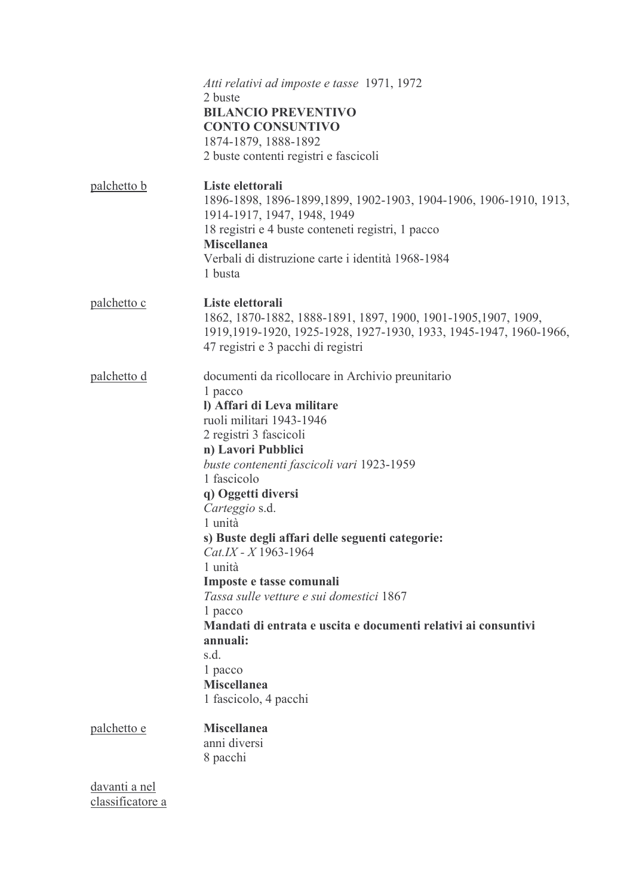|                                   | Atti relativi ad imposte e tasse 1971, 1972<br>2 buste<br><b>BILANCIO PREVENTIVO</b><br><b>CONTO CONSUNTIVO</b><br>1874-1879, 1888-1892<br>2 buste contenti registri e fascicoli                                                                                                                                                                                                                                                                                                                                                                                                                                |
|-----------------------------------|-----------------------------------------------------------------------------------------------------------------------------------------------------------------------------------------------------------------------------------------------------------------------------------------------------------------------------------------------------------------------------------------------------------------------------------------------------------------------------------------------------------------------------------------------------------------------------------------------------------------|
| palchetto b                       | Liste elettorali<br>1896-1898, 1896-1899, 1899, 1902-1903, 1904-1906, 1906-1910, 1913,<br>1914-1917, 1947, 1948, 1949<br>18 registri e 4 buste conteneti registri, 1 pacco<br><b>Miscellanea</b><br>Verbali di distruzione carte i identità 1968-1984<br>1 busta                                                                                                                                                                                                                                                                                                                                                |
| <u>palchetto c</u>                | Liste elettorali<br>1862, 1870-1882, 1888-1891, 1897, 1900, 1901-1905, 1907, 1909,<br>1919, 1919-1920, 1925-1928, 1927-1930, 1933, 1945-1947, 1960-1966,<br>47 registri e 3 pacchi di registri                                                                                                                                                                                                                                                                                                                                                                                                                  |
| palchetto d                       | documenti da ricollocare in Archivio preunitario<br>1 pacco<br>I) Affari di Leva militare<br>ruoli militari 1943-1946<br>2 registri 3 fascicoli<br>n) Lavori Pubblici<br>buste contenenti fascicoli vari 1923-1959<br>1 fascicolo<br>q) Oggetti diversi<br>Carteggio s.d.<br>1 unità<br>s) Buste degli affari delle seguenti categorie:<br>$Cat.IX - X$ 1963-1964<br>1 unità<br>Imposte e tasse comunali<br>Tassa sulle vetture e sui domestici 1867<br>1 pacco<br>Mandati di entrata e uscita e documenti relativi ai consuntivi<br>annuali:<br>s.d.<br>1 pacco<br><b>Miscellanea</b><br>1 fascicolo, 4 pacchi |
| palchetto e                       | <b>Miscellanea</b><br>anni diversi<br>8 pacchi                                                                                                                                                                                                                                                                                                                                                                                                                                                                                                                                                                  |
| davanti a nel<br>classificatore a |                                                                                                                                                                                                                                                                                                                                                                                                                                                                                                                                                                                                                 |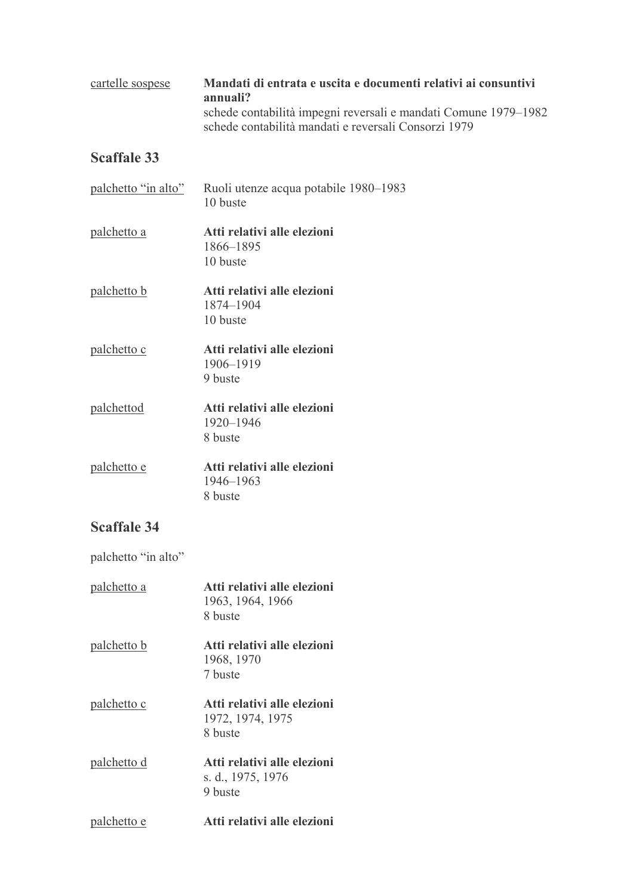#### cartelle sospese Mandati di entrata e uscita e documenti relativi ai consuntivi annuali? schede contabilità impegni reversali e mandati Comune 1979-1982 schede contabilità mandati e reversali Consorzi 1979

## **Scaffale 33**

| palchetto "in alto" | Ruoli utenze acqua potabile 1980–1983<br>10 buste |
|---------------------|---------------------------------------------------|
| palchetto a         | Atti relativi alle elezioni                       |
|                     | 1866–1895                                         |
|                     | 10 buste                                          |
| <u>palchetto b</u>  | Atti relativi alle elezioni                       |
|                     | 1874-1904                                         |
|                     | 10 buste                                          |
| palchetto c         | Atti relativi alle elezioni                       |
|                     | 1906-1919                                         |
|                     | 9 buste                                           |
| palchettod          | Atti relativi alle elezioni                       |
|                     | 1920-1946                                         |
|                     | 8 buste                                           |
| palchetto e         | Atti relativi alle elezioni                       |
|                     | 1946–1963                                         |
|                     | 8 buste                                           |

## **Scaffale 34**

palchetto "in alto"

| palchetto a        | Atti relativi alle elezioni<br>1963, 1964, 1966<br>8 buste  |
|--------------------|-------------------------------------------------------------|
| palchetto b        | Atti relativi alle elezioni<br>1968, 1970<br>7 buste        |
| <u>palchetto c</u> | Atti relativi alle elezioni<br>1972, 1974, 1975<br>8 buste  |
| palchetto d        | Atti relativi alle elezioni<br>s. d., 1975, 1976<br>9 buste |
| palchetto e        | Atti relativi alle elezioni                                 |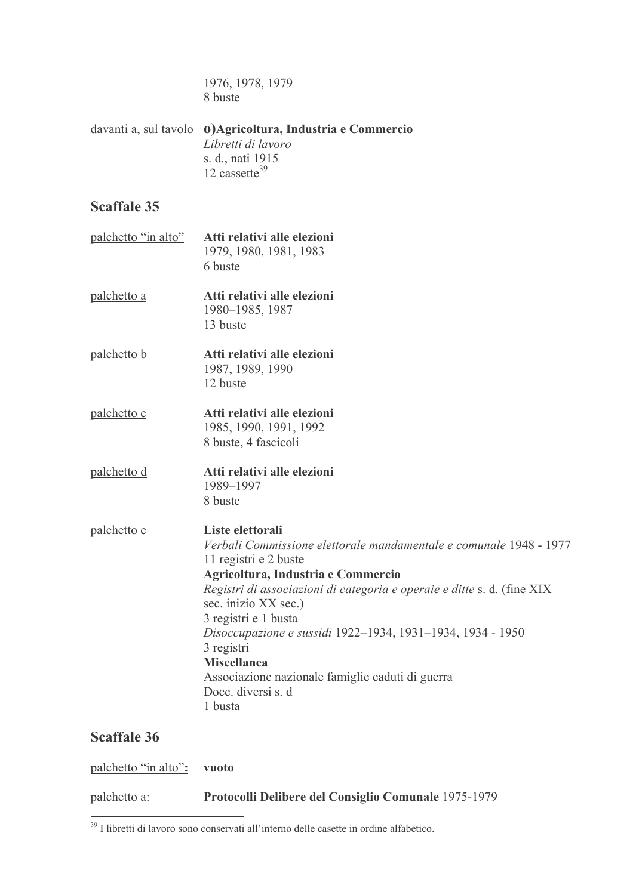1976, 1978, 1979 8 buste

davanti a, sul tavolo **o**)Agricoltura, Industria e Commercio Libretti di lavoro s. d., nati 1915 12 cassette $39$ 

#### Scaffale 35

- palchetto "in alto" Atti relativi alle elezioni 1979, 1980, 1981, 1983 6 buste
- palchetto a Atti relativi alle elezioni 1980-1985, 1987 13 buste
- palchetto b Atti relativi alle elezioni 1987, 1989, 1990 12 buste
- palchetto c Atti relativi alle elezioni 1985, 1990, 1991, 1992 8 buste, 4 fascicoli
- Atti relativi alle elezioni palchetto d 1989-1997 8 buste
- palchetto e Liste elettorali Verbali Commissione elettorale mandamentale e comunale 1948 - 1977 11 registri e 2 buste Agricoltura, Industria e Commercio Registri di associazioni di categoria e operaie e ditte s. d. (fine XIX sec. inizio XX sec.) 3 registri e 1 busta Disoccupazione e sussidi 1922-1934, 1931-1934, 1934 - 1950 3 registri **Miscellanea** Associazione nazionale famiglie caduti di guerra Docc. diversi s. d 1 husta

| palchetto "in alto": vuoto |                                                      |
|----------------------------|------------------------------------------------------|
| palchetto a:               | Protocolli Delibere del Consiglio Comunale 1975-1979 |

<sup>&</sup>lt;sup>39</sup> I libretti di lavoro sono conservati all'interno delle casette in ordine alfabetico.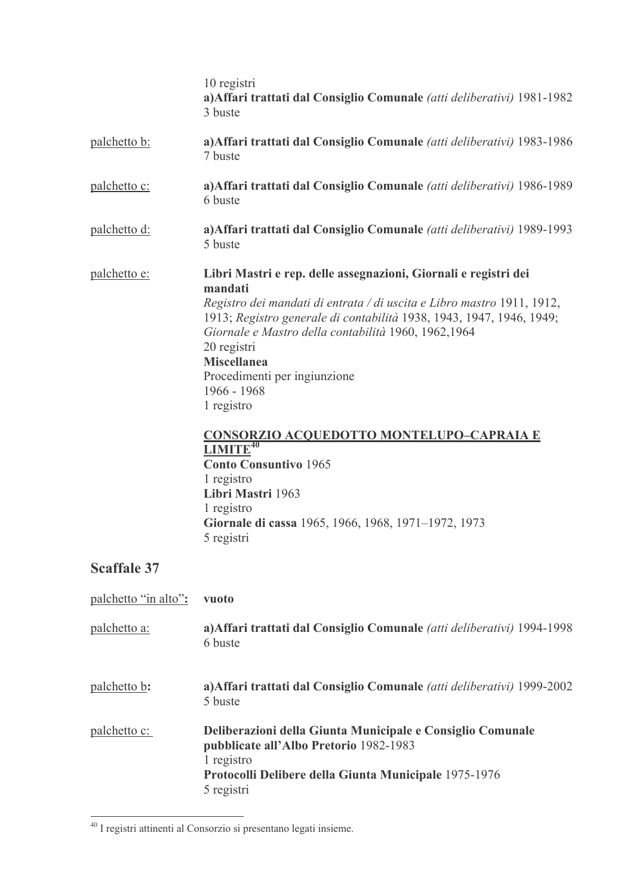|                      | 10 registri<br>a) Affari trattati dal Consiglio Comunale (atti deliberativi) 1981-1982<br>3 buste                                                                                                                                                                                                                                                                                                                                                                                                                                                                                                               |
|----------------------|-----------------------------------------------------------------------------------------------------------------------------------------------------------------------------------------------------------------------------------------------------------------------------------------------------------------------------------------------------------------------------------------------------------------------------------------------------------------------------------------------------------------------------------------------------------------------------------------------------------------|
| <u>palchetto b:</u>  | a) Affari trattati dal Consiglio Comunale (atti deliberativi) 1983-1986<br>7 buste                                                                                                                                                                                                                                                                                                                                                                                                                                                                                                                              |
| palchetto c:         | a) Affari trattati dal Consiglio Comunale (atti deliberativi) 1986-1989<br>6 buste                                                                                                                                                                                                                                                                                                                                                                                                                                                                                                                              |
| <u>palchetto d:</u>  | a) Affari trattati dal Consiglio Comunale (atti deliberativi) 1989-1993<br>5 buste                                                                                                                                                                                                                                                                                                                                                                                                                                                                                                                              |
| palchetto e:         | Libri Mastri e rep. delle assegnazioni, Giornali e registri dei<br>mandati<br>Registro dei mandati di entrata / di uscita e Libro mastro 1911, 1912,<br>1913; Registro generale di contabilità 1938, 1943, 1947, 1946, 1949;<br>Giornale e Mastro della contabilità 1960, 1962,1964<br>20 registri<br><b>Miscellanea</b><br>Procedimenti per ingiunzione<br>1966 - 1968<br>1 registro<br><b>CONSORZIO ACQUEDOTTO MONTELUPO-CAPRAIA E</b><br>$LIMITE^{40}$<br><b>Conto Consuntivo 1965</b><br>1 registro<br>Libri Mastri 1963<br>1 registro<br>Giornale di cassa 1965, 1966, 1968, 1971–1972, 1973<br>5 registri |
| <b>Scaffale 37</b>   |                                                                                                                                                                                                                                                                                                                                                                                                                                                                                                                                                                                                                 |
| palchetto "in alto": | vuoto                                                                                                                                                                                                                                                                                                                                                                                                                                                                                                                                                                                                           |
| palchetto a:         | a) Affari trattati dal Consiglio Comunale (atti deliberativi) 1994-1998<br>6 buste                                                                                                                                                                                                                                                                                                                                                                                                                                                                                                                              |

a) Affari trattati dal Consiglio Comunale (atti deliberativi) 1999-2002 palchetto b:  $\overline{5}$  buste

Deliberazioni della Giunta Municipale e Consiglio Comunale palchetto c: pubblicate all'Albo Pretorio 1982-1983 1 registro Protocolli Delibere della Giunta Municipale 1975-1976 5 registri

<sup>&</sup>lt;sup>40</sup> I registri attinenti al Consorzio si presentano legati insieme.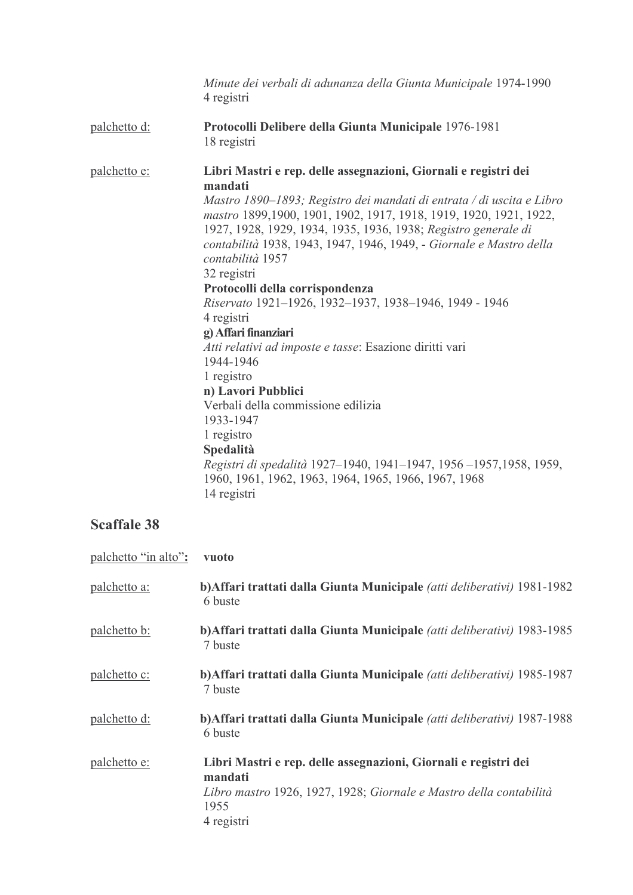|              | Minute dei verbali di adunanza della Giunta Municipale 1974-1990<br>4 registri                                                                                                                                                                                                                                                                                                                                                                                                                                                                                                                                                                                                                                                                                                                                                                                                  |
|--------------|---------------------------------------------------------------------------------------------------------------------------------------------------------------------------------------------------------------------------------------------------------------------------------------------------------------------------------------------------------------------------------------------------------------------------------------------------------------------------------------------------------------------------------------------------------------------------------------------------------------------------------------------------------------------------------------------------------------------------------------------------------------------------------------------------------------------------------------------------------------------------------|
| palchetto d: | Protocolli Delibere della Giunta Municipale 1976-1981<br>18 registri                                                                                                                                                                                                                                                                                                                                                                                                                                                                                                                                                                                                                                                                                                                                                                                                            |
| palchetto e: | Libri Mastri e rep. delle assegnazioni, Giornali e registri dei<br>mandati<br>Mastro 1890–1893; Registro dei mandati di entrata / di uscita e Libro<br>mastro 1899, 1900, 1901, 1902, 1917, 1918, 1919, 1920, 1921, 1922,<br>1927, 1928, 1929, 1934, 1935, 1936, 1938; Registro generale di<br>contabilità 1938, 1943, 1947, 1946, 1949, - Giornale e Mastro della<br>contabilità 1957<br>32 registri<br>Protocolli della corrispondenza<br>Riservato 1921-1926, 1932-1937, 1938-1946, 1949 - 1946<br>4 registri<br>g) Affari finanziari<br>Atti relativi ad imposte e tasse: Esazione diritti vari<br>1944-1946<br>1 registro<br>n) Lavori Pubblici<br>Verbali della commissione edilizia<br>1933-1947<br>1 registro<br>Spedalità<br>Registri di spedalità 1927–1940, 1941–1947, 1956–1957, 1958, 1959,<br>1960, 1961, 1962, 1963, 1964, 1965, 1966, 1967, 1968<br>14 registri |

| palchetto "in alto": | vuoto                                                                                                                                                                  |
|----------------------|------------------------------------------------------------------------------------------------------------------------------------------------------------------------|
| palchetto a:         | b) Affari trattati dalla Giunta Municipale (atti deliberativi) 1981-1982<br>6 buste                                                                                    |
| palchetto b:         | b) Affari trattati dalla Giunta Municipale (atti deliberativi) 1983-1985<br>7 buste                                                                                    |
| palchetto c:         | b) Affari trattati dalla Giunta Municipale (atti deliberativi) 1985-1987<br>7 buste                                                                                    |
| palchetto d:         | b) Affari trattati dalla Giunta Municipale (atti deliberativi) 1987-1988<br>6 buste                                                                                    |
| palchetto e:         | Libri Mastri e rep. delle assegnazioni, Giornali e registri dei<br>mandati<br>Libro mastro 1926, 1927, 1928; Giornale e Mastro della contabilità<br>1955<br>4 registri |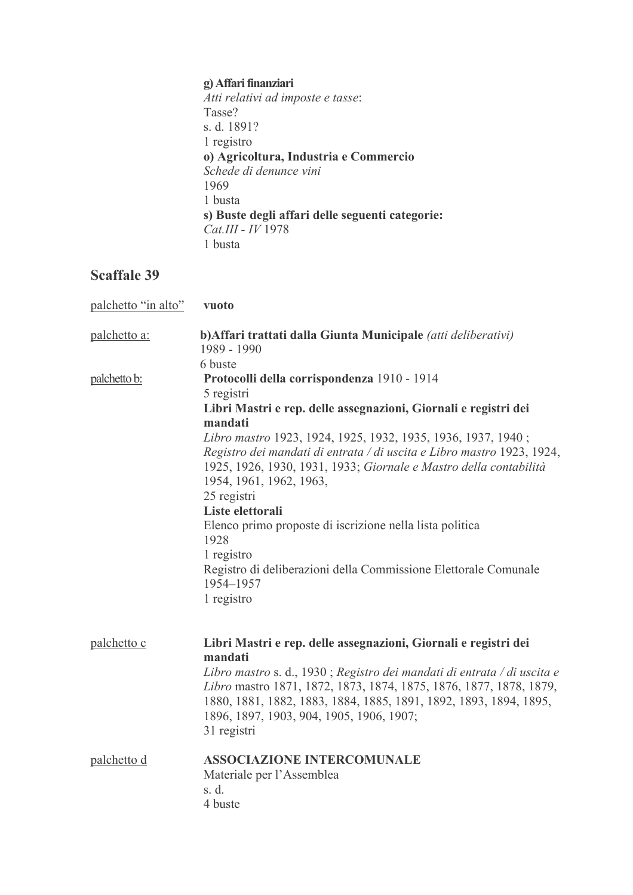## g) Affari finanziari

Atti relativi ad imposte e tasse: Tasse? s. d. 1891? 1 registro o) Agricoltura, Industria e Commercio<br>Schede di denunce vini 1969 1 busta s) Buste degli affari delle seguenti categorie:<br> $Cat.III - IV$  1978 1 busta

| palchetto "in alto" | vuoto                                                                                                                                                                                                                                                                         |
|---------------------|-------------------------------------------------------------------------------------------------------------------------------------------------------------------------------------------------------------------------------------------------------------------------------|
| palchetto a:        | b) Affari trattati dalla Giunta Municipale (atti deliberativi)<br>1989 - 1990                                                                                                                                                                                                 |
|                     | 6 buste                                                                                                                                                                                                                                                                       |
| <u>palchetto b:</u> | Protocolli della corrispondenza 1910 - 1914                                                                                                                                                                                                                                   |
|                     | 5 registri                                                                                                                                                                                                                                                                    |
|                     | Libri Mastri e rep. delle assegnazioni, Giornali e registri dei                                                                                                                                                                                                               |
|                     | mandati                                                                                                                                                                                                                                                                       |
|                     | Libro mastro 1923, 1924, 1925, 1932, 1935, 1936, 1937, 1940;<br>Registro dei mandati di entrata / di uscita e Libro mastro 1923, 1924,<br>1925, 1926, 1930, 1931, 1933; Giornale e Mastro della contabilità<br>1954, 1961, 1962, 1963,<br>25 registri                         |
|                     | Liste elettorali                                                                                                                                                                                                                                                              |
|                     | Elenco primo proposte di iscrizione nella lista politica                                                                                                                                                                                                                      |
|                     | 1928                                                                                                                                                                                                                                                                          |
|                     | 1 registro<br>Registro di deliberazioni della Commissione Elettorale Comunale<br>1954-1957<br>1 registro                                                                                                                                                                      |
|                     |                                                                                                                                                                                                                                                                               |
| palchetto c         | Libri Mastri e rep. delle assegnazioni, Giornali e registri dei<br>mandati                                                                                                                                                                                                    |
|                     | Libro mastro s. d., 1930; Registro dei mandati di entrata / di uscita e<br>Libro mastro 1871, 1872, 1873, 1874, 1875, 1876, 1877, 1878, 1879,<br>1880, 1881, 1882, 1883, 1884, 1885, 1891, 1892, 1893, 1894, 1895,<br>1896, 1897, 1903, 904, 1905, 1906, 1907;<br>31 registri |
| palchetto d         | <b>ASSOCIAZIONE INTERCOMUNALE</b><br>Materiale per l'Assemblea<br>s. d.<br>4 buste                                                                                                                                                                                            |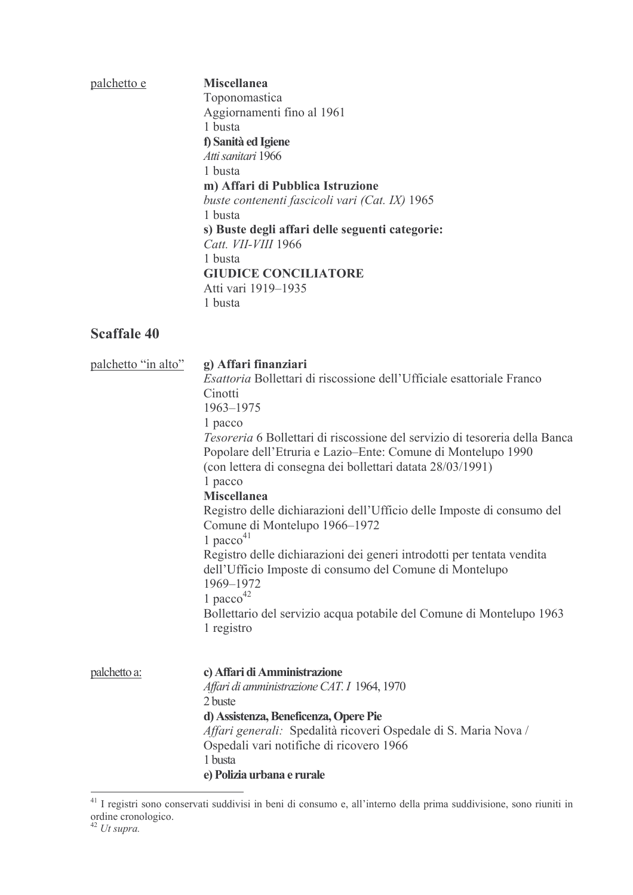| palchetto e | <b>Miscellanea</b><br>Toponomastica<br>Aggiornamenti fino al 1961<br>1 busta<br>f) Sanità ed Igiene<br>Atti sanitari 1966<br>1 busta<br>m) Affari di Pubblica Istruzione<br>buste contenenti fascicoli vari (Cat. IX) 1965<br>1 busta<br>s) Buste degli affari delle seguenti categorie:<br>Catt. VII-VIII 1966<br>1 busta<br><b>GIUDICE CONCILIATORE</b><br>Atti vari 1919–1935 |
|-------------|----------------------------------------------------------------------------------------------------------------------------------------------------------------------------------------------------------------------------------------------------------------------------------------------------------------------------------------------------------------------------------|
|             | 1 busta                                                                                                                                                                                                                                                                                                                                                                          |

| palchetto "in alto" | g) Affari finanziari<br><i>Esattoria</i> Bollettari di riscossione dell'Ufficiale esattoriale Franco<br>Cinotti<br>1963-1975<br>1 pacco<br>Tesoreria 6 Bollettari di riscossione del servizio di tesoreria della Banca<br>Popolare dell'Etruria e Lazio–Ente: Comune di Montelupo 1990<br>(con lettera di consegna dei bollettari datata 28/03/1991)<br>1 pacco<br><b>Miscellanea</b><br>Registro delle dichiarazioni dell'Ufficio delle Imposte di consumo del<br>Comune di Montelupo 1966–1972<br>1 pacco $41$<br>Registro delle dichiarazioni dei generi introdotti per tentata vendita<br>dell'Ufficio Imposte di consumo del Comune di Montelupo<br>1969-1972<br>1 pacco <sup>42</sup><br>Bollettario del servizio acqua potabile del Comune di Montelupo 1963<br>1 registro |
|---------------------|-----------------------------------------------------------------------------------------------------------------------------------------------------------------------------------------------------------------------------------------------------------------------------------------------------------------------------------------------------------------------------------------------------------------------------------------------------------------------------------------------------------------------------------------------------------------------------------------------------------------------------------------------------------------------------------------------------------------------------------------------------------------------------------|
| palchetto a:        | c) Affari di Amministrazione<br>Affari di amministrazione CAT. I 1964, 1970<br>2 buste<br>d) Assistenza, Beneficenza, Opere Pie<br>Affari generali: Spedalità ricoveri Ospedale di S. Maria Nova /<br>Ospedali vari notifiche di ricovero 1966<br>1 busta<br>e) Polizia urbana e rurale                                                                                                                                                                                                                                                                                                                                                                                                                                                                                           |

<sup>&</sup>lt;sup>41</sup> I registri sono conservati suddivisi in beni di consumo e, all'interno della prima suddivisione, sono riuniti in ordine cronologico.<br><sup>42</sup> *Ut supra*.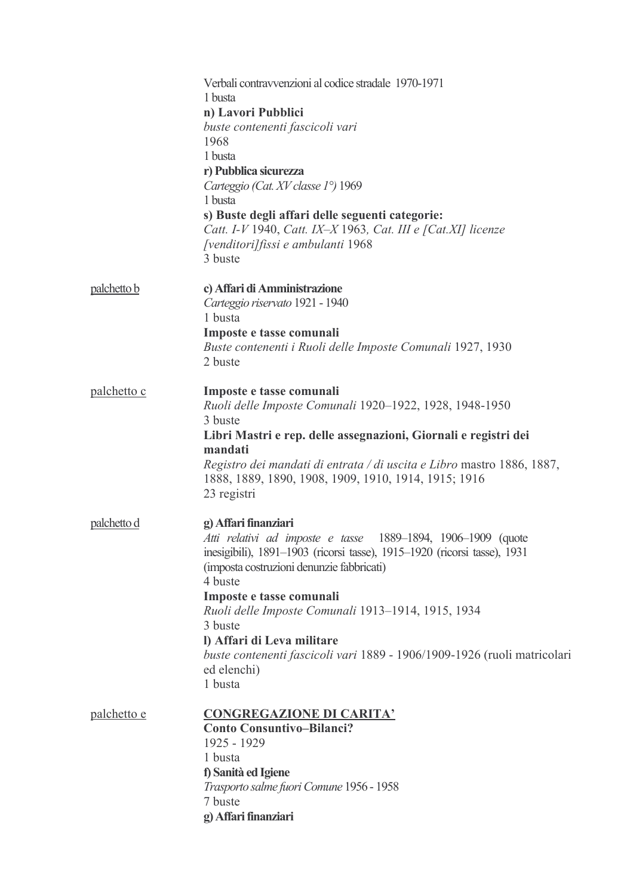|             | Verbali contravvenzioni al codice stradale 1970-1971<br>1 busta                                                                               |
|-------------|-----------------------------------------------------------------------------------------------------------------------------------------------|
|             | n) Lavori Pubblici                                                                                                                            |
|             | buste contenenti fascicoli vari<br>1968                                                                                                       |
|             | 1 busta                                                                                                                                       |
|             | r) Pubblica sicurezza<br>Carteggio (Cat. XV classe 1°) 1969                                                                                   |
|             | 1 busta                                                                                                                                       |
|             | s) Buste degli affari delle seguenti categorie:                                                                                               |
|             | Catt. I-V 1940, Catt. IX-X 1963, Cat. III e [Cat.XI] licenze<br>[venditori] fissi e ambulanti 1968                                            |
|             | 3 buste                                                                                                                                       |
| palchetto b | c) Affari di Amministrazione                                                                                                                  |
|             | Carteggio riservato 1921 - 1940<br>1 busta                                                                                                    |
|             | Imposte e tasse comunali                                                                                                                      |
|             | Buste contenenti i Ruoli delle Imposte Comunali 1927, 1930<br>2 buste                                                                         |
| palchetto c | Imposte e tasse comunali                                                                                                                      |
|             | Ruoli delle Imposte Comunali 1920-1922, 1928, 1948-1950<br>3 buste                                                                            |
|             | Libri Mastri e rep. delle assegnazioni, Giornali e registri dei<br>mandati                                                                    |
|             | Registro dei mandati di entrata / di uscita e Libro mastro 1886, 1887,<br>1888, 1889, 1890, 1908, 1909, 1910, 1914, 1915; 1916<br>23 registri |
|             |                                                                                                                                               |
| palchetto d | g) Affari finanziari<br>Atti relativi ad imposte e tasse 1889-1894, 1906-1909 (quote                                                          |
|             | inesigibili), 1891-1903 (ricorsi tasse), 1915-1920 (ricorsi tasse), 1931<br>(imposta costruzioni denunzie fabbricati)                         |
|             | 4 buste                                                                                                                                       |
|             | Imposte e tasse comunali<br>Ruoli delle Imposte Comunali 1913-1914, 1915, 1934                                                                |
|             | 3 buste<br>I) Affari di Leva militare                                                                                                         |
|             | buste contenenti fascicoli vari 1889 - 1906/1909-1926 (ruoli matricolari                                                                      |
|             | ed elenchi)<br>1 busta                                                                                                                        |
| palchetto e | <b>CONGREGAZIONE DI CARITA'</b>                                                                                                               |
|             | <b>Conto Consuntivo-Bilanci?</b>                                                                                                              |
|             | 1925 - 1929                                                                                                                                   |
|             | 1 busta<br>f) Sanità ed Igiene                                                                                                                |
|             | Trasporto salme fuori Comune 1956 - 1958                                                                                                      |
|             | 7 buste<br>g) Affari finanziari                                                                                                               |
|             |                                                                                                                                               |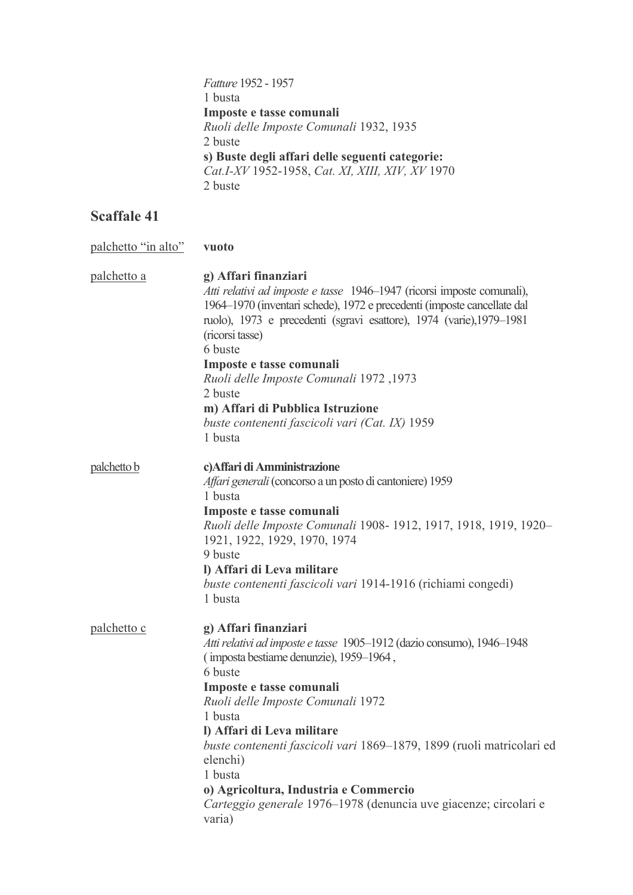Fatture 1952 - 1957 1 busta Imposte e tasse comunali Ruoli delle Imposte Comunali 1932, 1935 2 buste s) Buste degli affari delle seguenti categorie:<br>Cat.I-XV 1952-1958, Cat. XI, XIII, XIV, XV 1970 2 buste

| palchetto "in alto" | vuoto                                                                                                                                                                                                                                                                                                                                                                                                                                                                                |
|---------------------|--------------------------------------------------------------------------------------------------------------------------------------------------------------------------------------------------------------------------------------------------------------------------------------------------------------------------------------------------------------------------------------------------------------------------------------------------------------------------------------|
| palchetto a         | g) Affari finanziari<br>Atti relativi ad imposte e tasse 1946-1947 (ricorsi imposte comunali),<br>1964–1970 (inventari schede), 1972 e precedenti (imposte cancellate dal<br>ruolo), 1973 e precedenti (sgravi esattore), 1974 (varie), 1979–1981<br>(ricorsi tasse)<br>6 buste<br>Imposte e tasse comunali<br>1973, Ruoli delle Imposte Comunali 1972<br>2 buste<br>m) Affari di Pubblica Istruzione<br>buste contenenti fascicoli vari (Cat. IX) 1959<br>1 busta                   |
| palchetto b         | c) Affari di Amministrazione<br>Affari generali (concorso a un posto di cantoniere) 1959<br>1 busta<br>Imposte e tasse comunali<br>Ruoli delle Imposte Comunali 1908-1912, 1917, 1918, 1919, 1920-<br>1921, 1922, 1929, 1970, 1974<br>9 buste<br>I) Affari di Leva militare<br>buste contenenti fascicoli vari 1914-1916 (richiami congedi)<br>1 busta                                                                                                                               |
| <u>palchetto c</u>  | g) Affari finanziari<br>Atti relativi ad imposte e tasse 1905-1912 (dazio consumo), 1946-1948<br>(imposta bestiame denunzie), 1959-1964,<br>6 buste<br>Imposte e tasse comunali<br>Ruoli delle Imposte Comunali 1972<br>1 busta<br>I) Affari di Leva militare<br>buste contenenti fascicoli vari 1869-1879, 1899 (ruoli matricolari ed<br>elenchi)<br>1 busta<br>o) Agricoltura, Industria e Commercio<br>Carteggio generale 1976–1978 (denuncia uve giacenze; circolari e<br>varia) |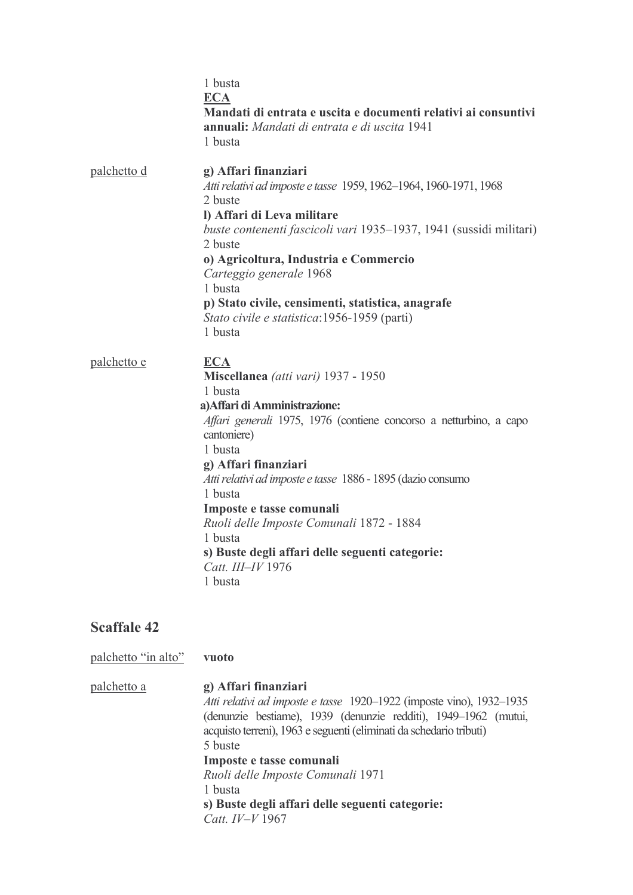|                    | 1 busta<br><b>ECA</b><br>Mandati di entrata e uscita e documenti relativi ai consuntivi<br><b>annuali:</b> Mandati di entrata e di uscita 1941<br>1 busta                                                                                                                                                                                                                                                                                                             |
|--------------------|-----------------------------------------------------------------------------------------------------------------------------------------------------------------------------------------------------------------------------------------------------------------------------------------------------------------------------------------------------------------------------------------------------------------------------------------------------------------------|
| palchetto d        | g) Affari finanziari<br>Atti relativi ad imposte e tasse 1959, 1962-1964, 1960-1971, 1968<br>2 buste<br>l) Affari di Leva militare<br>buste contenenti fascicoli vari 1935-1937, 1941 (sussidi militari)<br>2 buste<br>o) Agricoltura, Industria e Commercio<br>Carteggio generale 1968<br>1 busta<br>p) Stato civile, censimenti, statistica, anagrafe<br>Stato civile e statistica: 1956-1959 (parti)<br>1 busta                                                    |
| <u>palchetto e</u> | <b>ECA</b><br>Miscellanea (atti vari) 1937 - 1950<br>1 busta<br>a) Affari di Amministrazione:<br>Affari generali 1975, 1976 (contiene concorso a netturbino, a capo<br>cantoniere)<br>1 busta<br>g) Affari finanziari<br>Atti relativi ad imposte e tasse 1886 - 1895 (dazio consumo<br>1 busta<br>Imposte e tasse comunali<br>Ruoli delle Imposte Comunali 1872 - 1884<br>1 busta<br>s) Buste degli affari delle seguenti categorie:<br>Catt. III-IV 1976<br>1 busta |

palchetto "in alto"

vuoto

palchetto a g) Affari finanziari Atti relativi ad imposte e tasse 1920-1922 (imposte vino), 1932-1935 (denunzie bestiame), 1939 (denunzie redditi), 1949-1962 (mutui, acquisto terreni), 1963 e seguenti (eliminati da schedario tributi) 5 buste Imposte e tasse comunali Ruoli delle Imposte Comunali 1971 1 busta s) Buste degli affari delle seguenti categorie: Catt. IV-V 1967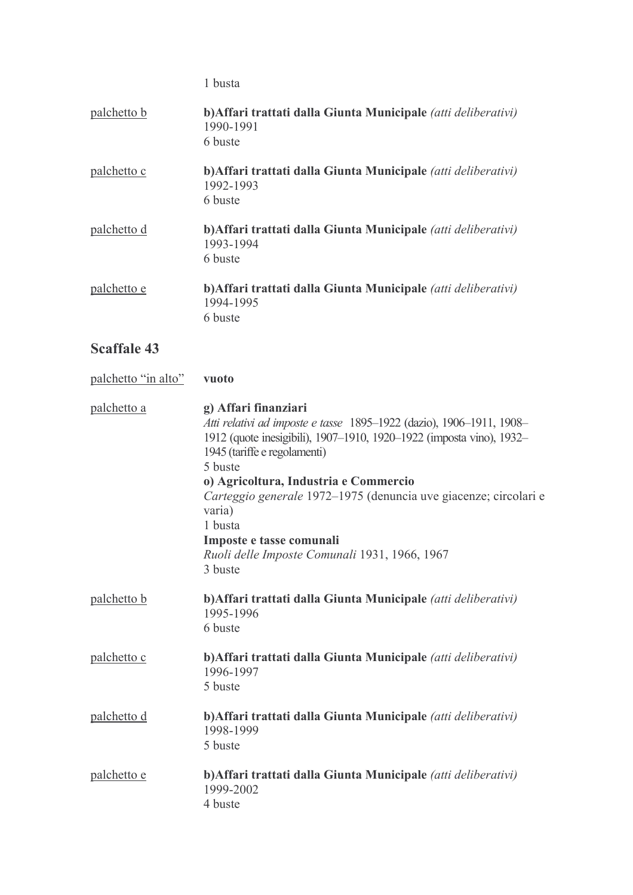1 busta

| palchetto b         | b) Affari trattati dalla Giunta Municipale (atti deliberativi)<br>1990-1991<br>6 buste                                                                                                                                                                                                                                                                                                                                                  |
|---------------------|-----------------------------------------------------------------------------------------------------------------------------------------------------------------------------------------------------------------------------------------------------------------------------------------------------------------------------------------------------------------------------------------------------------------------------------------|
| palchetto c         | b) Affari trattati dalla Giunta Municipale (atti deliberativi)<br>1992-1993<br>6 buste                                                                                                                                                                                                                                                                                                                                                  |
| palchetto d         | b) Affari trattati dalla Giunta Municipale (atti deliberativi)<br>1993-1994<br>6 buste                                                                                                                                                                                                                                                                                                                                                  |
| palchetto e         | b) Affari trattati dalla Giunta Municipale (atti deliberativi)<br>1994-1995<br>6 buste                                                                                                                                                                                                                                                                                                                                                  |
| <b>Scaffale 43</b>  |                                                                                                                                                                                                                                                                                                                                                                                                                                         |
| palchetto "in alto" | vuoto                                                                                                                                                                                                                                                                                                                                                                                                                                   |
| palchetto a         | g) Affari finanziari<br>Atti relativi ad imposte e tasse 1895-1922 (dazio), 1906-1911, 1908-<br>1912 (quote inesigibili), 1907–1910, 1920–1922 (imposta vino), 1932–<br>1945 (tariffe e regolamenti)<br>5 buste<br>o) Agricoltura, Industria e Commercio<br>Carteggio generale 1972–1975 (denuncia uve giacenze; circolari<br>varia)<br>1 busta<br>Imposte e tasse comunali<br>Ruoli delle Imposte Comunali 1931, 1966, 1967<br>3 buste |
| palchetto b         | b) Affari trattati dalla Giunta Municipale (atti deliberativi)<br>1995-1996<br>6 buste                                                                                                                                                                                                                                                                                                                                                  |
| palchetto c         | b) Affari trattati dalla Giunta Municipale (atti deliberativi)<br>1996-1997<br>5 buste                                                                                                                                                                                                                                                                                                                                                  |
| <u>palchetto d</u>  | b) Affari trattati dalla Giunta Municipale (atti deliberativi)<br>1998-1999<br>5 buste                                                                                                                                                                                                                                                                                                                                                  |
| palchetto e         | b) Affari trattati dalla Giunta Municipale (atti deliberativi)<br>1999-2002<br>4 buste                                                                                                                                                                                                                                                                                                                                                  |

 $\rm e$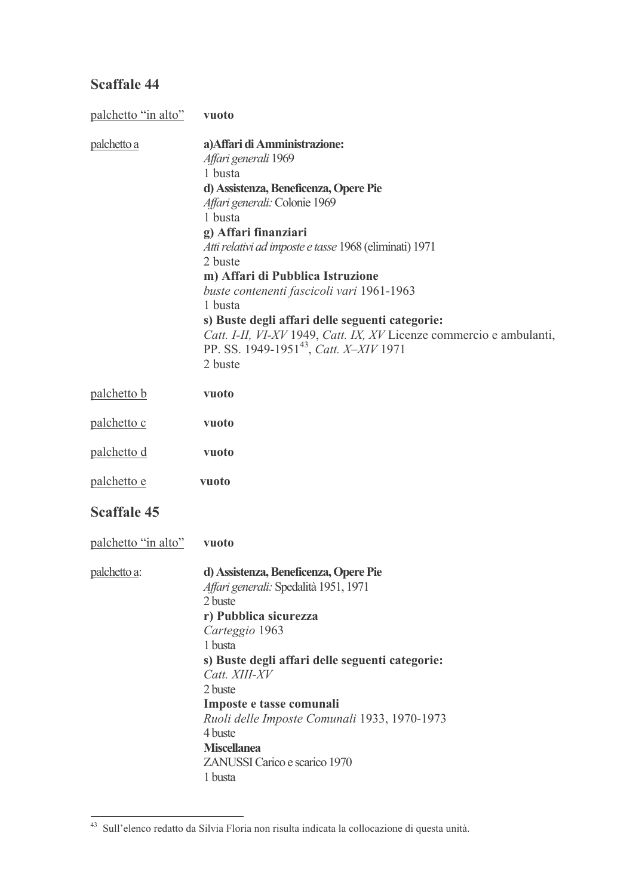| palchetto "in alto" | vuoto                                                                                                                                                                                                                                                                                                                                                                                                                                                                                                                                            |
|---------------------|--------------------------------------------------------------------------------------------------------------------------------------------------------------------------------------------------------------------------------------------------------------------------------------------------------------------------------------------------------------------------------------------------------------------------------------------------------------------------------------------------------------------------------------------------|
| palchetto a         | a) Affari di Amministrazione:<br>Affari generali 1969<br>1 busta<br>d) Assistenza, Beneficenza, Opere Pie<br>Affari generali: Colonie 1969<br>1 busta<br>g) Affari finanziari<br>Atti relativi ad imposte e tasse 1968 (eliminati) 1971<br>2 buste<br>m) Affari di Pubblica Istruzione<br>buste contenenti fascicoli vari 1961-1963<br>1 busta<br>s) Buste degli affari delle seguenti categorie:<br>Catt. I-II, VI-XV 1949, Catt. IX, XV Licenze commercio e ambulanti,<br>PP. SS. 1949-1951 <sup>43</sup> , <i>Catt. X-XIV</i> 1971<br>2 buste |
| palchetto b         | vuoto                                                                                                                                                                                                                                                                                                                                                                                                                                                                                                                                            |
| palchetto c         | vuoto                                                                                                                                                                                                                                                                                                                                                                                                                                                                                                                                            |
| palchetto d         | vuoto                                                                                                                                                                                                                                                                                                                                                                                                                                                                                                                                            |
| palchetto e         | vuoto                                                                                                                                                                                                                                                                                                                                                                                                                                                                                                                                            |
| <b>Scaffale 45</b>  |                                                                                                                                                                                                                                                                                                                                                                                                                                                                                                                                                  |
| palchetto "in alto" | vuoto                                                                                                                                                                                                                                                                                                                                                                                                                                                                                                                                            |
| <u>palchetto a:</u> | d) Assistenza, Beneficenza, Opere Pie<br>Affari generali: Spedalità 1951, 1971<br>2 buste<br>r) Pubblica sicurezza<br>Carteggio 1963<br>1 busta<br>s) Buste degli affari delle seguenti categorie:<br>Catt. XIII-XV<br>2 buste<br>Imposte e tasse comunali<br>Ruoli delle Imposte Comunali 1933, 1970-1973<br>4 buste<br><b>Miscellanea</b><br>ZANUSSI Carico e scarico 1970<br>1 busta                                                                                                                                                          |

<sup>43</sup> Sull'elenco redatto da Silvia Floria non risulta indicata la collocazione di questa unità.

 $\sim$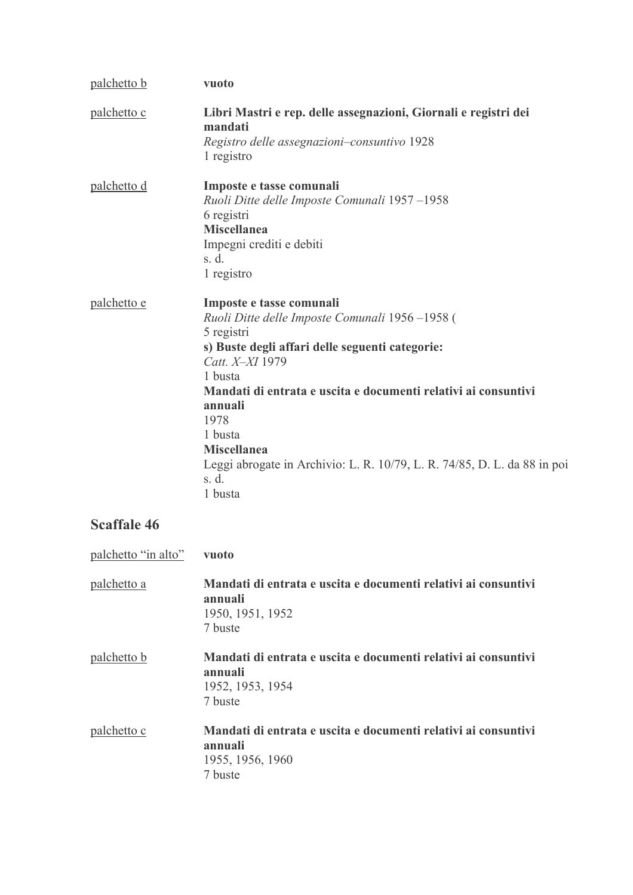| <u>palchetto b</u>  | vuoto                                                                                                                                                                                                                                                                                                                                                                                           |
|---------------------|-------------------------------------------------------------------------------------------------------------------------------------------------------------------------------------------------------------------------------------------------------------------------------------------------------------------------------------------------------------------------------------------------|
| palchetto c         | Libri Mastri e rep. delle assegnazioni, Giornali e registri dei<br>mandati<br>Registro delle assegnazioni-consuntivo 1928<br>1 registro                                                                                                                                                                                                                                                         |
| <u>palchetto d</u>  | Imposte e tasse comunali<br>Ruoli Ditte delle Imposte Comunali 1957-1958<br>6 registri<br><b>Miscellanea</b><br>Impegni crediti e debiti<br>s. d.<br>1 registro                                                                                                                                                                                                                                 |
| <u>palchetto e</u>  | Imposte e tasse comunali<br>Ruoli Ditte delle Imposte Comunali 1956-1958 (<br>5 registri<br>s) Buste degli affari delle seguenti categorie:<br>Catt. X-XI 1979<br>1 busta<br>Mandati di entrata e uscita e documenti relativi ai consuntivi<br>annuali<br>1978<br>1 busta<br><b>Miscellanea</b><br>Leggi abrogate in Archivio: L. R. 10/79, L. R. 74/85, D. L. da 88 in poi<br>s. d.<br>1 busta |
| <b>Scaffale 46</b>  |                                                                                                                                                                                                                                                                                                                                                                                                 |
| palchetto "in alto" | vuoto                                                                                                                                                                                                                                                                                                                                                                                           |
| <u>palchetto a</u>  | Mandati di entrata e uscita e documenti relativi ai consuntivi<br>annuali<br>1950, 1951, 1952<br>7 buste                                                                                                                                                                                                                                                                                        |
| nalchetto b         | Mandati di entrata e uscita e documenti relativi ai consuntivi                                                                                                                                                                                                                                                                                                                                  |

- ata e uscita e documenti relativi ai consuntiv ł annuali 1952, 1953, 1954 7 buste
- Mandati di entrata e uscita e documenti relativi ai consuntivi palchetto c annuali 1955, 1956, 1960 7 buste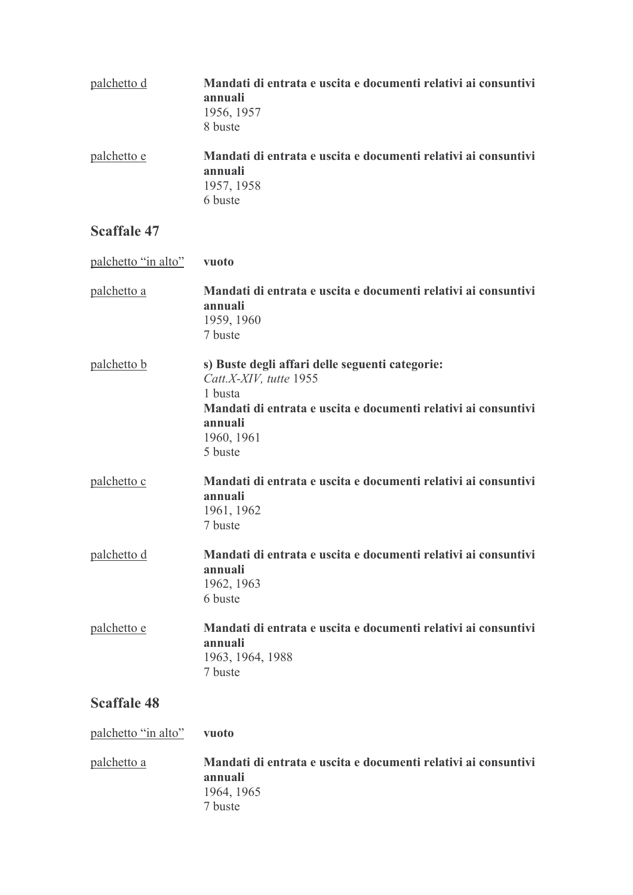| palchetto d | Mandati di entrata e uscita e documenti relativi ai consuntivi<br>annuali<br>1956, 1957<br>8 buste |
|-------------|----------------------------------------------------------------------------------------------------|
| palchetto e | Mandati di entrata e uscita e documenti relativi ai consuntivi<br>annuali<br>1957, 1958<br>6 buste |

| palchetto "in alto" | vuoto                                                                                                                                                                                      |
|---------------------|--------------------------------------------------------------------------------------------------------------------------------------------------------------------------------------------|
| <u>palchetto a</u>  | Mandati di entrata e uscita e documenti relativi ai consuntivi<br>annuali<br>1959, 1960<br>7 buste                                                                                         |
| palchetto b         | s) Buste degli affari delle seguenti categorie:<br>Catt.X-XIV, tutte 1955<br>1 busta<br>Mandati di entrata e uscita e documenti relativi ai consuntivi<br>annuali<br>1960, 1961<br>5 buste |
| palchetto c         | Mandati di entrata e uscita e documenti relativi ai consuntivi<br>annuali<br>1961, 1962<br>7 buste                                                                                         |
| palchetto d         | Mandati di entrata e uscita e documenti relativi ai consuntivi<br>annuali<br>1962, 1963<br>6 buste                                                                                         |
| palchetto e         | Mandati di entrata e uscita e documenti relativi ai consuntivi<br>annuali<br>1963, 1964, 1988<br>7 buste                                                                                   |
| <b>Scaffale 48</b>  |                                                                                                                                                                                            |
| palchetto "in alto" | vuoto                                                                                                                                                                                      |

palchetto a Mandati di entrata e uscita e documenti relativi ai consuntivi annuali 1964, 1965  $7 \text{ burst}$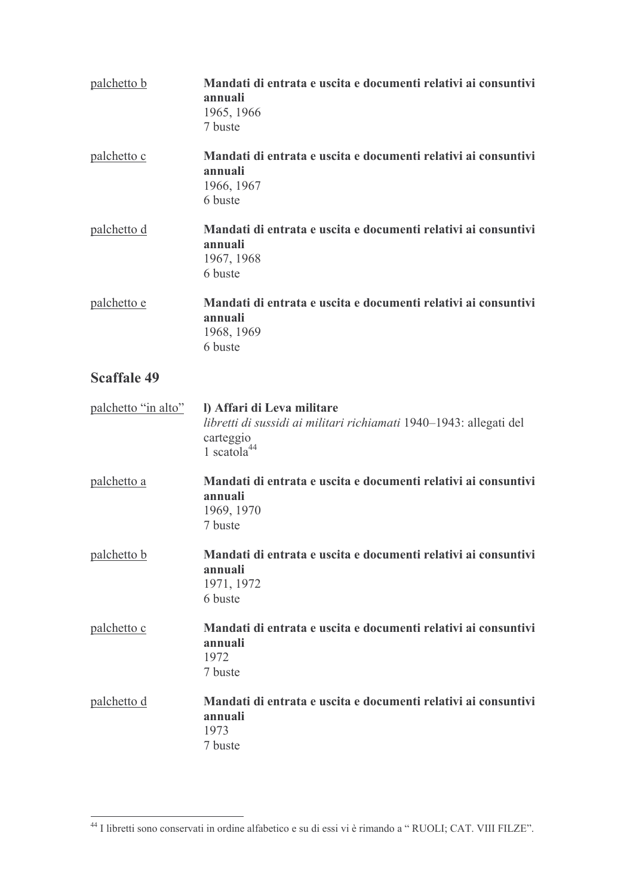| palchetto b         | Mandati di entrata e uscita e documenti relativi ai consuntivi<br>annuali<br>1965, 1966<br>7 buste                                       |
|---------------------|------------------------------------------------------------------------------------------------------------------------------------------|
| palchetto c         | Mandati di entrata e uscita e documenti relativi ai consuntivi<br>annuali<br>1966, 1967<br>6 buste                                       |
| <u>palchetto d</u>  | Mandati di entrata e uscita e documenti relativi ai consuntivi<br>annuali<br>1967, 1968<br>6 buste                                       |
| palchetto e         | Mandati di entrata e uscita e documenti relativi ai consuntivi<br>annuali<br>1968, 1969<br>6 buste                                       |
| <b>Scaffale 49</b>  |                                                                                                                                          |
| palchetto "in alto" | I) Affari di Leva militare<br>libretti di sussidi ai militari richiamati 1940-1943: allegati del<br>carteggio<br>1 scatola <sup>44</sup> |
| palchetto a         | Mandati di entrata e uscita e documenti relativi ai consuntivi<br>annuali<br>1969, 1970<br>7 buste                                       |
| palchetto b         | Mandati di entrata e uscita e documenti relativi ai consuntivi<br>annuali<br>1971, 1972<br>6 buste                                       |
| palchetto c         | Mandati di entrata e uscita e documenti relativi ai consuntivi<br>annuali<br>1972<br>7 buste                                             |
| palchetto d         | Mandati di entrata e uscita e documenti relativi ai consuntivi<br>annuali<br>1973<br>7 buste                                             |

<u>and a strong state</u>

<sup>&</sup>lt;sup>44</sup> I libretti sono conservati in ordine alfabetico e su di essi vi è rimando a "RUOLI; CAT. VIII FILZE".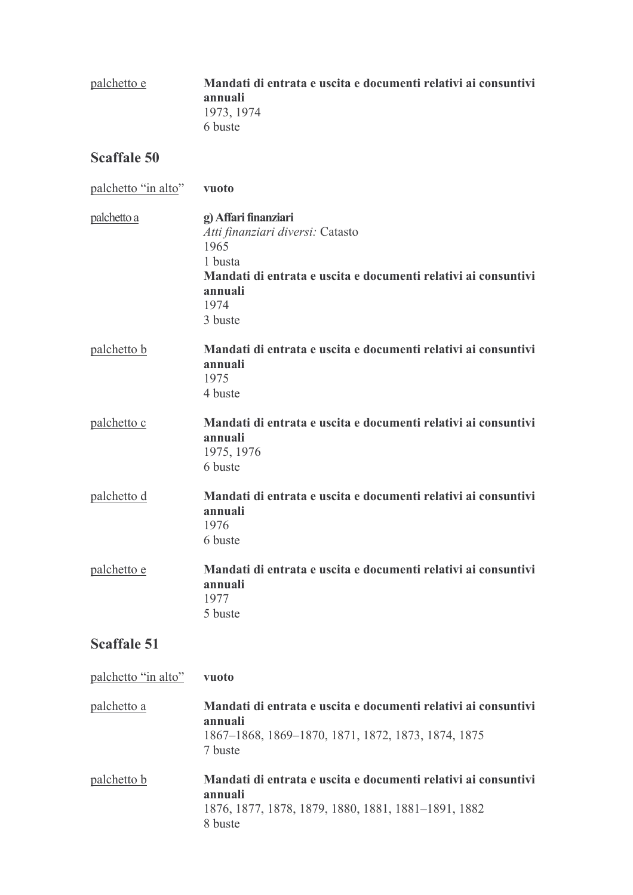| palchetto e | Mandati di entrata e uscita e documenti relativi ai consuntivi<br>annuali |
|-------------|---------------------------------------------------------------------------|
|             | 1973, 1974                                                                |
|             | 6 buste                                                                   |

| palchetto "in alto" | vuoto                                                                                                                                                                       |
|---------------------|-----------------------------------------------------------------------------------------------------------------------------------------------------------------------------|
| palchetto a         | g) Affari finanziari<br>Atti finanziari diversi: Catasto<br>1965<br>1 busta<br>Mandati di entrata e uscita e documenti relativi ai consuntivi<br>annuali<br>1974<br>3 buste |
| palchetto b         | Mandati di entrata e uscita e documenti relativi ai consuntivi<br>annuali<br>1975<br>4 buste                                                                                |
| palchetto c         | Mandati di entrata e uscita e documenti relativi ai consuntivi<br>annuali<br>1975, 1976<br>6 buste                                                                          |
| palchetto d         | Mandati di entrata e uscita e documenti relativi ai consuntivi<br>annuali<br>1976<br>6 buste                                                                                |
| palchetto e         | Mandati di entrata e uscita e documenti relativi ai consuntivi<br>annuali<br>1977<br>5 buste                                                                                |
| <b>Scaffale 51</b>  |                                                                                                                                                                             |
| palchetto "in alto" | vuoto                                                                                                                                                                       |
| palchetto a         | Mandati di entrata e uscita e documenti relativi ai consuntivi<br>annuali<br>1867–1868, 1869–1870, 1871, 1872, 1873, 1874, 1875<br>7 buste                                  |
| palchetto b         | Mandati di entrata e uscita e documenti relativi ai consuntivi                                                                                                              |

annuali

1876, 1877, 1878, 1879, 1880, 1881, 1881-1891, 1882 8 buste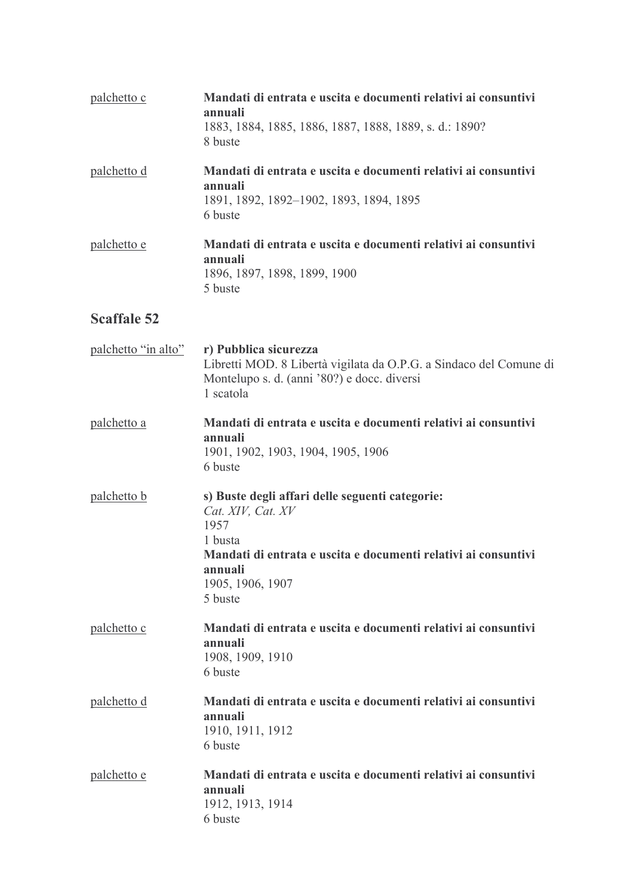| palchetto c         | Mandati di entrata e uscita e documenti relativi ai consuntivi<br>annuali<br>1883, 1884, 1885, 1886, 1887, 1888, 1889, s. d.: 1890?<br>8 buste                                                      |
|---------------------|-----------------------------------------------------------------------------------------------------------------------------------------------------------------------------------------------------|
| <u>palchetto d</u>  | Mandati di entrata e uscita e documenti relativi ai consuntivi<br>annuali<br>1891, 1892, 1892-1902, 1893, 1894, 1895<br>6 buste                                                                     |
| palchetto e         | Mandati di entrata e uscita e documenti relativi ai consuntivi<br>annuali<br>1896, 1897, 1898, 1899, 1900<br>5 buste                                                                                |
| <b>Scaffale 52</b>  |                                                                                                                                                                                                     |
| palchetto "in alto" | r) Pubblica sicurezza<br>Libretti MOD. 8 Libertà vigilata da O.P.G. a Sindaco del Comune di<br>Montelupo s. d. (anni '80?) e docc. diversi<br>1 scatola                                             |
| palchetto a         | Mandati di entrata e uscita e documenti relativi ai consuntivi<br>annuali<br>1901, 1902, 1903, 1904, 1905, 1906<br>6 buste                                                                          |
| palchetto b         | s) Buste degli affari delle seguenti categorie:<br>Cat. XIV, Cat. XV<br>1957<br>1 busta<br>Mandati di entrata e uscita e documenti relativi ai consuntivi<br>annuali<br>1905, 1906, 1907<br>5 buste |
| palchetto c         | Mandati di entrata e uscita e documenti relativi ai consuntivi<br>annuali<br>1908, 1909, 1910<br>6 buste                                                                                            |
| <u>palchetto d</u>  | Mandati di entrata e uscita e documenti relativi ai consuntivi<br>annuali<br>1910, 1911, 1912<br>6 buste                                                                                            |
| palchetto e         | Mandati di entrata e uscita e documenti relativi ai consuntivi<br>annuali<br>1912, 1913, 1914<br>6 buste                                                                                            |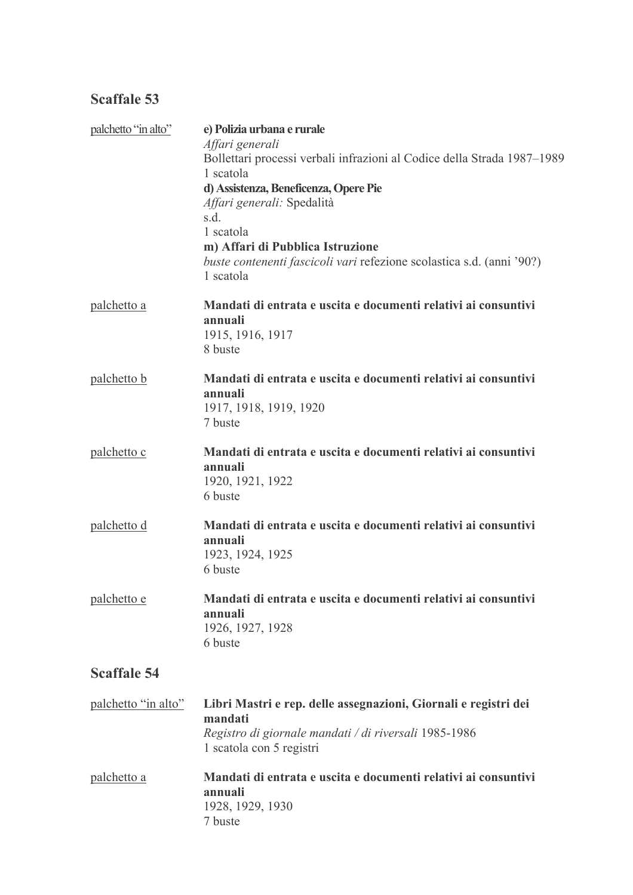| palchetto "in alto" | e) Polizia urbana e rurale<br>Affari generali<br>Bollettari processi verbali infrazioni al Codice della Strada 1987-1989<br>1 scatola<br>d) Assistenza, Beneficenza, Opere Pie<br>Affari generali: Spedalità<br>s.d.<br>1 scatola<br>m) Affari di Pubblica Istruzione<br>buste contenenti fascicoli vari refezione scolastica s.d. (anni '90?)<br>1 scatola |
|---------------------|-------------------------------------------------------------------------------------------------------------------------------------------------------------------------------------------------------------------------------------------------------------------------------------------------------------------------------------------------------------|
| palchetto a         | Mandati di entrata e uscita e documenti relativi ai consuntivi<br>annuali<br>1915, 1916, 1917<br>8 buste                                                                                                                                                                                                                                                    |
| palchetto b         | Mandati di entrata e uscita e documenti relativi ai consuntivi<br>annuali<br>1917, 1918, 1919, 1920<br>7 buste                                                                                                                                                                                                                                              |
| palchetto c         | Mandati di entrata e uscita e documenti relativi ai consuntivi<br>annuali<br>1920, 1921, 1922<br>6 buste                                                                                                                                                                                                                                                    |
| palchetto d         | Mandati di entrata e uscita e documenti relativi ai consuntivi<br>annuali<br>1923, 1924, 1925<br>6 buste                                                                                                                                                                                                                                                    |
| <u>palchetto e</u>  | Mandati di entrata e uscita e documenti relativi ai consuntivi<br>annuali<br>1926, 1927, 1928<br>6 buste                                                                                                                                                                                                                                                    |
| <b>Scaffale 54</b>  |                                                                                                                                                                                                                                                                                                                                                             |
| palchetto "in alto" | Libri Mastri e rep. delle assegnazioni, Giornali e registri dei<br>mandati<br>Registro di giornale mandati / di riversali 1985-1986<br>1 scatola con 5 registri                                                                                                                                                                                             |
| <u>palchetto a</u>  | Mandati di entrata e uscita e documenti relativi ai consuntivi<br>annuali<br>1928, 1929, 1930                                                                                                                                                                                                                                                               |

7 buste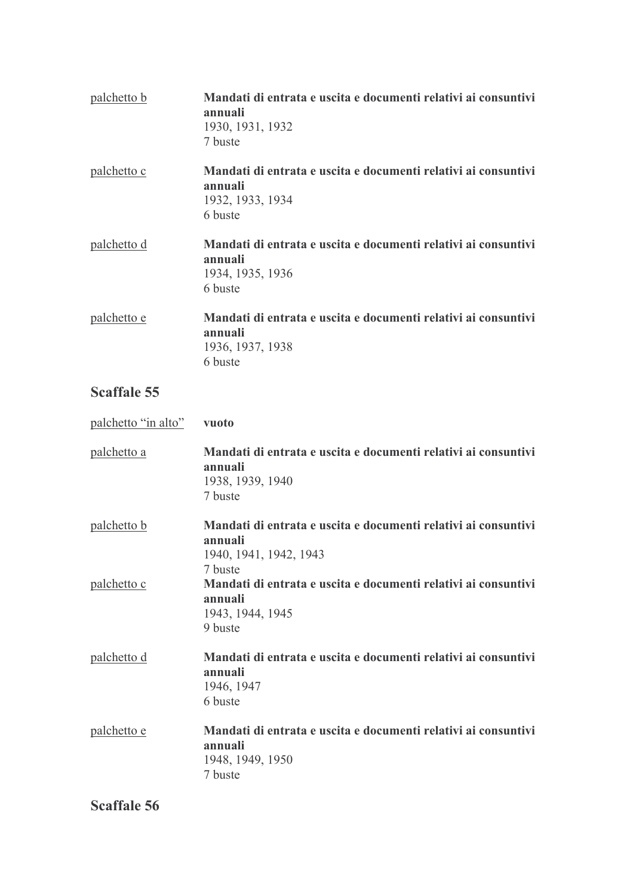| palchetto b | Mandati di entrata e uscita e documenti relativi ai consuntivi<br>annuali<br>1930, 1931, 1932<br>7 buste |
|-------------|----------------------------------------------------------------------------------------------------------|
| palchetto c | Mandati di entrata e uscita e documenti relativi ai consuntivi<br>annuali<br>1932, 1933, 1934<br>6 buste |
| palchetto d | Mandati di entrata e uscita e documenti relativi ai consuntivi<br>annuali<br>1934, 1935, 1936<br>6 buste |
| palchetto e | Mandati di entrata e uscita e documenti relativi ai consuntivi<br>annuali<br>1936, 1937, 1938<br>6 buste |

| palchetto "in alto" | vuoto                                                                                                          |
|---------------------|----------------------------------------------------------------------------------------------------------------|
| <u>palchetto a</u>  | Mandati di entrata e uscita e documenti relativi ai consuntivi<br>annuali<br>1938, 1939, 1940<br>7 buste       |
| <u>palchetto b</u>  | Mandati di entrata e uscita e documenti relativi ai consuntivi<br>annuali<br>1940, 1941, 1942, 1943<br>7 buste |
| palchetto c         | Mandati di entrata e uscita e documenti relativi ai consuntivi<br>annuali<br>1943, 1944, 1945<br>9 buste       |
| palchetto d         | Mandati di entrata e uscita e documenti relativi ai consuntivi<br>annuali<br>1946, 1947<br>6 buste             |
| palchetto e         | Mandati di entrata e uscita e documenti relativi ai consuntivi<br>annuali<br>1948, 1949, 1950<br>7 buste       |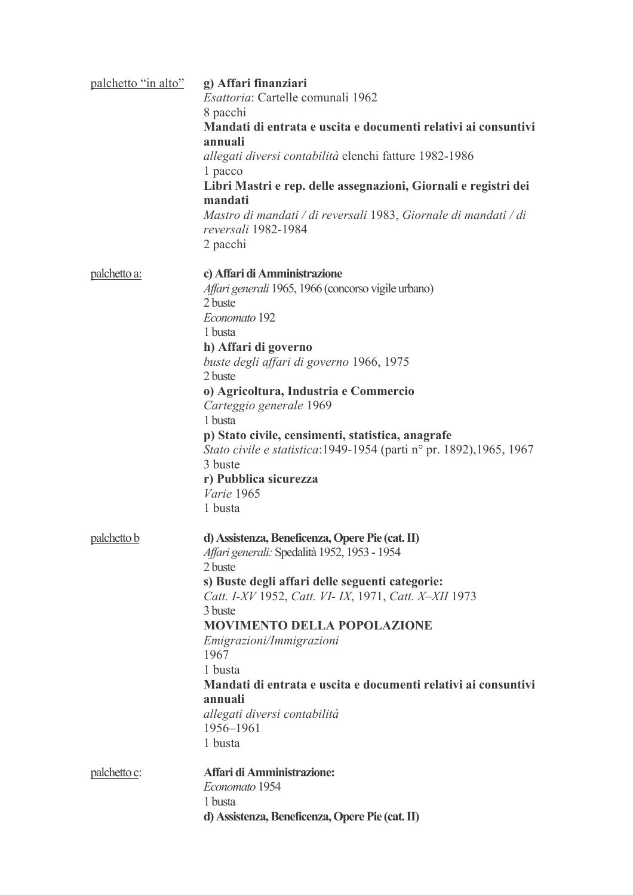| palchetto "in alto" | g) Affari finanziari<br>Esattoria: Cartelle comunali 1962<br>8 pacchi<br>Mandati di entrata e uscita e documenti relativi ai consuntivi<br>annuali<br>allegati diversi contabilità elenchi fatture 1982-1986<br>1 pacco<br>Libri Mastri e rep. delle assegnazioni, Giornali e registri dei<br>mandati<br>Mastro di mandati / di reversali 1983, Giornale di mandati / di<br>reversali 1982-1984<br>2 pacchi                                                                                                  |
|---------------------|--------------------------------------------------------------------------------------------------------------------------------------------------------------------------------------------------------------------------------------------------------------------------------------------------------------------------------------------------------------------------------------------------------------------------------------------------------------------------------------------------------------|
| palchetto a:        | c) Affari di Amministrazione<br><i>Affari generali</i> 1965, 1966 (concorso vigile urbano)<br>2 buste<br>Economato 192<br>1 busta<br>h) Affari di governo<br>buste degli affari di governo 1966, 1975<br>2 buste<br>o) Agricoltura, Industria e Commercio<br>Carteggio generale 1969<br>1 busta<br>p) Stato civile, censimenti, statistica, anagrafe<br><i>Stato civile e statistica</i> :1949-1954 (parti n <sup>o</sup> pr. 1892), 1965, 1967<br>3 buste<br>r) Pubblica sicurezza<br>Varie 1965<br>1 busta |
| palchetto b         | d) Assistenza, Beneficenza, Opere Pie (cat. II)<br>Affari generali: Spedalità 1952, 1953 - 1954<br>2 buste<br>s) Buste degli affari delle seguenti categorie:<br>Catt. I-XV 1952, Catt. VI- IX, 1971, Catt. X-XII 1973<br>3 buste<br><b>MOVIMENTO DELLA POPOLAZIONE</b><br>Emigrazioni/Immigrazioni<br>1967<br>1 busta<br>Mandati di entrata e uscita e documenti relativi ai consuntivi<br>annuali<br>allegati diversi contabilità<br>1956-1961<br>1 busta                                                  |
| palchetto c:        | Affari di Amministrazione:<br>Economato 1954<br>1 busta<br>d) Assistenza, Beneficenza, Opere Pie (cat. II)                                                                                                                                                                                                                                                                                                                                                                                                   |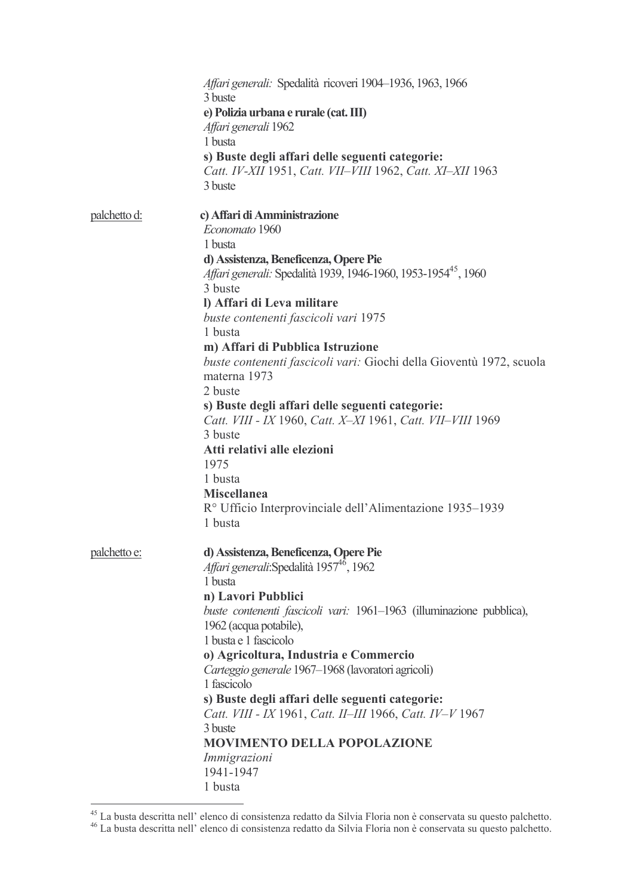|              | Affari generali: Spedalità ricoveri 1904–1936, 1963, 1966<br>3 buste                                         |
|--------------|--------------------------------------------------------------------------------------------------------------|
|              | e) Polizia urbana e rurale (cat. III)<br>Affari generali 1962                                                |
|              | 1 busta                                                                                                      |
|              | s) Buste degli affari delle seguenti categorie:<br>Catt. IV-XII 1951, Catt. VII-VIII 1962, Catt. XI-XII 1963 |
|              | 3 buste                                                                                                      |
| palchetto d: | c) Affari di Amministrazione                                                                                 |
|              | Economato 1960                                                                                               |
|              | 1 busta                                                                                                      |
|              | d) Assistenza, Beneficenza, Opere Pie                                                                        |
|              | Affari generali: Spedalità 1939, 1946-1960, 1953-1954 <sup>45</sup> , 1960                                   |
|              | 3 buste                                                                                                      |
|              | I) Affari di Leva militare                                                                                   |
|              | buste contenenti fascicoli vari 1975                                                                         |
|              | 1 busta                                                                                                      |
|              | m) Affari di Pubblica Istruzione                                                                             |
|              | buste contenenti fascicoli vari: Giochi della Gioventù 1972, scuola                                          |
|              | materna 1973                                                                                                 |
|              | 2 buste                                                                                                      |
|              | s) Buste degli affari delle seguenti categorie:                                                              |
|              | Catt. VIII - IX 1960, Catt. X-XI 1961, Catt. VII-VIII 1969                                                   |
|              | 3 buste                                                                                                      |
|              | Atti relativi alle elezioni                                                                                  |
|              |                                                                                                              |
|              | 1975                                                                                                         |
|              | 1 busta                                                                                                      |
|              | <b>Miscellanea</b>                                                                                           |
|              | R <sup>o</sup> Ufficio Interprovinciale dell'Alimentazione 1935–1939                                         |
|              | 1 busta                                                                                                      |
| palchetto e: | d) Assistenza, Beneficenza, Opere Pie                                                                        |
|              | Affari generali: Spedalità 1957 <sup>46</sup> , 1962                                                         |
|              | 1 busta                                                                                                      |
|              | n) Lavori Pubblici                                                                                           |
|              |                                                                                                              |
|              | buste contenenti fascicoli vari: 1961–1963 (illuminazione pubblica),                                         |
|              | 1962 (acqua potabile),                                                                                       |
|              | 1 busta e 1 fascicolo                                                                                        |
|              | o) Agricoltura, Industria e Commercio                                                                        |
|              | Carteggio generale 1967-1968 (lavoratori agricoli)                                                           |
|              | 1 fascicolo                                                                                                  |
|              | s) Buste degli affari delle seguenti categorie:                                                              |
|              | Catt. VIII - IX 1961, Catt. II-III 1966, Catt. IV-V 1967                                                     |
|              | 3 buste                                                                                                      |
|              | <b>MOVIMENTO DELLA POPOLAZIONE</b>                                                                           |
|              | Immigrazioni                                                                                                 |
|              | 1941-1947                                                                                                    |
|              | 1 busta                                                                                                      |

<sup>45</sup> La busta descritta nell'elenco di consistenza redatto da Silvia Floria non è conservata su questo palchetto.<br>46 La busta descritta nell'elenco di consistenza redatto da Silvia Floria non è conservata su questo palchetto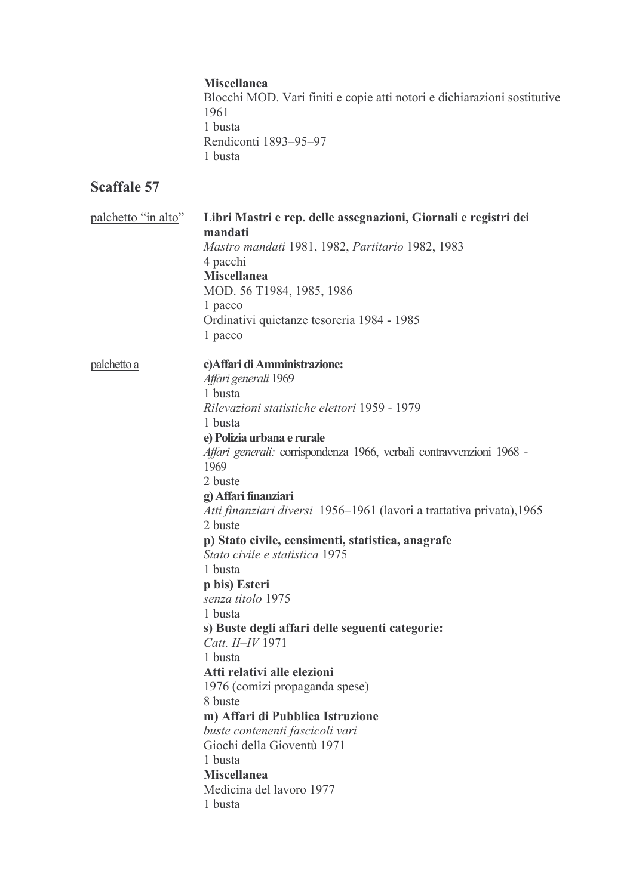#### **Miscellanea**

Blocchi MOD. Vari finiti e copie atti notori e dichiarazioni sostitutive 1961 1 busta Rendiconti 1893-95-97 1 busta

| palchetto "in alto"<br>Libri Mastri e rep. delle assegnazioni, Giornali e registri dei |                                                                              |
|----------------------------------------------------------------------------------------|------------------------------------------------------------------------------|
|                                                                                        | mandati                                                                      |
|                                                                                        | Mastro mandati 1981, 1982, Partitario 1982, 1983                             |
|                                                                                        | 4 pacchi                                                                     |
|                                                                                        | <b>Miscellanea</b>                                                           |
|                                                                                        | MOD. 56 T1984, 1985, 1986                                                    |
|                                                                                        | 1 pacco                                                                      |
|                                                                                        | Ordinativi quietanze tesoreria 1984 - 1985                                   |
|                                                                                        | 1 pacco                                                                      |
| <u>palchetto a</u>                                                                     | c) Affari di Amministrazione:                                                |
|                                                                                        | Affari generali 1969                                                         |
|                                                                                        | 1 busta                                                                      |
|                                                                                        | Rilevazioni statistiche elettori 1959 - 1979                                 |
|                                                                                        | 1 busta                                                                      |
|                                                                                        | e) Polizia urbana e rurale                                                   |
|                                                                                        | Affari generali: corrispondenza 1966, verbali contravvenzioni 1968 -<br>1969 |
|                                                                                        | 2 buste                                                                      |
|                                                                                        | g) Affari finanziari                                                         |
|                                                                                        | Atti finanziari diversi 1956–1961 (lavori a trattativa privata), 1965        |
|                                                                                        | 2 buste                                                                      |
|                                                                                        | p) Stato civile, censimenti, statistica, anagrafe                            |
|                                                                                        | Stato civile e statistica 1975                                               |
|                                                                                        | 1 busta                                                                      |
|                                                                                        | p bis) Esteri                                                                |
|                                                                                        | senza titolo 1975                                                            |
|                                                                                        | 1 busta                                                                      |
|                                                                                        | s) Buste degli affari delle seguenti categorie:                              |
|                                                                                        | Catt. II-IV 1971                                                             |
|                                                                                        | 1 busta                                                                      |
|                                                                                        | Atti relativi alle elezioni                                                  |
|                                                                                        | 1976 (comizi propaganda spese)                                               |
|                                                                                        | 8 buste                                                                      |
|                                                                                        | m) Affari di Pubblica Istruzione                                             |
|                                                                                        | buste contenenti fascicoli vari                                              |
|                                                                                        | Giochi della Gioventù 1971                                                   |
|                                                                                        | 1 busta                                                                      |
|                                                                                        | <b>Miscellanea</b>                                                           |
|                                                                                        | Medicina del lavoro 1977                                                     |
|                                                                                        | 1 busta                                                                      |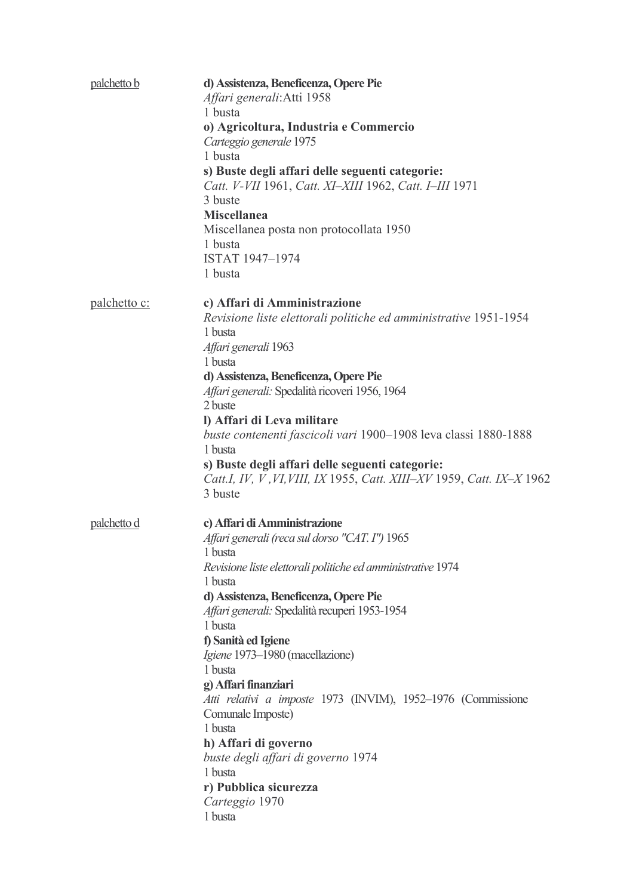| palchetto b         | d) Assistenza, Beneficenza, Opere Pie<br>Affari generali: Atti 1958<br>1 busta<br>o) Agricoltura, Industria e Commercio<br>Carteggio generale 1975<br>1 busta<br>s) Buste degli affari delle seguenti categorie:<br>Catt. V-VII 1961, Catt. XI-XIII 1962, Catt. I-III 1971<br>3 buste<br><b>Miscellanea</b><br>Miscellanea posta non protocollata 1950<br>1 busta<br>ISTAT 1947-1974<br>1 busta                                                                                                                                                                                                      |
|---------------------|------------------------------------------------------------------------------------------------------------------------------------------------------------------------------------------------------------------------------------------------------------------------------------------------------------------------------------------------------------------------------------------------------------------------------------------------------------------------------------------------------------------------------------------------------------------------------------------------------|
| <u>palchetto c:</u> | c) Affari di Amministrazione<br>Revisione liste elettorali politiche ed amministrative 1951-1954<br>1 busta<br>Affari generali 1963<br>1 busta<br>d) Assistenza, Beneficenza, Opere Pie<br>Affari generali: Spedalità ricoveri 1956, 1964<br>2 buste<br>I) Affari di Leva militare<br>buste contenenti fascicoli vari 1900–1908 leva classi 1880-1888<br>1 busta<br>s) Buste degli affari delle seguenti categorie:<br>Catt.I, IV, V, VI, VIII, IX 1955, Catt. XIII–XV 1959, Catt. IX–X 1962<br>3 buste                                                                                              |
| palchetto d         | c) Affari di Amministrazione<br>Affari generali (reca sul dorso "CAT. I") 1965<br>1 busta<br>Revisione liste elettorali politiche ed amministrative 1974<br>1 busta<br>d) Assistenza, Beneficenza, Opere Pie<br>Affari generali: Spedalità recuperi 1953-1954<br>1 busta<br>f) Sanità ed Igiene<br>Igiene 1973–1980 (macellazione)<br>1 busta<br>g) Affari finanziari<br>Atti relativi a imposte 1973 (INVIM), 1952-1976 (Commissione<br>Comunale Imposte)<br>1 busta<br>h) Affari di governo<br>buste degli affari di governo 1974<br>1 busta<br>r) Pubblica sicurezza<br>Carteggio 1970<br>1 busta |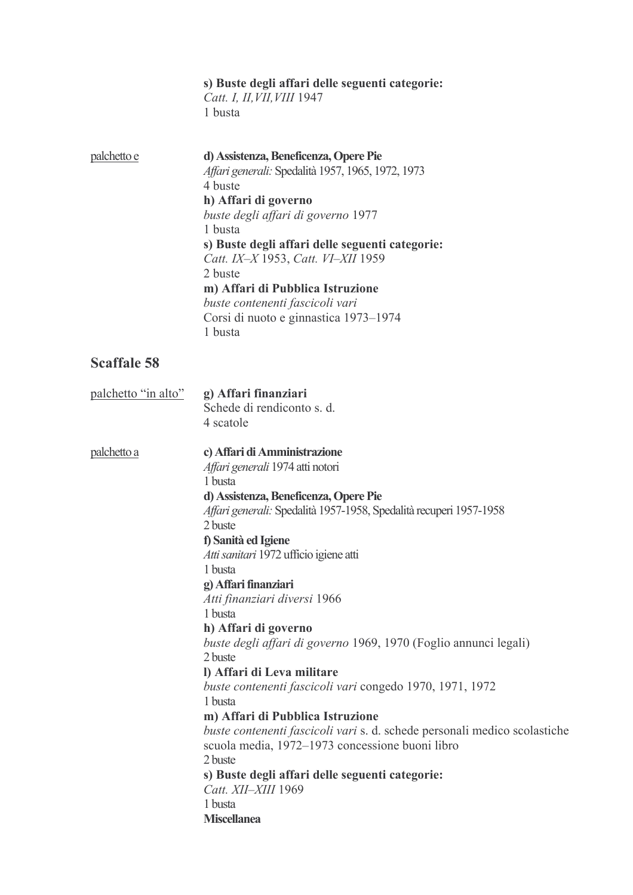|                     | s) Buste degli affari delle seguenti categorie:<br>Catt. I, II, VII, VIII 1947<br>1 busta                                                                                                                                                                                                                                                                                                                                                                                                                                                                                                                                                                                                                                                                                                                                                                  |
|---------------------|------------------------------------------------------------------------------------------------------------------------------------------------------------------------------------------------------------------------------------------------------------------------------------------------------------------------------------------------------------------------------------------------------------------------------------------------------------------------------------------------------------------------------------------------------------------------------------------------------------------------------------------------------------------------------------------------------------------------------------------------------------------------------------------------------------------------------------------------------------|
| palchetto e         | d) Assistenza, Beneficenza, Opere Pie<br>Affari generali: Spedalità 1957, 1965, 1972, 1973<br>4 buste<br>h) Affari di governo<br>buste degli affari di governo 1977<br>1 busta<br>s) Buste degli affari delle seguenti categorie:<br>Catt. IX-X 1953, Catt. VI-XII 1959<br>2 buste<br>m) Affari di Pubblica Istruzione<br>buste contenenti fascicoli vari<br>Corsi di nuoto e ginnastica 1973-1974<br>1 busta                                                                                                                                                                                                                                                                                                                                                                                                                                              |
| <b>Scaffale 58</b>  |                                                                                                                                                                                                                                                                                                                                                                                                                                                                                                                                                                                                                                                                                                                                                                                                                                                            |
| palchetto "in alto" | g) Affari finanziari<br>Schede di rendiconto s. d.<br>4 scatole                                                                                                                                                                                                                                                                                                                                                                                                                                                                                                                                                                                                                                                                                                                                                                                            |
| <u>palchetto a</u>  | c) Affari di Amministrazione<br>Affari generali 1974 atti notori<br>1 busta<br>d) Assistenza, Beneficenza, Opere Pie<br>Affari generali: Spedalità 1957-1958, Spedalità recuperi 1957-1958<br>2 buste<br>f) Sanità ed Igiene<br>Atti sanitari 1972 ufficio igiene atti<br>1 busta<br>g) Affari finanziari<br>Atti finanziari diversi 1966<br>1 busta<br>h) Affari di governo<br>buste degli affari di governo 1969, 1970 (Foglio annunci legali)<br>2 buste<br>l) Affari di Leva militare<br>buste contenenti fascicoli vari congedo 1970, 1971, 1972<br>1 busta<br>m) Affari di Pubblica Istruzione<br>buste contenenti fascicoli vari s. d. schede personali medico scolastiche<br>scuola media, 1972–1973 concessione buoni libro<br>2 buste<br>s) Buste degli affari delle seguenti categorie:<br>Catt. XII-XIII 1969<br>1 busta<br><b>Miscellanea</b> |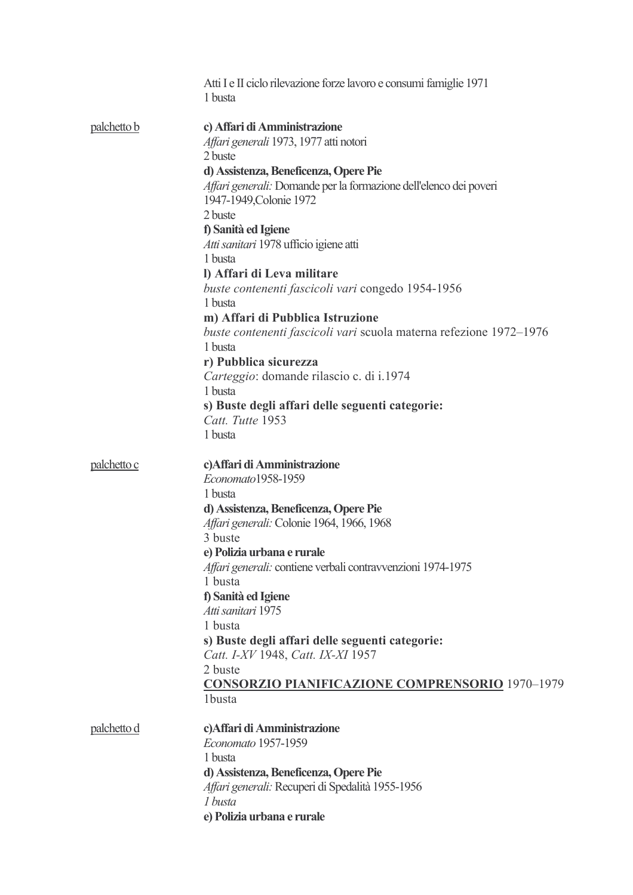|                    | Atti I e II ciclo rilevazione forze lavoro e consumi famiglie 1971<br>1 busta |
|--------------------|-------------------------------------------------------------------------------|
| palchetto b        | c) Affari di Amministrazione<br>Affari generali 1973, 1977 atti notori        |
|                    | 2 buste                                                                       |
|                    | d) Assistenza, Beneficenza, Opere Pie                                         |
|                    | Affari generali: Domande per la formazione dell'elenco dei poveri             |
|                    | 1947-1949, Colonie 1972                                                       |
|                    | 2 buste                                                                       |
|                    | f) Sanità ed Igiene                                                           |
|                    | Atti sanitari 1978 ufficio igiene atti<br>1 busta                             |
|                    | I) Affari di Leva militare                                                    |
|                    | buste contenenti fascicoli vari congedo 1954-1956                             |
|                    | 1 busta                                                                       |
|                    | m) Affari di Pubblica Istruzione                                              |
|                    | buste contenenti fascicoli vari scuola materna refezione 1972–1976<br>1 busta |
|                    | r) Pubblica sicurezza                                                         |
|                    | Carteggio: domande rilascio c. di i.1974<br>1 busta                           |
|                    | s) Buste degli affari delle seguenti categorie:                               |
|                    | Catt. Tutte 1953                                                              |
|                    | 1 busta                                                                       |
| palchetto c        | c) Affari di Amministrazione<br>Economato1958-1959                            |
|                    | 1 busta                                                                       |
|                    | d) Assistenza, Beneficenza, Opere Pie                                         |
|                    | Affari generali: Colonie 1964, 1966, 1968                                     |
|                    | 3 buste                                                                       |
|                    | e) Polizia urbana e rurale                                                    |
|                    | Affari generali: contiene verbali contravvenzioni 1974-1975                   |
|                    | 1 busta                                                                       |
|                    | f) Sanità ed Igiene<br>Atti sanitari 1975                                     |
|                    | 1 busta                                                                       |
|                    | s) Buste degli affari delle seguenti categorie:                               |
|                    | Catt. I-XV 1948, Catt. IX-XI 1957                                             |
|                    | 2 buste                                                                       |
|                    | <b>CONSORZIO PIANIFICAZIONE COMPRENSORIO 1970-1979</b>                        |
|                    | 1busta                                                                        |
|                    |                                                                               |
| <u>palchetto d</u> | c) Affari di Amministrazione<br>Economato 1957-1959                           |
|                    | 1 busta                                                                       |
|                    | d) Assistenza, Beneficenza, Opere Pie                                         |
|                    | Affari generali: Recuperi di Spedalità 1955-1956                              |
|                    | 1 busta                                                                       |
|                    | e) Polizia urbana e rurale                                                    |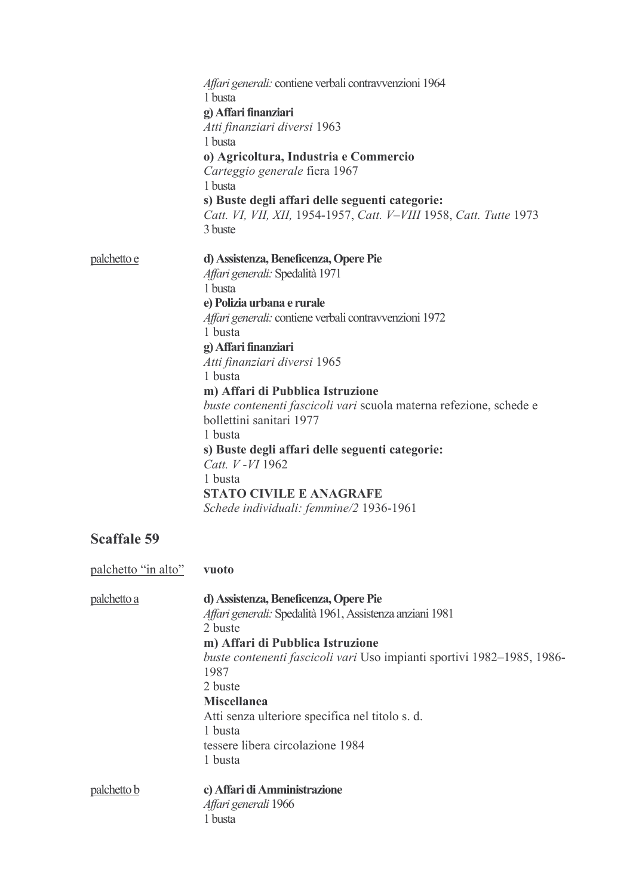|                     | Affari generali: contiene verbali contravvenzioni 1964<br>1 busta<br>g) Affari finanziari<br>Atti finanziari diversi 1963<br>1 busta<br>o) Agricoltura, Industria e Commercio<br>Carteggio generale fiera 1967<br>1 busta<br>s) Buste degli affari delle seguenti categorie:<br>Catt. VI, VII, XII, 1954-1957, Catt. V-VIII 1958, Catt. Tutte 1973<br>3 buste                                                                                                                                                                                                              |
|---------------------|----------------------------------------------------------------------------------------------------------------------------------------------------------------------------------------------------------------------------------------------------------------------------------------------------------------------------------------------------------------------------------------------------------------------------------------------------------------------------------------------------------------------------------------------------------------------------|
| palchetto e         | d) Assistenza, Beneficenza, Opere Pie<br>Affari generali: Spedalità 1971<br>1 busta<br>e) Polizia urbana e rurale<br>Affari generali: contiene verbali contravvenzioni 1972<br>1 busta<br>g) Affari finanziari<br>Atti finanziari diversi 1965<br>1 busta<br>m) Affari di Pubblica Istruzione<br>buste contenenti fascicoli vari scuola materna refezione, schede e<br>bollettini sanitari 1977<br>1 busta<br>s) Buste degli affari delle seguenti categorie:<br>Catt. V - VI 1962<br>1 busta<br><b>STATO CIVILE E ANAGRAFE</b><br>Schede individuali: femmine/2 1936-1961 |
| <b>Scaffale 59</b>  |                                                                                                                                                                                                                                                                                                                                                                                                                                                                                                                                                                            |
| palchetto "in alto" | vuoto                                                                                                                                                                                                                                                                                                                                                                                                                                                                                                                                                                      |
| palchetto a         | d) Assistenza, Beneficenza, Opere Pie<br>Affari generali: Spedalità 1961, Assistenza anziani 1981<br>2 buste<br>m) Affari di Pubblica Istruzione<br>buste contenenti fascicoli vari Uso impianti sportivi 1982–1985, 1986-<br>1987<br>2 buste<br><b>Miscellanea</b><br>Atti senza ulteriore specifica nel titolo s. d.<br>1 busta<br>tessere libera circolazione 1984<br>1 busta                                                                                                                                                                                           |
| palchetto b         | c) Affari di Amministrazione<br>Affari generali 1966<br>1 busta                                                                                                                                                                                                                                                                                                                                                                                                                                                                                                            |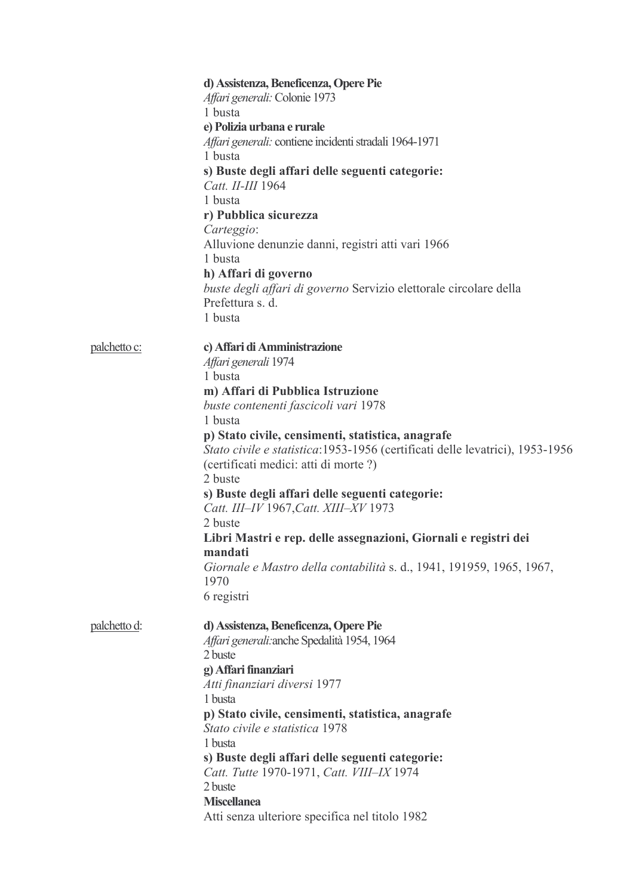|              | d) Assistenza, Beneficenza, Opere Pie<br>Affari generali: Colonie 1973<br>1 busta<br>e) Polizia urbana e rurale<br>Affari generali: contiene incidenti stradali 1964-1971<br>1 busta<br>s) Buste degli affari delle seguenti categorie:<br>Catt. II-III 1964<br>1 busta<br>r) Pubblica sicurezza<br>Carteggio:<br>Alluvione denunzie danni, registri atti vari 1966<br>1 busta<br>h) Affari di governo<br>buste degli affari di governo Servizio elettorale circolare della<br>Prefettura s. d.<br>1 busta                                                                                                                         |
|--------------|------------------------------------------------------------------------------------------------------------------------------------------------------------------------------------------------------------------------------------------------------------------------------------------------------------------------------------------------------------------------------------------------------------------------------------------------------------------------------------------------------------------------------------------------------------------------------------------------------------------------------------|
| palchetto c: | c) Affari di Amministrazione<br>Affari generali 1974<br>1 busta<br>m) Affari di Pubblica Istruzione<br>buste contenenti fascicoli vari 1978<br>1 busta<br>p) Stato civile, censimenti, statistica, anagrafe<br>Stato civile e statistica: 1953-1956 (certificati delle levatrici), 1953-1956<br>(certificati medici: atti di morte?)<br>2 buste<br>s) Buste degli affari delle seguenti categorie:<br>Catt. III-IV 1967, Catt. XIII-XV 1973<br>2 buste<br>Libri Mastri e rep. delle assegnazioni, Giornali e registri dei<br>mandatı<br>Giornale e Mastro della contabilità s. d., 1941, 191959, 1965, 1967,<br>1970<br>6 registri |
| palchetto d: | d) Assistenza, Beneficenza, Opere Pie<br>Affari generali: anche Spedalità 1954, 1964<br>2 buste<br>g) Affari finanziari<br>Atti finanziari diversi 1977<br>1 busta<br>p) Stato civile, censimenti, statistica, anagrafe<br>Stato civile e statistica 1978<br>1 busta<br>s) Buste degli affari delle seguenti categorie:<br>Catt. Tutte 1970-1971, Catt. VIII-IX 1974<br>2 buste<br><b>Miscellanea</b><br>Atti senza ulteriore specifica nel titolo 1982                                                                                                                                                                            |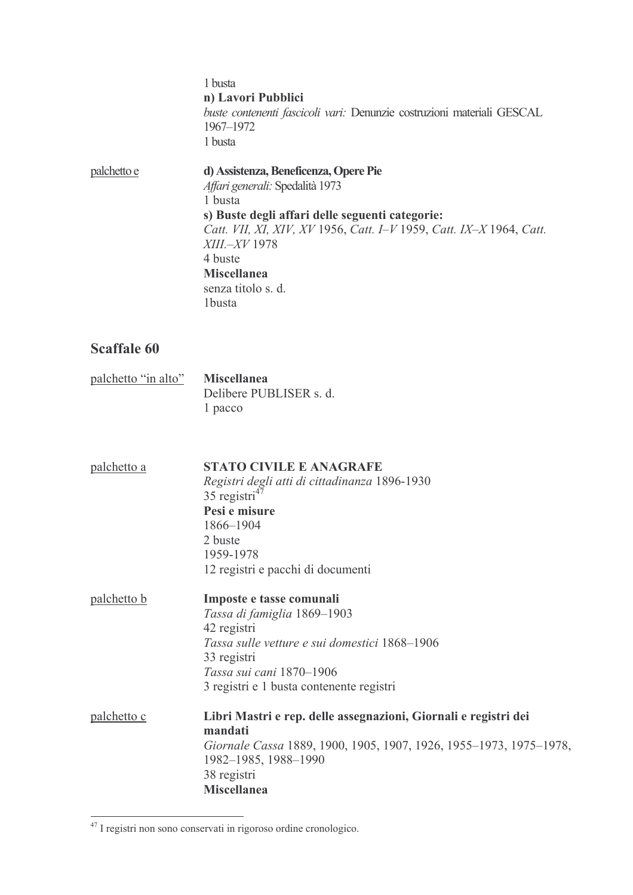1 busta n) Lavori Pubblici buste contenenti fascicoli vari: Denunzie costruzioni materiali GESCAL 1967-1972 1 busta palchetto e d) Assistenza, Beneficenza, Opere Pie Affari generali: Spedalità 1973 1 busta s) Buste degli affari delle seguenti categorie: Catt. VII, XI, XIV, XV 1956, Catt. I-V 1959, Catt. IX-X 1964, Catt. XIII.-XV 1978 4 buste **Miscellanea** senza titolo s. d. 1busta

| palchetto "in alto" | <b>Miscellanea</b>      |
|---------------------|-------------------------|
|                     | Delibere PUBLISER s. d. |
|                     | 1 pacco                 |

| palchetto a        | <b>STATO CIVILE E ANAGRAFE</b>                                     |
|--------------------|--------------------------------------------------------------------|
|                    | Registri degli atti di cittadinanza 1896-1930                      |
|                    | 35 registri $47$                                                   |
|                    | Pesi e misure                                                      |
|                    | 1866-1904                                                          |
|                    | 2 buste                                                            |
|                    | 1959-1978                                                          |
|                    | 12 registri e pacchi di documenti                                  |
| <u>palchetto b</u> | Imposte e tasse comunali                                           |
|                    | Tassa di famiglia 1869-1903                                        |
|                    | 42 registri                                                        |
|                    | Tassa sulle vetture e sui domestici 1868–1906                      |
|                    | 33 registri                                                        |
|                    | Tassa sui cani 1870-1906                                           |
|                    | 3 registri e 1 busta contenente registri                           |
| palchetto c        | Libri Mastri e rep. delle assegnazioni, Giornali e registri dei    |
|                    | mandati                                                            |
|                    | Giornale Cassa 1889, 1900, 1905, 1907, 1926, 1955–1973, 1975–1978, |
|                    | 1982-1985, 1988-1990                                               |
|                    | 38 registri                                                        |
|                    | <b>Miscellanea</b>                                                 |

 $47$  I registri non sono conservati in rigoroso ordine cronologico.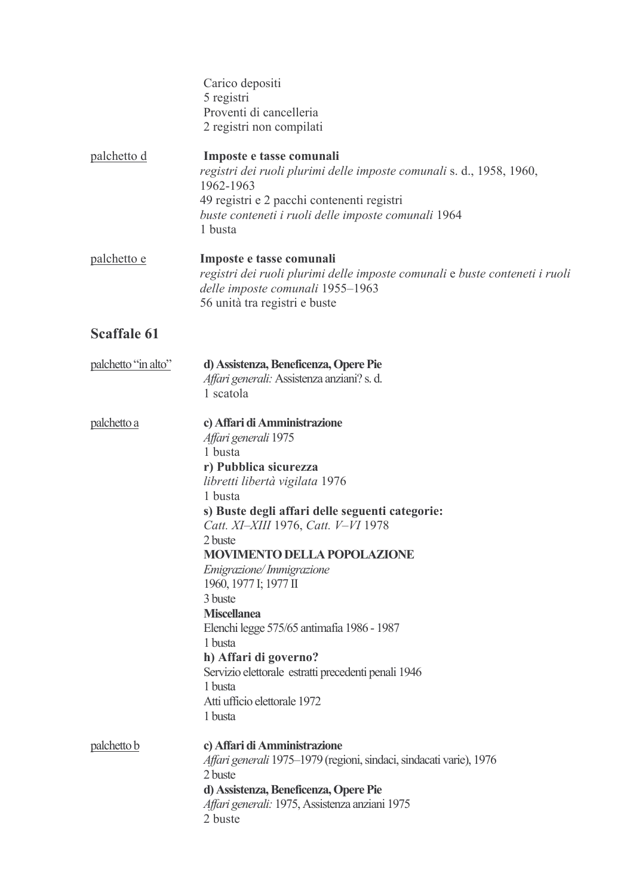|                     | Carico depositi<br>5 registri<br>Proventi di cancelleria<br>2 registri non compilati                                                                                                                                                                                                                                                                                                                                                                                                                                                                                  |
|---------------------|-----------------------------------------------------------------------------------------------------------------------------------------------------------------------------------------------------------------------------------------------------------------------------------------------------------------------------------------------------------------------------------------------------------------------------------------------------------------------------------------------------------------------------------------------------------------------|
| <u>palchetto d</u>  | Imposte e tasse comunali<br>registri dei ruoli plurimi delle imposte comunali s. d., 1958, 1960,<br>1962-1963<br>49 registri e 2 pacchi contenenti registri<br>buste conteneti i ruoli delle imposte comunali 1964<br>1 busta                                                                                                                                                                                                                                                                                                                                         |
| palchetto e         | Imposte e tasse comunali<br>registri dei ruoli plurimi delle imposte comunali e buste conteneti i ruoli<br>delle imposte comunali 1955-1963<br>56 unità tra registri e buste                                                                                                                                                                                                                                                                                                                                                                                          |
| <b>Scaffale 61</b>  |                                                                                                                                                                                                                                                                                                                                                                                                                                                                                                                                                                       |
| palchetto "in alto" | d) Assistenza, Beneficenza, Opere Pie<br>Affari generali: Assistenza anziani? s. d.<br>1 scatola                                                                                                                                                                                                                                                                                                                                                                                                                                                                      |
| palchetto a         | c) Affari di Amministrazione<br>Affari generali 1975<br>1 busta<br>r) Pubblica sicurezza<br>libretti libertà vigilata 1976<br>1 busta<br>s) Buste degli affari delle seguenti categorie:<br>Catt. XI-XIII 1976, Catt. V-VI 1978<br>2 buste<br><b>MOVIMENTO DELLA POPOLAZIONE</b><br>Emigrazione/Immigrazione<br>1960, 1977 I; 1977 II<br>3 buste<br><b>Miscellanea</b><br>Elenchi legge 575/65 antimafia 1986 - 1987<br>1 busta<br>h) Affari di governo?<br>Servizio elettorale estratti precedenti penali 1946<br>1 busta<br>Atti ufficio elettorale 1972<br>1 busta |
| palchetto b         | c) Affari di Amministrazione<br>Affari generali 1975–1979 (regioni, sindaci, sindacati varie), 1976<br>2 buste<br>d) Assistenza, Beneficenza, Opere Pie<br>Affari generali: 1975, Assistenza anziani 1975<br>2 buste                                                                                                                                                                                                                                                                                                                                                  |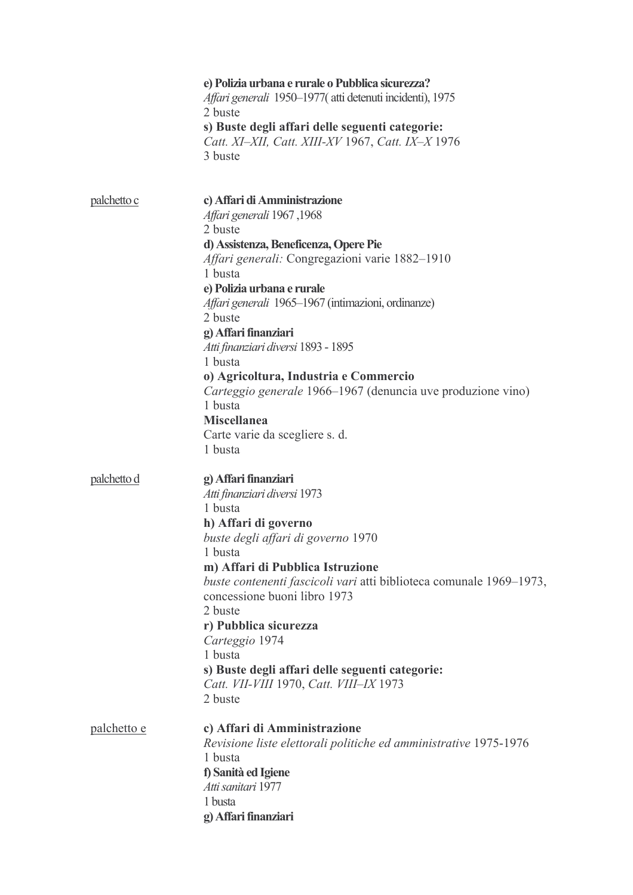|                    | e) Polizia urbana e rurale o Pubblica sicurezza?<br>Affari generali 1950–1977 (atti detenuti incidenti), 1975<br>2 buste<br>s) Buste degli affari delle seguenti categorie:<br>Catt. XI-XII, Catt. XIII-XV 1967, Catt. IX-X 1976<br>3 buste                                                                                                                                                                                                                                                                                                |
|--------------------|--------------------------------------------------------------------------------------------------------------------------------------------------------------------------------------------------------------------------------------------------------------------------------------------------------------------------------------------------------------------------------------------------------------------------------------------------------------------------------------------------------------------------------------------|
| <u>palchetto c</u> | c) Affari di Amministrazione<br>1968, Affari generali 1967<br>2 buste<br>d) Assistenza, Beneficenza, Opere Pie<br>Affari generali: Congregazioni varie 1882-1910<br>1 busta<br>e) Polizia urbana e rurale<br>Affari generali 1965–1967 (intimazioni, ordinanze)<br>2 buste<br>g) Affari finanziari<br>Atti finanziari diversi 1893 - 1895<br>1 busta<br>o) Agricoltura, Industria e Commercio<br>Carteggio generale 1966–1967 (denuncia uve produzione vino)<br>1 busta<br><b>Miscellanea</b><br>Carte varie da scegliere s. d.<br>1 busta |
| palchetto d        | g) Affari finanziari<br>Atti finanziari diversi 1973<br>1 busta<br>h) Affari di governo<br>buste degli affari di governo 1970<br>1 busta<br>m) Affari di Pubblica Istruzione<br>buste contenenti fascicoli vari atti biblioteca comunale 1969–1973,<br>concessione buoni libro 1973<br>2 buste<br>r) Pubblica sicurezza<br>Carteggio 1974<br>1 busta<br>s) Buste degli affari delle seguenti categorie:<br>Catt. VII-VIII 1970, Catt. VIII-IX 1973<br>2 buste                                                                              |
| <u>palchetto e</u> | c) Affari di Amministrazione<br>Revisione liste elettorali politiche ed amministrative 1975-1976<br>1 busta<br>f) Sanità ed Igiene<br>Atti sanitari 1977<br>1 busta<br>g) Affari finanziari                                                                                                                                                                                                                                                                                                                                                |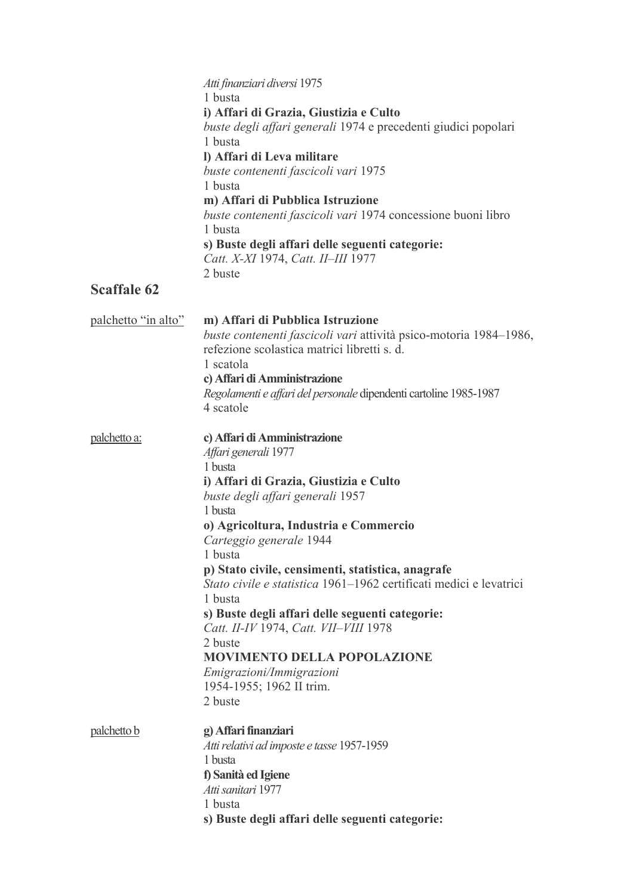| <b>Scaffale 62</b>  | Atti finanziari diversi 1975<br>1 busta<br>i) Affari di Grazia, Giustizia e Culto<br>buste degli affari generali 1974 e precedenti giudici popolari<br>1 busta<br>l) Affari di Leva militare<br>buste contenenti fascicoli vari 1975<br>1 busta<br>m) Affari di Pubblica Istruzione<br>buste contenenti fascicoli vari 1974 concessione buoni libro<br>1 busta<br>s) Buste degli affari delle seguenti categorie:<br>Catt. X-XI 1974, Catt. II-III 1977<br>2 buste                                                                                                                            |
|---------------------|-----------------------------------------------------------------------------------------------------------------------------------------------------------------------------------------------------------------------------------------------------------------------------------------------------------------------------------------------------------------------------------------------------------------------------------------------------------------------------------------------------------------------------------------------------------------------------------------------|
| palchetto "in alto" | m) Affari di Pubblica Istruzione<br>buste contenenti fascicoli vari attività psico-motoria 1984–1986,<br>refezione scolastica matrici libretti s. d.<br>1 scatola<br>c) Affari di Amministrazione<br>Regolamenti e affari del personale dipendenti cartoline 1985-1987<br>4 scatole                                                                                                                                                                                                                                                                                                           |
| <u>palchetto a:</u> | c) Affari di Amministrazione<br>Affari generali 1977<br>1 busta<br>i) Affari di Grazia, Giustizia e Culto<br>buste degli affari generali 1957<br>1 busta<br>o) Agricoltura, Industria e Commercio<br>Carteggio generale 1944<br>1 busta<br>p) Stato civile, censimenti, statistica, anagrafe<br>Stato civile e statistica 1961–1962 certificati medici e levatrici<br>1 busta<br>s) Buste degli affari delle seguenti categorie:<br>Catt. II-IV 1974, Catt. VII-VIII 1978<br>2 buste<br><b>MOVIMENTO DELLA POPOLAZIONE</b><br>Emigrazioni/Immigrazioni<br>1954-1955; 1962 II trim.<br>2 buste |
| palchetto b         | g) Affari finanziari<br>Atti relativi ad imposte e tasse 1957-1959<br>1 busta<br>f) Sanità ed Igiene<br>Atti sanitari 1977<br>1 busta<br>s) Buste degli affari delle seguenti categorie:                                                                                                                                                                                                                                                                                                                                                                                                      |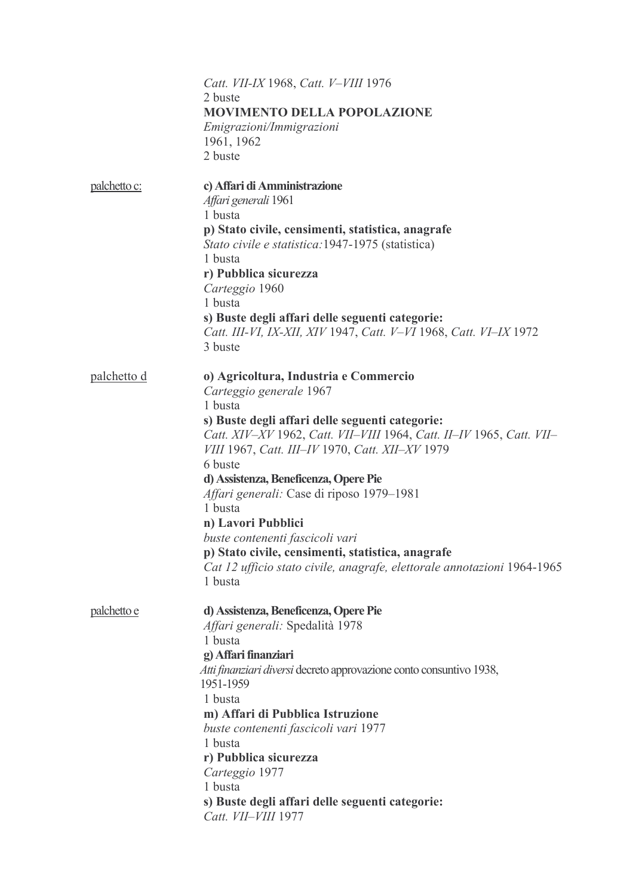|                    | Catt. VII-IX 1968, Catt. V-VIII 1976<br>2 buste<br><b>MOVIMENTO DELLA POPOLAZIONE</b><br>Emigrazioni/Immigrazioni<br>1961, 1962<br>2 buste                                                                                                                                                                                                                                                                                                                                                                                                                                |
|--------------------|---------------------------------------------------------------------------------------------------------------------------------------------------------------------------------------------------------------------------------------------------------------------------------------------------------------------------------------------------------------------------------------------------------------------------------------------------------------------------------------------------------------------------------------------------------------------------|
| palchetto c:       | c) Affari di Amministrazione<br>Affari generali 1961<br>1 busta<br>p) Stato civile, censimenti, statistica, anagrafe<br>Stato civile e statistica: 1947-1975 (statistica)<br>1 busta<br>r) Pubblica sicurezza<br>Carteggio 1960<br>1 busta<br>s) Buste degli affari delle seguenti categorie:<br>Catt. III-VI, IX-XII, XIV 1947, Catt. V-VI 1968, Catt. VI-IX 1972<br>3 buste                                                                                                                                                                                             |
| <u>palchetto d</u> | o) Agricoltura, Industria e Commercio<br>Carteggio generale 1967<br>1 busta<br>s) Buste degli affari delle seguenti categorie:<br>Catt. XIV-XV 1962, Catt. VII-VIII 1964, Catt. II-IV 1965, Catt. VII-<br>VIII 1967, Catt. III–IV 1970, Catt. XII–XV 1979<br>6 buste<br>d) Assistenza, Beneficenza, Opere Pie<br>Affari generali: Case di riposo 1979-1981<br>1 busta<br>n) Lavori Pubblici<br>buste contenenti fascicoli vari<br>p) Stato civile, censimenti, statistica, anagrafe<br>Cat 12 ufficio stato civile, anagrafe, elettorale annotazioni 1964-1965<br>1 busta |
| palchetto e        | d) Assistenza, Beneficenza, Opere Pie<br>Affari generali: Spedalità 1978<br>1 busta<br>g) Affari finanziari<br>Atti finanziari diversi decreto approvazione conto consuntivo 1938,<br>1951-1959<br>1 busta<br>m) Affari di Pubblica Istruzione<br>buste contenenti fascicoli vari 1977<br>1 busta<br>r) Pubblica sicurezza<br>Carteggio 1977<br>1 busta<br>s) Buste degli affari delle seguenti categorie:<br>Catt. VII-VIII 1977                                                                                                                                         |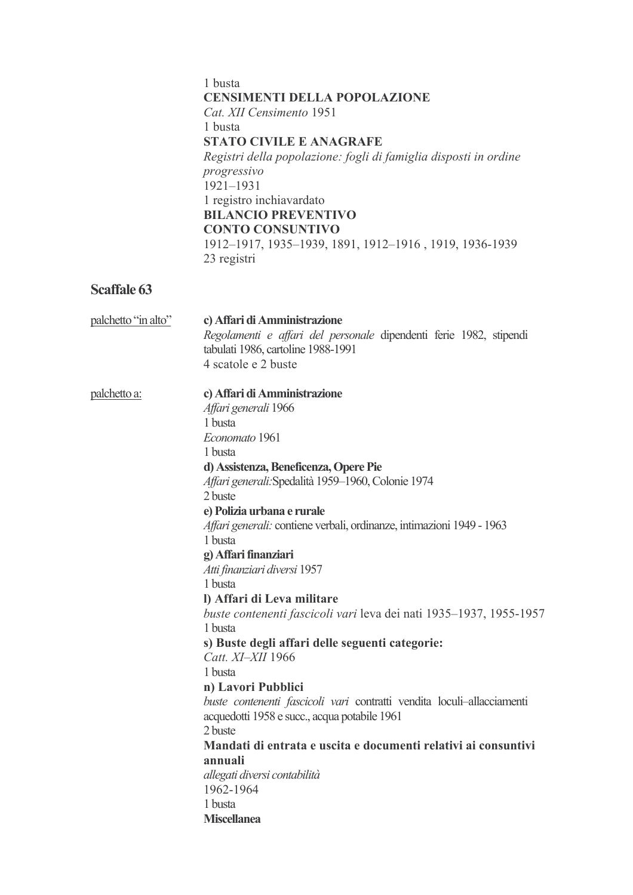#### 1 busta **CENSIMENTI DELLA POPOLAZIONE** Cat. XII Censimento 1951 1 busta **STATO CIVILE E ANAGRAFE** Registri della popolazione: fogli di famiglia disposti in ordine progressivo  $1921 - 1931$ 1 registro inchiavardato **BILANCIO PREVENTIVO CONTO CONSUNTIVO** 1912-1917, 1935-1939, 1891, 1912-1916, 1919, 1936-1939 23 registri

| palchetto "in alto" | c) Affari di Amministrazione<br>Regolamenti e affari del personale dipendenti ferie 1982, stipendi<br>tabulati 1986, cartoline 1988-1991<br>4 scatole e 2 buste                                                                                                                                                                                                                                                                                                                                                                                                                                                                                                                                                                                                                                                                                                                                                     |
|---------------------|---------------------------------------------------------------------------------------------------------------------------------------------------------------------------------------------------------------------------------------------------------------------------------------------------------------------------------------------------------------------------------------------------------------------------------------------------------------------------------------------------------------------------------------------------------------------------------------------------------------------------------------------------------------------------------------------------------------------------------------------------------------------------------------------------------------------------------------------------------------------------------------------------------------------|
| palchetto a:        | c) Affari di Amministrazione<br>Affari generali 1966<br>1 busta<br>Economato 1961<br>1 busta<br>d) Assistenza, Beneficenza, Opere Pie<br>Affari generali: Spedalità 1959-1960, Colonie 1974<br>2 buste<br>e) Polizia urbana e rurale<br>Affari generali: contiene verbali, ordinanze, intimazioni 1949 - 1963<br>1 busta<br>g) Affari finanziari<br>Atti finanziari diversi 1957<br>1 busta<br>l) Affari di Leva militare<br>buste contenenti fascicoli vari leva dei nati 1935–1937, 1955-1957<br>1 busta<br>s) Buste degli affari delle seguenti categorie:<br>Catt. XI-XII 1966<br>1 busta<br>n) Lavori Pubblici<br>buste contenenti fascicoli vari contratti vendita loculi-allacciamenti<br>acquedotti 1958 e succ., acqua potabile 1961<br>2 buste<br>Mandati di entrata e uscita e documenti relativi ai consuntivi<br>annuali<br>allegati diversi contabilità<br>1962-1964<br>1 busta<br><b>Miscellanea</b> |
|                     |                                                                                                                                                                                                                                                                                                                                                                                                                                                                                                                                                                                                                                                                                                                                                                                                                                                                                                                     |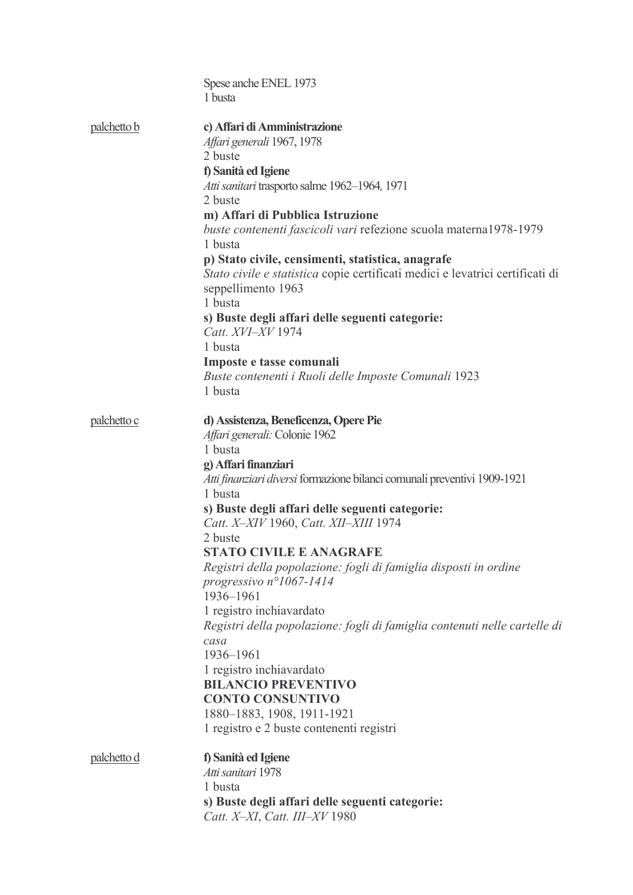|                    | Spese anche ENEL 1973                                                                                 |
|--------------------|-------------------------------------------------------------------------------------------------------|
|                    | 1 busta                                                                                               |
| <u>palchetto b</u> | c) Affari di Amministrazione                                                                          |
|                    | Affari generali 1967, 1978                                                                            |
|                    | 2 buste                                                                                               |
|                    | f) Sanità ed Igiene                                                                                   |
|                    | Atti sanitari trasporto salme 1962-1964, 1971                                                         |
|                    | 2 buste                                                                                               |
|                    | m) Affari di Pubblica Istruzione<br>buste contenenti fascicoli vari refezione scuola materna1978-1979 |
|                    | 1 busta                                                                                               |
|                    | p) Stato civile, censimenti, statistica, anagrafe                                                     |
|                    | Stato civile e statistica copie certificati medici e levatrici certificati di                         |
|                    | seppellimento 1963                                                                                    |
|                    | 1 busta                                                                                               |
|                    | s) Buste degli affari delle seguenti categorie:<br>Catt. XVI-XV 1974                                  |
|                    | 1 busta                                                                                               |
|                    | Imposte e tasse comunali                                                                              |
|                    | Buste contenenti i Ruoli delle Imposte Comunali 1923                                                  |
|                    | 1 busta                                                                                               |
| palchetto c        | d) Assistenza, Beneficenza, Opere Pie                                                                 |
|                    | Affari generali: Colonie 1962                                                                         |
|                    | 1 busta                                                                                               |
|                    | g) Affari finanziari                                                                                  |
|                    | Atti finanziari diversi formazione bilanci comunali preventivi 1909-1921                              |
|                    | 1 busta                                                                                               |
|                    | s) Buste degli affari delle seguenti categorie:<br>Catt. X-XIV 1960, Catt. XII-XIII 1974              |
|                    | 2 buste                                                                                               |
|                    | <b>STATO CIVILE E ANAGRAFE</b>                                                                        |
|                    | Registri della popolazione: fogli di famiglia disposti in ordine                                      |
|                    | progressivo $n^{\circ}1067 - 1414$                                                                    |
|                    | 1936-1961                                                                                             |
|                    | 1 registro inchiavardato                                                                              |
|                    | Registri della popolazione: fogli di famiglia contenuti nelle cartelle di<br>casa                     |
|                    | 1936-1961                                                                                             |
|                    | 1 registro inchiavardato                                                                              |
|                    | <b>BILANCIO PREVENTIVO</b>                                                                            |
|                    | <b>CONTO CONSUNTIVO</b>                                                                               |
|                    | 1880–1883, 1908, 1911-1921                                                                            |
|                    | 1 registro e 2 buste contenenti registri                                                              |
| <u>palchetto d</u> | f) Sanità ed Igiene                                                                                   |
|                    | Atti sanitari 1978                                                                                    |
|                    | 1 busta                                                                                               |
|                    | s) Buste degli affari delle seguenti categorie:                                                       |
|                    | Catt. X-XI, Catt. III-XV 1980                                                                         |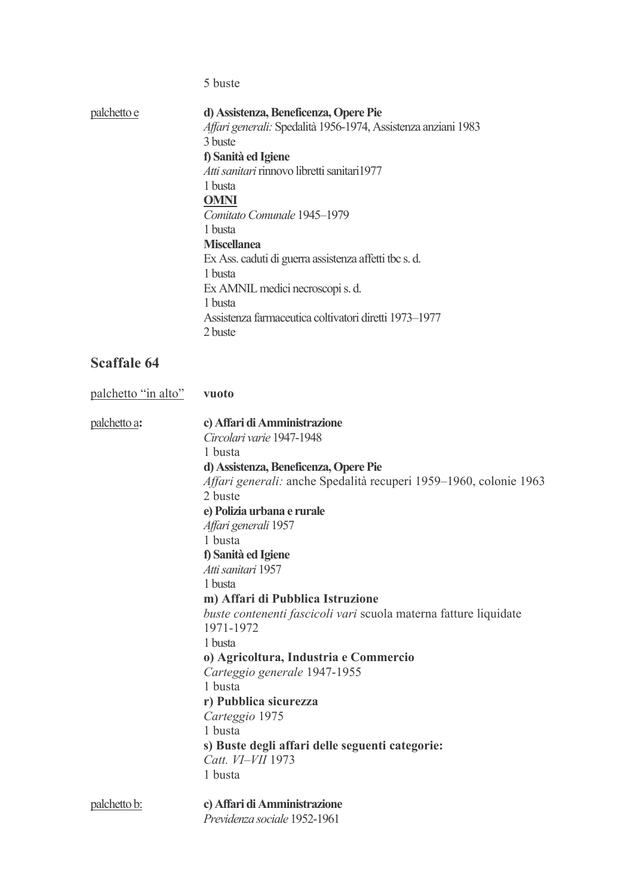5 buste

| palchetto e | d) Assistenza, Beneficenza, Opere Pie                         |
|-------------|---------------------------------------------------------------|
|             | Affari generali: Spedalità 1956-1974, Assistenza anziani 1983 |
|             | 3 buste                                                       |
|             | f) Sanità ed Igiene                                           |
|             | Atti sanitari rinnovo libretti sanitari1977                   |
|             | 1 busta                                                       |
|             | <b>OMNI</b>                                                   |
|             | Comitato Comunale 1945–1979                                   |
|             | 1 busta                                                       |
|             | <b>Miscellanea</b>                                            |
|             | Ex Ass. caduti di guerra assistenza affetti tbc s. d.         |
|             | 1 busta                                                       |
|             | Ex AMNIL medici necroscopi s. d.                              |
|             | 1 busta                                                       |
|             | Assistenza farmaceutica coltivatori diretti 1973–1977         |
|             | 2 buste                                                       |
|             |                                                               |

| palchetto "in alto" | vuoto                                                             |
|---------------------|-------------------------------------------------------------------|
| palchetto a:        | c) Affari di Amministrazione                                      |
|                     | Circolari varie 1947-1948                                         |
|                     | 1 busta                                                           |
|                     | d) Assistenza, Beneficenza, Opere Pie                             |
|                     | Affari generali: anche Spedalità recuperi 1959–1960, colonie 1963 |
|                     | 2 buste                                                           |
|                     | e) Polizia urbana e rurale                                        |
|                     | Affari generali 1957                                              |
|                     | 1 busta                                                           |
|                     | f) Sanità ed Igiene                                               |
|                     | Atti sanitari 1957                                                |
|                     | 1 busta                                                           |
|                     | m) Affari di Pubblica Istruzione                                  |
|                     | buste contenenti fascicoli vari scuola materna fatture liquidate  |
|                     | 1971-1972                                                         |
|                     | 1 busta                                                           |
|                     | o) Agricoltura, Industria e Commercio                             |
|                     | Carteggio generale 1947-1955                                      |
|                     | 1 busta                                                           |
|                     | r) Pubblica sicurezza                                             |
|                     | Carteggio 1975                                                    |
|                     | 1 busta                                                           |
|                     | s) Buste degli affari delle seguenti categorie:                   |
|                     | Catt. VI-VII 1973                                                 |
|                     | 1 busta                                                           |
| palchetto b:        | c) Affari di Amministrazione                                      |
|                     | Previdenza sociale 1952-1961                                      |
|                     |                                                                   |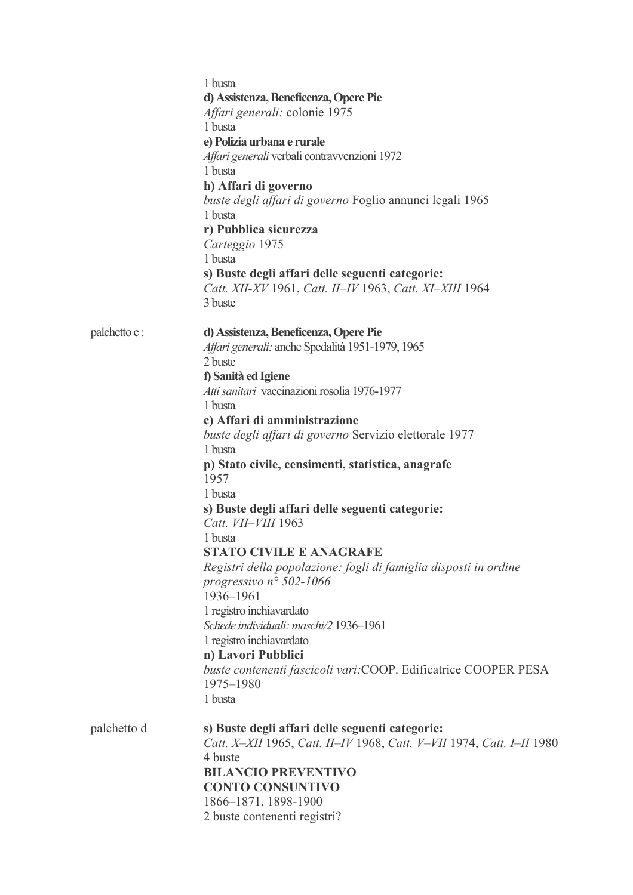|                    | 1 busta<br>d) Assistenza, Beneficenza, Opere Pie<br>Affari generali: colonie 1975<br>1 busta<br>e) Polizia urbana e rurale<br>Affari generali verbali contravvenzioni 1972<br>1 busta<br>h) Affari di governo<br>buste degli affari di governo Foglio annunci legali 1965<br>1 busta<br>r) Pubblica sicurezza<br>Carteggio 1975<br>1 busta<br>s) Buste degli affari delle seguenti categorie:<br>Catt. XII-XV 1961, Catt. II-IV 1963, Catt. XI-XIII 1964                                                                                                                                                                                                                                                                                                                                                                  |
|--------------------|---------------------------------------------------------------------------------------------------------------------------------------------------------------------------------------------------------------------------------------------------------------------------------------------------------------------------------------------------------------------------------------------------------------------------------------------------------------------------------------------------------------------------------------------------------------------------------------------------------------------------------------------------------------------------------------------------------------------------------------------------------------------------------------------------------------------------|
|                    | 3 buste                                                                                                                                                                                                                                                                                                                                                                                                                                                                                                                                                                                                                                                                                                                                                                                                                   |
| palchetto c :      | d) Assistenza, Beneficenza, Opere Pie<br>Affari generali: anche Spedalità 1951-1979, 1965<br>2 buste<br>f) Sanità ed Igiene<br>Atti sanitari vaccinazioni rosolia 1976-1977<br>1 busta<br>c) Affari di amministrazione<br>buste degli affari di governo Servizio elettorale 1977<br>1 busta<br>p) Stato civile, censimenti, statistica, anagrafe<br>1957<br>1 busta<br>s) Buste degli affari delle seguenti categorie:<br>Catt. VII-VIII 1963<br>1 busta<br><b>STATO CIVILE E ANAGRAFE</b><br>Registri della popolazione: fogli di famiglia disposti in ordine<br>progressivo nº 502-1066<br>1936-1961<br>1 registro inchiavardato<br>Schede individuali: maschi/2 1936-1961<br>1 registro inchiavardato<br>n) Lavori Pubblici<br>buste contenenti fascicoli vari: COOP. Edificatrice COOPER PESA<br>1975-1980<br>1 busta |
| <u>palchetto d</u> | s) Buste degli affari delle seguenti categorie:<br>Catt. X-XII 1965, Catt. II-IV 1968, Catt. V-VII 1974, Catt. I-II 1980<br>4 buste<br><b>BILANCIO PREVENTIVO</b><br><b>CONTO CONSUNTIVO</b><br>1866-1871, 1898-1900<br>2 buste contenenti registri?                                                                                                                                                                                                                                                                                                                                                                                                                                                                                                                                                                      |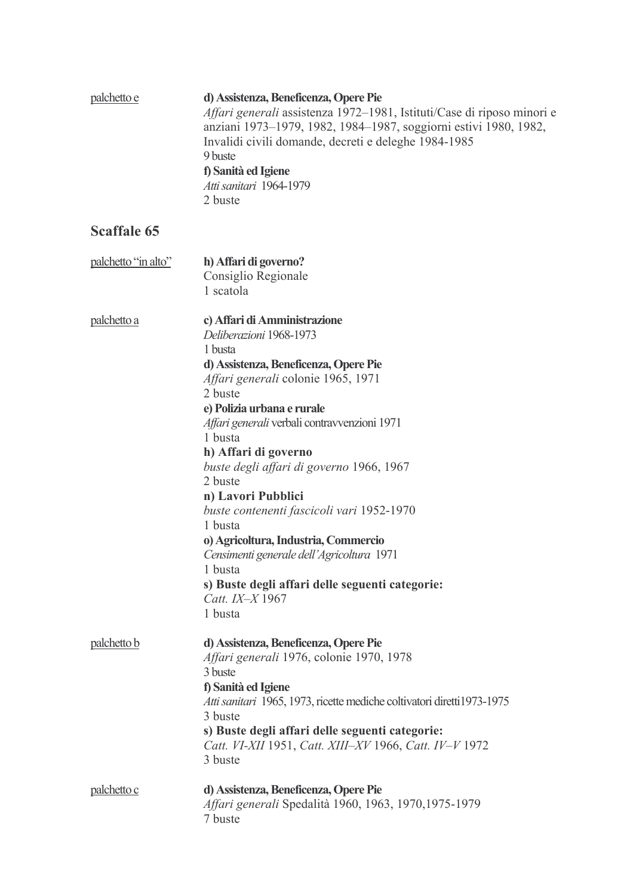| palchetto e         | d) Assistenza, Beneficenza, Opere Pie<br>Affari generali assistenza 1972–1981, Istituti/Case di riposo minori e<br>anziani 1973–1979, 1982, 1984–1987, soggiorni estivi 1980, 1982,<br>Invalidi civili domande, decreti e deleghe 1984-1985<br>9 buste<br>f) Sanità ed Igiene<br>Atti sanitari 1964-1979<br>2 buste                                                                                                                                                                                                                                                                                 |
|---------------------|-----------------------------------------------------------------------------------------------------------------------------------------------------------------------------------------------------------------------------------------------------------------------------------------------------------------------------------------------------------------------------------------------------------------------------------------------------------------------------------------------------------------------------------------------------------------------------------------------------|
| <b>Scaffale 65</b>  |                                                                                                                                                                                                                                                                                                                                                                                                                                                                                                                                                                                                     |
| palchetto "in alto" | h) Affari di governo?<br>Consiglio Regionale<br>1 scatola                                                                                                                                                                                                                                                                                                                                                                                                                                                                                                                                           |
| palchetto a         | c) Affari di Amministrazione<br>Deliberazioni 1968-1973<br>1 busta<br>d) Assistenza, Beneficenza, Opere Pie<br>Affari generali colonie 1965, 1971<br>2 buste<br>e) Polizia urbana e rurale<br>Affari generali verbali contravvenzioni 1971<br>1 busta<br>h) Affari di governo<br>buste degli affari di governo 1966, 1967<br>2 buste<br>n) Lavori Pubblici<br>buste contenenti fascicoli vari 1952-1970<br>1 busta<br>o) Agricoltura, Industria, Commercio<br>Censimenti generale dell'Agricoltura 1971<br>1 busta<br>s) Buste degli affari delle seguenti categorie:<br>Catt. IX-X 1967<br>1 busta |
| palchetto b         | d) Assistenza, Beneficenza, Opere Pie<br>Affari generali 1976, colonie 1970, 1978<br>3 buste<br>f) Sanità ed Igiene<br>Atti sanitari 1965, 1973, ricette mediche coltivatori diretti 1973-1975<br>3 buste<br>s) Buste degli affari delle seguenti categorie:<br>Catt. VI-XII 1951, Catt. XIII-XV 1966, Catt. IV-V 1972<br>3 buste                                                                                                                                                                                                                                                                   |
| palchetto c         | d) Assistenza, Beneficenza, Opere Pie<br>Affari generali Spedalità 1960, 1963, 1970, 1975-1979<br>7 buste                                                                                                                                                                                                                                                                                                                                                                                                                                                                                           |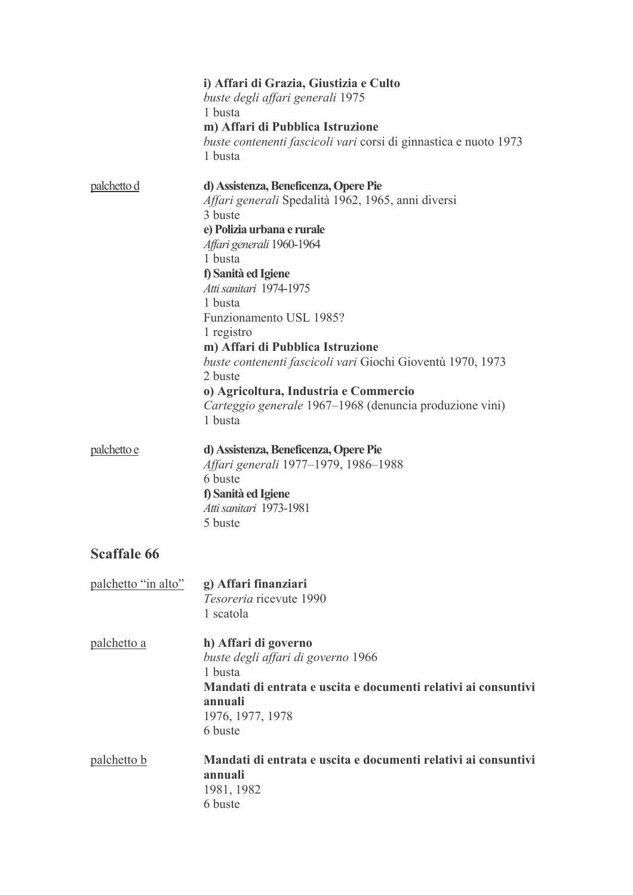|                     | i) Affari di Grazia, Giustizia e Culto<br>buste degli affari generali 1975<br>1 busta<br>m) Affari di Pubblica Istruzione<br>buste contenenti fascicoli vari corsi di ginnastica e nuoto 1973<br>1 busta                                                                                                                                                                                                                                                                                                       |
|---------------------|----------------------------------------------------------------------------------------------------------------------------------------------------------------------------------------------------------------------------------------------------------------------------------------------------------------------------------------------------------------------------------------------------------------------------------------------------------------------------------------------------------------|
| palchetto d         | d) Assistenza, Beneficenza, Opere Pie<br>Affari generali Spedalità 1962, 1965, anni diversi<br>3 buste<br>e) Polizia urbana e rurale<br>Affari generali 1960-1964<br>1 busta<br>f) Sanità ed Igiene<br>Atti sanitari 1974-1975<br>1 busta<br>Funzionamento USL 1985?<br>1 registro<br>m) Affari di Pubblica Istruzione<br>buste contenenti fascicoli vari Giochi Gioventù 1970, 1973<br>2 buste<br>o) Agricoltura, Industria e Commercio<br>Carteggio generale 1967–1968 (denuncia produzione vini)<br>1 busta |
| palchetto e         | d) Assistenza, Beneficenza, Opere Pie<br>Affari generali 1977–1979, 1986–1988<br>6 buste<br>f) Sanità ed Igiene<br>Atti sanitari 1973-1981<br>5 buste                                                                                                                                                                                                                                                                                                                                                          |
| <b>Scaffale 66</b>  |                                                                                                                                                                                                                                                                                                                                                                                                                                                                                                                |
| palchetto "in alto" | g) Affari finanziari<br>Tesoreria ricevute 1990<br>1 scatola                                                                                                                                                                                                                                                                                                                                                                                                                                                   |
| palchetto a         | h) Affari di governo<br>buste degli affari di governo 1966<br>1 busta<br>Mandati di entrata e uscita e documenti relativi ai consuntivi<br>annuali<br>1976, 1977, 1978<br>6 buste                                                                                                                                                                                                                                                                                                                              |
| <u>palchetto b</u>  | Mandati di entrata e uscita e documenti relativi ai consuntivi<br>annuali<br>1981, 1982<br>6 buste                                                                                                                                                                                                                                                                                                                                                                                                             |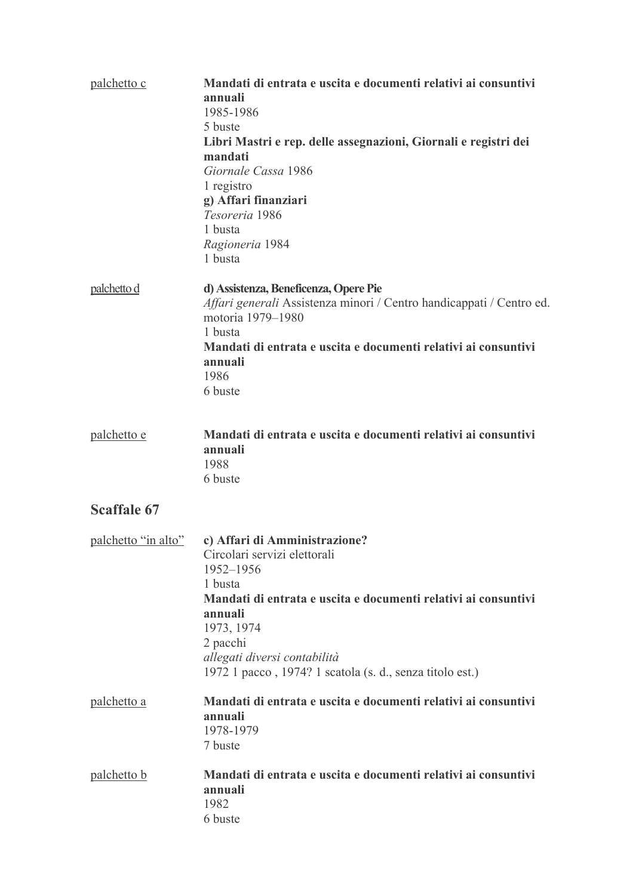| palchetto c         | Mandati di entrata e uscita e documenti relativi ai consuntivi<br>annuali<br>1985-1986<br>5 buste<br>Libri Mastri e rep. delle assegnazioni, Giornali e registri dei<br>mandati<br>Giornale Cassa 1986<br>1 registro<br>g) Affari finanziari<br>Tesoreria 1986<br>1 busta<br>Ragioneria 1984<br>1 busta |
|---------------------|---------------------------------------------------------------------------------------------------------------------------------------------------------------------------------------------------------------------------------------------------------------------------------------------------------|
| palchetto d         | d) Assistenza, Beneficenza, Opere Pie<br>Affari generali Assistenza minori / Centro handicappati / Centro ed.<br>motoria 1979-1980<br>1 busta<br>Mandati di entrata e uscita e documenti relativi ai consuntivi<br>annuali<br>1986<br>6 buste                                                           |
| palchetto e         | Mandati di entrata e uscita e documenti relativi ai consuntivi<br>annuali<br>1988<br>6 buste                                                                                                                                                                                                            |
| <b>Scaffale 67</b>  |                                                                                                                                                                                                                                                                                                         |
| palchetto "in alto" | c) Affari di Amministrazione?<br>Circolari servizi elettorali<br>1952-1956<br>1 busta<br>Mandati di entrata e uscita e documenti relativi ai consuntivi<br>annuali<br>1973, 1974<br>2 pacchi<br>allegati diversi contabilità<br>1972 1 pacco, 1974? 1 scatola (s. d., senza titolo est.)                |
| palchetto a         | Mandati di entrata e uscita e documenti relativi ai consuntivi<br>annuali<br>1978-1979<br>7 buste                                                                                                                                                                                                       |
| palchetto b         | Mandati di entrata e uscita e documenti relativi ai consuntivi<br>annuali<br>1982<br>6 buste                                                                                                                                                                                                            |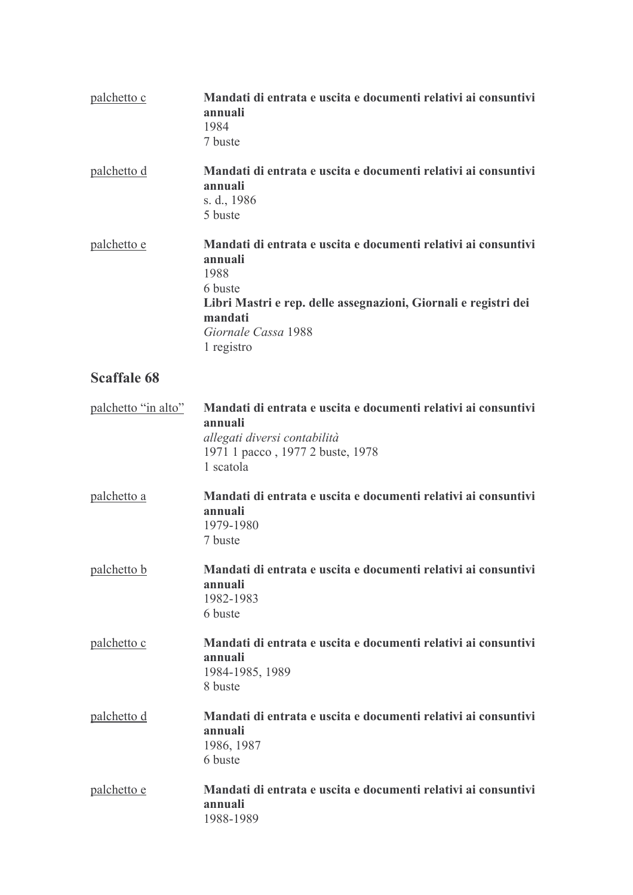| palchetto c         | Mandati di entrata e uscita e documenti relativi ai consuntivi<br>annuali<br>1984<br>7 buste                                                                                                                    |
|---------------------|-----------------------------------------------------------------------------------------------------------------------------------------------------------------------------------------------------------------|
| palchetto d         | Mandati di entrata e uscita e documenti relativi ai consuntivi<br>annuali<br>s. d., 1986<br>5 buste                                                                                                             |
| palchetto e         | Mandati di entrata e uscita e documenti relativi ai consuntivi<br>annuali<br>1988<br>6 buste<br>Libri Mastri e rep. delle assegnazioni, Giornali e registri dei<br>mandati<br>Giornale Cassa 1988<br>1 registro |
| <b>Scaffale 68</b>  |                                                                                                                                                                                                                 |
| palchetto "in alto" | Mandati di entrata e uscita e documenti relativi ai consuntivi<br>annuali<br>allegati diversi contabilità<br>1971 1 pacco, 1977 2 buste, 1978<br>1 scatola                                                      |
| palchetto a         | Mandati di entrata e uscita e documenti relativi ai consuntivi<br>annuali<br>1979-1980<br>7 buste                                                                                                               |
| palchetto b         | Mandati di entrata e uscita e documenti relativi ai consuntivi<br>annuali<br>1982-1983<br>6 buste                                                                                                               |
| palchetto c         | Mandati di entrata e uscita e documenti relativi ai consuntivi<br>annuali<br>1984-1985, 1989<br>8 buste                                                                                                         |
| palchetto d         | Mandati di entrata e uscita e documenti relativi ai consuntivi<br>annuali<br>1986, 1987<br>6 buste                                                                                                              |
| palchetto e         | Mandati di entrata e uscita e documenti relativi ai consuntivi<br>annuali<br>1988-1989                                                                                                                          |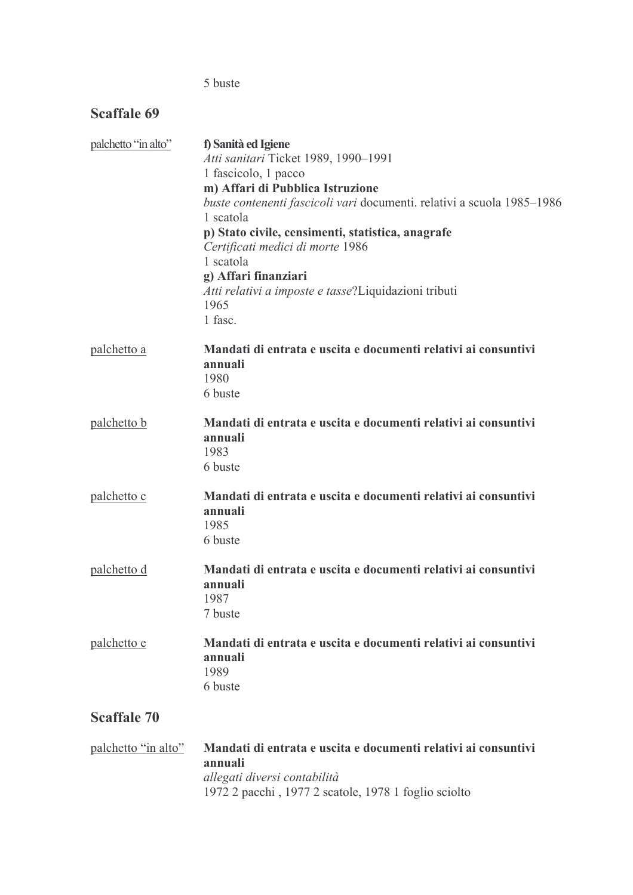#### 5 buste

## **Scaffale 69**

| palchetto "in alto" | f) Sanità ed Igiene                                                                                        |  |
|---------------------|------------------------------------------------------------------------------------------------------------|--|
|                     | Atti sanitari Ticket 1989, 1990-1991                                                                       |  |
|                     | 1 fascicolo, 1 pacco                                                                                       |  |
|                     | m) Affari di Pubblica Istruzione<br>buste contenenti fascicoli vari documenti. relativi a scuola 1985-1986 |  |
|                     | 1 scatola                                                                                                  |  |
|                     | p) Stato civile, censimenti, statistica, anagrafe                                                          |  |
|                     | Certificati medici di morte 1986                                                                           |  |
|                     | 1 scatola                                                                                                  |  |
|                     | g) Affari finanziari                                                                                       |  |
|                     | Atti relativi a imposte e tasse?Liquidazioni tributi                                                       |  |
|                     | 1965                                                                                                       |  |
|                     | 1 fasc.                                                                                                    |  |
| palchetto a         | Mandati di entrata e uscita e documenti relativi ai consuntivi<br>annuali                                  |  |
|                     | 1980                                                                                                       |  |
|                     | 6 buste                                                                                                    |  |
| palchetto b         | Mandati di entrata e uscita e documenti relativi ai consuntivi                                             |  |
|                     | annuali                                                                                                    |  |
|                     | 1983                                                                                                       |  |
|                     | 6 buste                                                                                                    |  |
| palchetto c         | Mandati di entrata e uscita e documenti relativi ai consuntivi                                             |  |
|                     | annuali<br>1985                                                                                            |  |
|                     | 6 buste                                                                                                    |  |
|                     |                                                                                                            |  |
| palchetto d         | Mandati di entrata e uscita e documenti relativi ai consuntivi                                             |  |
|                     | annuali                                                                                                    |  |
|                     | 1987                                                                                                       |  |
|                     | 7 buste                                                                                                    |  |
| palchetto e         | Mandati di entrata e uscita e documenti relativi ai consuntivi                                             |  |
|                     | annuali                                                                                                    |  |
|                     | 1989                                                                                                       |  |
|                     | 6 buste                                                                                                    |  |
| <b>Scaffale 70</b>  |                                                                                                            |  |
|                     | palchetto "in alto" Mandati di entrata e uscita e documenti relativi ai consuntivi                         |  |

scita e documenti relativi ai con annuali allegati diversi contabilità<br>1972 2 pacchi , 1977 2 scatole, 1978 1 foglio sciolto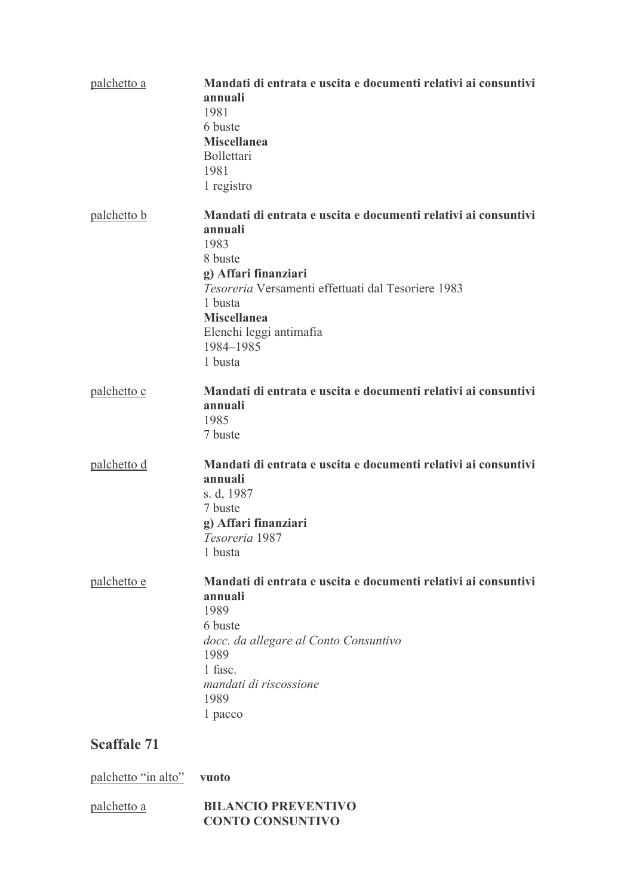| <u>palchetto a</u> | Mandati di entrata e uscita e documenti relativi ai consuntivi<br>annuali<br>1981<br>6 buste<br><b>Miscellanea</b><br>Bollettari<br>1981<br>1 registro                                                                                                         |
|--------------------|----------------------------------------------------------------------------------------------------------------------------------------------------------------------------------------------------------------------------------------------------------------|
| palchetto b        | Mandati di entrata e uscita e documenti relativi ai consuntivi<br>annuali<br>1983<br>8 buste<br>g) Affari finanziari<br>Tesoreria Versamenti effettuati dal Tesoriere 1983<br>1 busta<br><b>Miscellanea</b><br>Elenchi leggi antimafia<br>1984-1985<br>1 busta |
| palchetto c        | Mandati di entrata e uscita e documenti relativi ai consuntivi<br>annuali<br>1985<br>7 buste                                                                                                                                                                   |
| palchetto d        | Mandati di entrata e uscita e documenti relativi ai consuntivi<br>annuali<br>s. d, 1987<br>7 buste<br>g) Affari finanziari<br>Tesoreria 1987<br>1 busta                                                                                                        |
| <u>palchetto e</u> | Mandati di entrata e uscita e documenti relativi ai consuntivi<br>annuali<br>1989<br>6 buste<br>docc. da allegare al Conto Consuntivo<br>1989<br>1 fasc.<br>mandati di riscossione<br>1989<br>1 pacco                                                          |
| <b>Scaffale 71</b> |                                                                                                                                                                                                                                                                |

palchetto "in alto" vuoto

| palchetto a | <b>BILANCIO PREVENTIVO</b> |
|-------------|----------------------------|
|             | <b>CONTO CONSUNTIVO</b>    |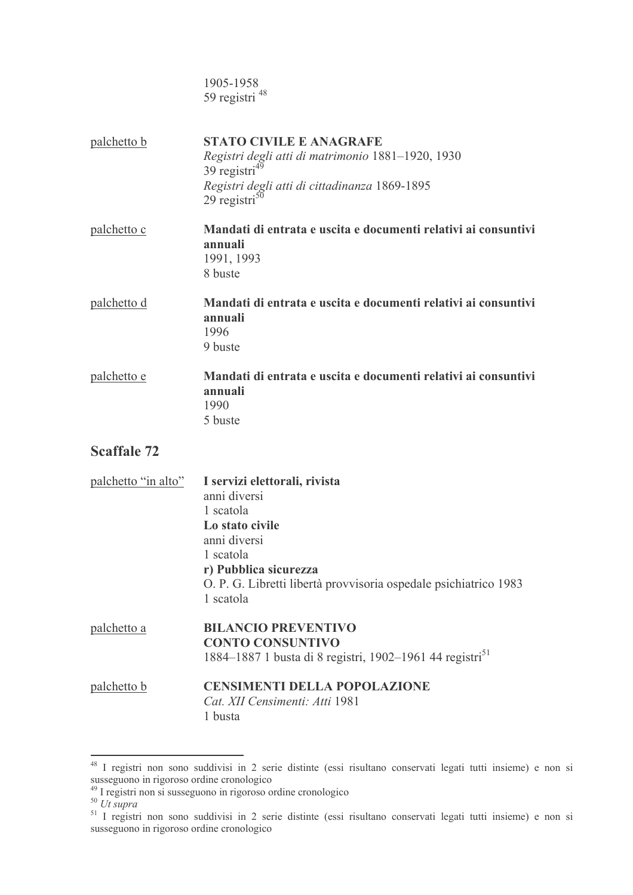1905-1958 59 registri <sup>48</sup> **STATO CIVILE E ANAGRAFE** palchetto b Registri degli atti di matrimonio 1881-1920, 1930  $39$  registri<sup>49</sup> Registri degli atti di cittadinanza 1869-1895  $29$  registri<sup>50</sup> Mandati di entrata e uscita e documenti relativi ai consuntivi palchetto c

- annuali 1991, 1993 8 buste palchetto d Mandati di entrata e uscita e documenti relativi ai consuntivi
	- annuali 1996 9 buste
	- palchetto e Mandati di entrata e uscita e documenti relativi ai consuntivi annuali 1990 5 buste

| palchetto "in alto" | I servizi elettorali, rivista<br>anni diversi<br>1 scatola<br>Lo stato civile<br>anni diversi<br>1 scatola<br>r) Pubblica sicurezza<br>O. P. G. Libretti libertà provvisoria ospedale psichiatrico 1983<br>1 scatola |
|---------------------|----------------------------------------------------------------------------------------------------------------------------------------------------------------------------------------------------------------------|
| palchetto a         | <b>BILANCIO PREVENTIVO</b><br><b>CONTO CONSUNTIVO</b><br>1884–1887 1 busta di 8 registri, 1902–1961 44 registri <sup>51</sup>                                                                                        |
| palchetto b         | <b>CENSIMENTI DELLA POPOLAZIONE</b><br>Cat. XII Censimenti: Atti 1981<br>1 busta                                                                                                                                     |

<sup>&</sup>lt;sup>48</sup> I registri non sono suddivisi in 2 serie distinte (essi risultano conservati legati tutti insieme) e non si susseguono in rigoroso ordine cronologico<br><sup>49</sup> I registri non si susseguono in rigoroso ordine cronologico<br><sup>50</sup> *Ut supra*<br><sup>51</sup> I registri non sono suddivisi in 2 serie distinte (essi risultano conservati legati tutti ins

susseguono in rigoroso ordine cronologico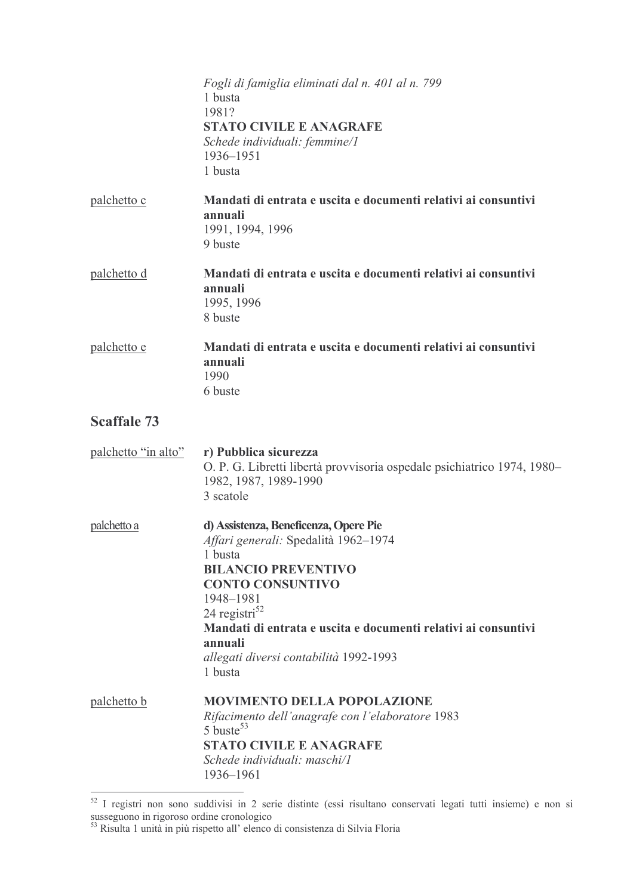|                     | Fogli di famiglia eliminati dal n. 401 al n. 799<br>1 busta<br>1981?<br><b>STATO CIVILE E ANAGRAFE</b><br>Schede individuali: femmine/1<br>1936-1951<br>1 busta                                                                                                                                                               |
|---------------------|-------------------------------------------------------------------------------------------------------------------------------------------------------------------------------------------------------------------------------------------------------------------------------------------------------------------------------|
| palchetto c         | Mandati di entrata e uscita e documenti relativi ai consuntivi<br>annuali<br>1991, 1994, 1996<br>9 buste                                                                                                                                                                                                                      |
| palchetto d         | Mandati di entrata e uscita e documenti relativi ai consuntivi<br>annuali<br>1995, 1996<br>8 buste                                                                                                                                                                                                                            |
| palchetto e         | Mandati di entrata e uscita e documenti relativi ai consuntivi<br>annuali<br>1990<br>6 buste                                                                                                                                                                                                                                  |
| <b>Scaffale 73</b>  |                                                                                                                                                                                                                                                                                                                               |
| palchetto "in alto" | r) Pubblica sicurezza<br>O. P. G. Libretti libertà provvisoria ospedale psichiatrico 1974, 1980–<br>1982, 1987, 1989-1990<br>3 scatole                                                                                                                                                                                        |
| palchetto a         | d) Assistenza, Beneficenza, Opere Pie<br>Affari generali: Spedalità 1962-1974<br>1 busta<br><b>BILANCIO PREVENTIVO</b><br><b>CONTO CONSUNTIVO</b><br>1948-1981<br>24 registri <sup>52</sup><br>Mandati di entrata e uscita e documenti relativi ai consuntivi<br>annuali<br>allegati diversi contabilità 1992-1993<br>1 busta |
| palchetto b         | <b>MOVIMENTO DELLA POPOLAZIONE</b><br>Rifacimento dell'anagrafe con l'elaboratore 1983<br>5 buste <sup>53</sup><br><b>STATO CIVILE E ANAGRAFE</b><br>Schede individuali: maschi/l<br>1936-1961                                                                                                                                |

 $\frac{52}{1}$  I registri non sono suddivisi in 2 serie distinte (essi risultano conservati legati tutti insieme) e non si susseguono in rigoroso ordine cronologico<br>
<sup>53</sup> Risulta 1 unità in più rispetto all'elenco di consiste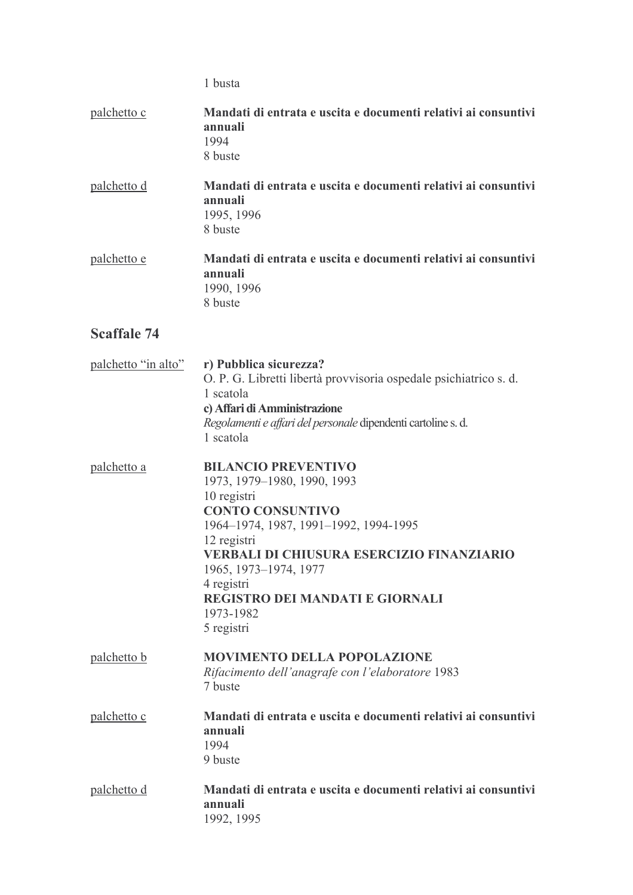1 busta

| palchetto c         | Mandati di entrata e uscita e documenti relativi ai consuntivi<br>annuali<br>1994<br>8 buste                                                                                                                                                                                                                                |
|---------------------|-----------------------------------------------------------------------------------------------------------------------------------------------------------------------------------------------------------------------------------------------------------------------------------------------------------------------------|
| palchetto d         | Mandati di entrata e uscita e documenti relativi ai consuntivi<br>annuali<br>1995, 1996<br>8 buste                                                                                                                                                                                                                          |
| palchetto e         | Mandati di entrata e uscita e documenti relativi ai consuntivi<br>annuali<br>1990, 1996<br>8 buste                                                                                                                                                                                                                          |
| <b>Scaffale 74</b>  |                                                                                                                                                                                                                                                                                                                             |
| palchetto "in alto" | r) Pubblica sicurezza?<br>O. P. G. Libretti libertà provvisoria ospedale psichiatrico s. d.<br>1 scatola<br>c) Affari di Amministrazione<br>Regolamenti e affari del personale dipendenti cartoline s. d.<br>1 scatola                                                                                                      |
| palchetto a         | <b>BILANCIO PREVENTIVO</b><br>1973, 1979–1980, 1990, 1993<br>10 registri<br><b>CONTO CONSUNTIVO</b><br>1964-1974, 1987, 1991-1992, 1994-1995<br>12 registri<br><b>VERBALI DI CHIUSURA ESERCIZIO FINANZIARIO</b><br>1965, 1973-1974, 1977<br>4 registri<br><b>REGISTRO DEI MANDATI E GIORNALI</b><br>1973-1982<br>5 registri |
| palchetto b         | <b>MOVIMENTO DELLA POPOLAZIONE</b><br>Rifacimento dell'anagrafe con l'elaboratore 1983<br>7 buste                                                                                                                                                                                                                           |
| palchetto c         | Mandati di entrata e uscita e documenti relativi ai consuntivi<br>annuali<br>1994<br>9 buste                                                                                                                                                                                                                                |
| palchetto d         | Mandati di entrata e uscita e documenti relativi ai consuntivi<br>annuali<br>1992, 1995                                                                                                                                                                                                                                     |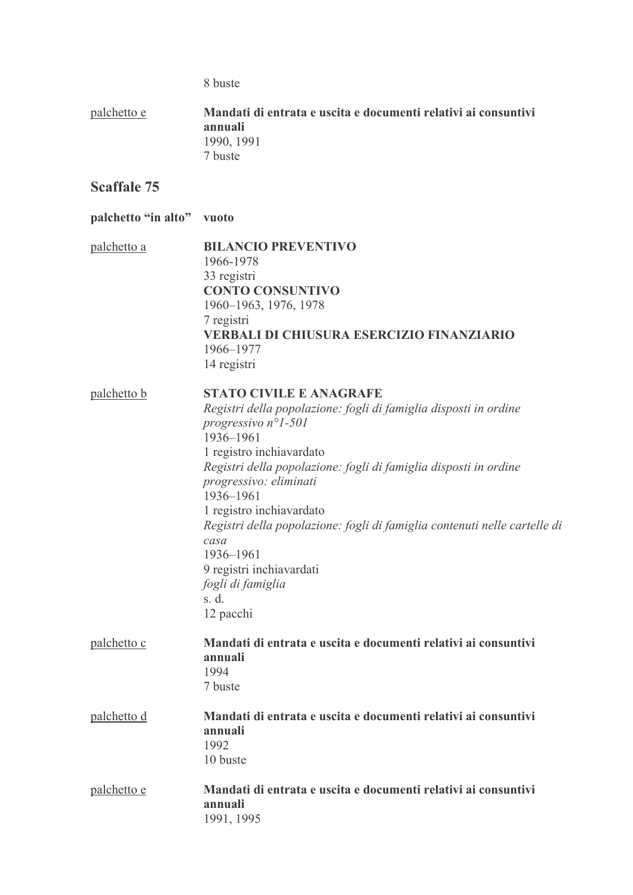8 buste

palchetto e Mandati di entrata e uscita e documenti relativi ai consuntivi annuali 1990, 1991 7 buste

## **Scaffale 75**

| palchetto "in alto" vuoto |                                                                                                                                                                                                                                                                                                                                                                                                                                                                                                      |
|---------------------------|------------------------------------------------------------------------------------------------------------------------------------------------------------------------------------------------------------------------------------------------------------------------------------------------------------------------------------------------------------------------------------------------------------------------------------------------------------------------------------------------------|
| palchetto a               | <b>BILANCIO PREVENTIVO</b><br>1966-1978<br>33 registri<br><b>CONTO CONSUNTIVO</b><br>1960–1963, 1976, 1978<br>7 registri<br><b>VERBALI DI CHIUSURA ESERCIZIO FINANZIARIO</b><br>1966-1977<br>14 registri                                                                                                                                                                                                                                                                                             |
| <u>palchetto b</u>        | <b>STATO CIVILE E ANAGRAFE</b><br>Registri della popolazione: fogli di famiglia disposti in ordine<br>progressivo $n^{\circ}$ <i>l</i> -501<br>1936-1961<br>1 registro inchiavardato<br>Registri della popolazione: fogli di famiglia disposti in ordine<br>progressivo: eliminati<br>1936-1961<br>1 registro inchiavardato<br>Registri della popolazione: fogli di famiglia contenuti nelle cartelle di<br>casa<br>1936-1961<br>9 registri inchiavardati<br>fogli di famiglia<br>s. d.<br>12 pacchi |
| palchetto c               | Mandati di entrata e uscita e documenti relativi ai consuntivi<br>annuali<br>1994<br>7 buste                                                                                                                                                                                                                                                                                                                                                                                                         |
| palchetto d               | Mandati di entrata e uscita e documenti relativi ai consuntivi<br>annuali<br>1992<br>10 buste                                                                                                                                                                                                                                                                                                                                                                                                        |
| palchetto e               | Mandati di entrata e uscita e documenti relativi ai consuntivi<br>annuali                                                                                                                                                                                                                                                                                                                                                                                                                            |

1991, 1995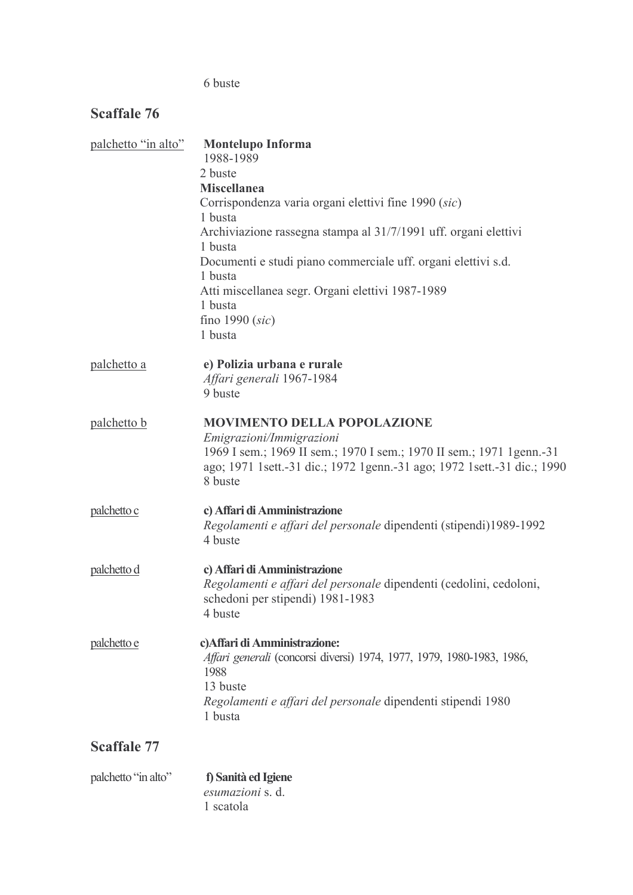## 6 buste

## Scaffale 76

| palchetto "in alto" | <b>Montelupo Informa</b><br>1988-1989                                     |
|---------------------|---------------------------------------------------------------------------|
|                     | 2 buste                                                                   |
|                     | <b>Miscellanea</b>                                                        |
|                     | Corrispondenza varia organi elettivi fine 1990 (sic)                      |
|                     | 1 busta                                                                   |
|                     | Archiviazione rassegna stampa al 31/7/1991 uff. organi elettivi           |
|                     | 1 busta                                                                   |
|                     | Documenti e studi piano commerciale uff. organi elettivi s.d.             |
|                     | 1 busta                                                                   |
|                     | Atti miscellanea segr. Organi elettivi 1987-1989                          |
|                     | 1 busta                                                                   |
|                     | fino 1990 $(sic)$<br>1 busta                                              |
|                     |                                                                           |
| <u>palchetto a</u>  | e) Polizia urbana e rurale                                                |
|                     | Affari generali 1967-1984                                                 |
|                     | 9 buste                                                                   |
| palchetto b         | <b>MOVIMENTO DELLA POPOLAZIONE</b>                                        |
|                     | Emigrazioni/Immigrazioni                                                  |
|                     | 1969 I sem.; 1969 II sem.; 1970 I sem.; 1970 II sem.; 1971 1 genn.-31     |
|                     | ago; 1971 1sett. 31 dic.; 1972 1genn. -31 ago; 1972 1sett. -31 dic.; 1990 |
|                     | 8 buste                                                                   |
| palchetto c         | c) Affari di Amministrazione                                              |
|                     | Regolamenti e affari del personale dipendenti (stipendi)1989-1992         |
|                     | 4 buste                                                                   |
| palchetto d         | c) Affari di Amministrazione                                              |
|                     | Regolamenti e affari del personale dipendenti (cedolini, cedoloni,        |
|                     | schedoni per stipendi) 1981-1983                                          |
|                     | 4 buste                                                                   |
| palchetto e         | c) Affari di Amministrazione:                                             |
|                     | Affari generali (concorsi diversi) 1974, 1977, 1979, 1980-1983, 1986,     |
|                     | 1988                                                                      |
|                     | 13 buste                                                                  |
|                     | Regolamenti e affari del personale dipendenti stipendi 1980               |
|                     | 1 busta                                                                   |
| <b>Scaffale 77</b>  |                                                                           |
|                     |                                                                           |

| palchetto "in alto" | f) Sanità ed Igiene     |
|---------------------|-------------------------|
|                     | <i>esumazioni</i> s. d. |
|                     | 1 scatola               |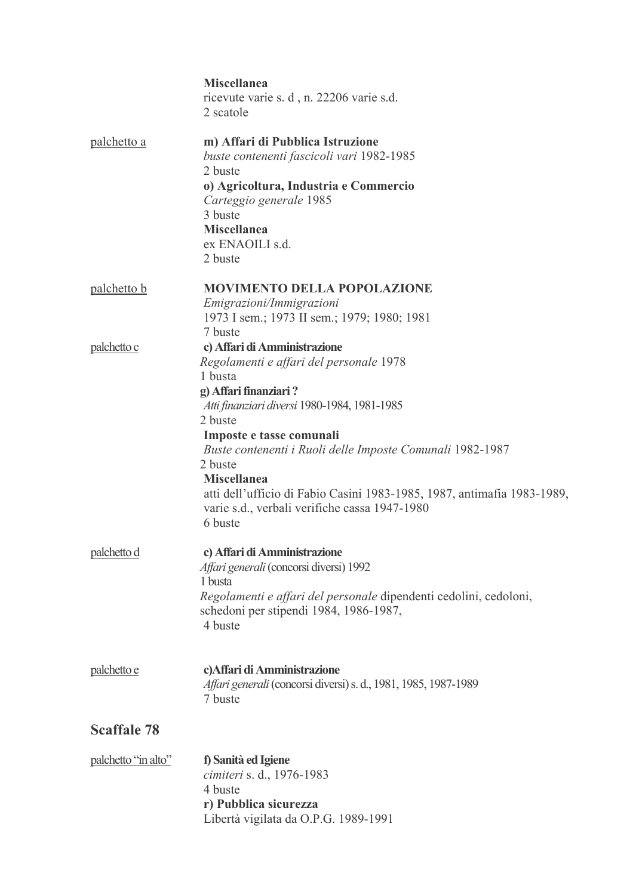|                     | <b>Miscellanea</b><br>ricevute varie s. d, n. 22206 varie s.d.<br>2 scatole                                                                                                                                                                                                                                                                                                                                                             |
|---------------------|-----------------------------------------------------------------------------------------------------------------------------------------------------------------------------------------------------------------------------------------------------------------------------------------------------------------------------------------------------------------------------------------------------------------------------------------|
| palchetto a         | m) Affari di Pubblica Istruzione<br>buste contenenti fascicoli vari 1982-1985<br>2 buste<br>o) Agricoltura, Industria e Commercio<br>Carteggio generale 1985<br>3 buste<br><b>Miscellanea</b><br>ex ENAOILI s.d.<br>2 buste                                                                                                                                                                                                             |
| palchetto b         | <b>MOVIMENTO DELLA POPOLAZIONE</b><br>Emigrazioni/Immigrazioni<br>1973 I sem.; 1973 II sem.; 1979; 1980; 1981<br>7 buste                                                                                                                                                                                                                                                                                                                |
| palchetto c         | c) Affari di Amministrazione<br>Regolamenti e affari del personale 1978<br>1 busta<br>g) Affari finanziari?<br>Atti finanziari diversi 1980-1984, 1981-1985<br>2 buste<br>Imposte e tasse comunali<br>Buste contenenti i Ruoli delle Imposte Comunali 1982-1987<br>2 buste<br><b>Miscellanea</b><br>atti dell'ufficio di Fabio Casini 1983-1985, 1987, antimafia 1983-1989,<br>varie s.d., verbali verifiche cassa 1947-1980<br>6 buste |
| palchetto d         | c) Affari di Amministrazione<br>Affari generali (concorsi diversi) 1992<br>1 busta<br>Regolamenti e affari del personale dipendenti cedolini, cedoloni,<br>schedoni per stipendi 1984, 1986-1987,<br>4 buste                                                                                                                                                                                                                            |
| palchetto e         | c) Affari di Amministrazione<br>Affari generali (concorsi diversi) s. d., 1981, 1985, 1987-1989<br>7 buste                                                                                                                                                                                                                                                                                                                              |
| <b>Scaffale 78</b>  |                                                                                                                                                                                                                                                                                                                                                                                                                                         |
| palchetto "in alto" | f) Sanità ed Igiene<br>cimiteri s. d., 1976-1983<br>4 buste<br>r) Pubblica sicurezza<br>Libertà vigilata da O.P.G. 1989-1991                                                                                                                                                                                                                                                                                                            |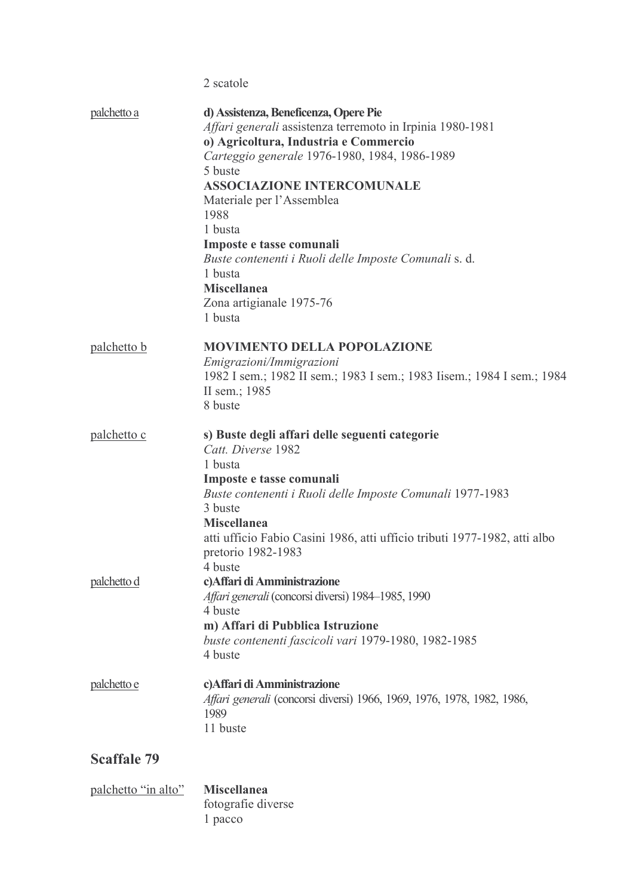2 scatole

| palchetto a        | d) Assistenza, Beneficenza, Opere Pie<br>Affari generali assistenza terremoto in Irpinia 1980-1981<br>o) Agricoltura, Industria e Commercio<br>Carteggio generale 1976-1980, 1984, 1986-1989<br>5 buste<br><b>ASSOCIAZIONE INTERCOMUNALE</b><br>Materiale per l'Assemblea<br>1988<br>1 busta<br>Imposte e tasse comunali<br>Buste contenenti i Ruoli delle Imposte Comunali s. d.<br>1 busta<br><b>Miscellanea</b><br>Zona artigianale 1975-76<br>1 busta |
|--------------------|-----------------------------------------------------------------------------------------------------------------------------------------------------------------------------------------------------------------------------------------------------------------------------------------------------------------------------------------------------------------------------------------------------------------------------------------------------------|
| palchetto b        | <b>MOVIMENTO DELLA POPOLAZIONE</b><br>Emigrazioni/Immigrazioni<br>1982 I sem.; 1982 II sem.; 1983 I sem.; 1983 Iisem.; 1984 I sem.; 1984<br>II sem.; 1985<br>8 buste                                                                                                                                                                                                                                                                                      |
| palchetto c        | s) Buste degli affari delle seguenti categorie<br>Catt. Diverse 1982<br>1 busta<br>Imposte e tasse comunali<br>Buste contenenti i Ruoli delle Imposte Comunali 1977-1983<br>3 buste<br><b>Miscellanea</b><br>atti ufficio Fabio Casini 1986, atti ufficio tributi 1977-1982, atti albo<br>pretorio 1982-1983<br>4 buste                                                                                                                                   |
| palchetto d        | c) Affari di Amministrazione<br>Affari generali (concorsi diversi) 1984–1985, 1990<br>4 buste<br>m) Affari di Pubblica Istruzione<br>buste contenenti fascicoli vari 1979-1980, 1982-1985<br>4 buste                                                                                                                                                                                                                                                      |
| palchetto e        | c) Affari di Amministrazione<br>Affari generali (concorsi diversi) 1966, 1969, 1976, 1978, 1982, 1986,<br>1989<br>11 buste                                                                                                                                                                                                                                                                                                                                |
| <b>Scaffale 79</b> |                                                                                                                                                                                                                                                                                                                                                                                                                                                           |
|                    |                                                                                                                                                                                                                                                                                                                                                                                                                                                           |

| palchetto "in alto" | <b>Miscellanea</b> |
|---------------------|--------------------|
|                     | fotografie diverse |
|                     | 1 pacco            |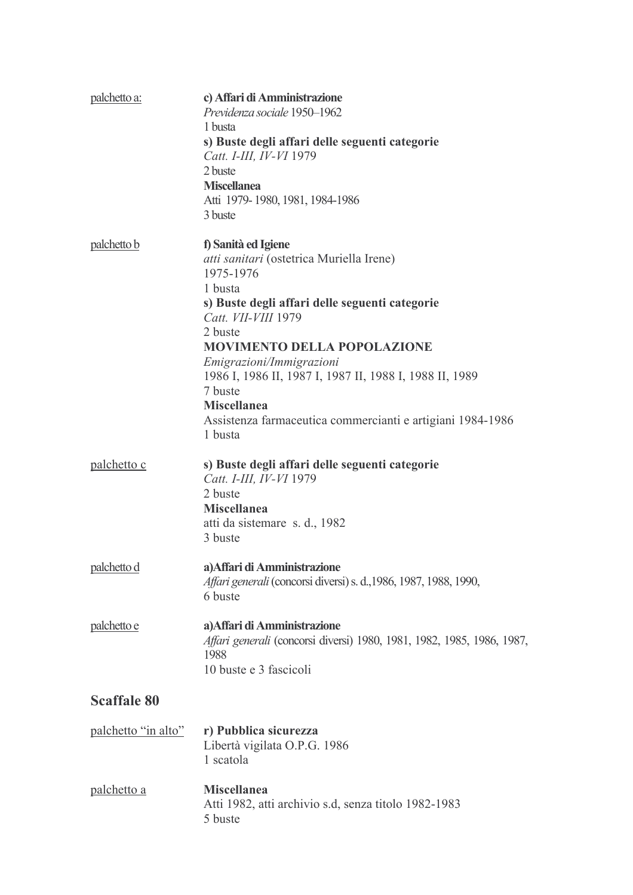| palchetto a:        | c) Affari di Amministrazione<br>Previdenza sociale 1950-1962<br>1 busta<br>s) Buste degli affari delle seguenti categorie<br>Catt. I-III, IV-VI 1979<br>2 buste<br><b>Miscellanea</b><br>Atti 1979-1980, 1981, 1984-1986<br>3 buste                                                                                                                                                                                       |
|---------------------|---------------------------------------------------------------------------------------------------------------------------------------------------------------------------------------------------------------------------------------------------------------------------------------------------------------------------------------------------------------------------------------------------------------------------|
| palchetto b         | f) Sanità ed Igiene<br><i>atti sanitari</i> (ostetrica Muriella Irene)<br>1975-1976<br>1 busta<br>s) Buste degli affari delle seguenti categorie<br>Catt. VII-VIII 1979<br>2 buste<br><b>MOVIMENTO DELLA POPOLAZIONE</b><br>Emigrazioni/Immigrazioni<br>1986 I, 1986 II, 1987 I, 1987 II, 1988 I, 1988 II, 1989<br>7 buste<br><b>Miscellanea</b><br>Assistenza farmaceutica commercianti e artigiani 1984-1986<br>1 busta |
| palchetto c         | s) Buste degli affari delle seguenti categorie<br>Catt. I-III, IV-VI 1979<br>2 buste<br><b>Miscellanea</b><br>atti da sistemare s. d., 1982<br>3 buste                                                                                                                                                                                                                                                                    |
| palchetto d         | a) Affari di Amministrazione<br>Affari generali (concorsi diversi) s. d., 1986, 1987, 1988, 1990,<br>6 buste                                                                                                                                                                                                                                                                                                              |
| palchetto e         | a) Affari di Amministrazione<br>Affari generali (concorsi diversi) 1980, 1981, 1982, 1985, 1986, 1987,<br>1988<br>10 buste e 3 fascicoli                                                                                                                                                                                                                                                                                  |
| <b>Scaffale 80</b>  |                                                                                                                                                                                                                                                                                                                                                                                                                           |
| palchetto "in alto" | r) Pubblica sicurezza<br>Libertà vigilata O.P.G. 1986<br>1 scatola                                                                                                                                                                                                                                                                                                                                                        |
| palchetto a         | <b>Miscellanea</b><br>Atti 1982, atti archivio s.d, senza titolo 1982-1983<br>5 buste                                                                                                                                                                                                                                                                                                                                     |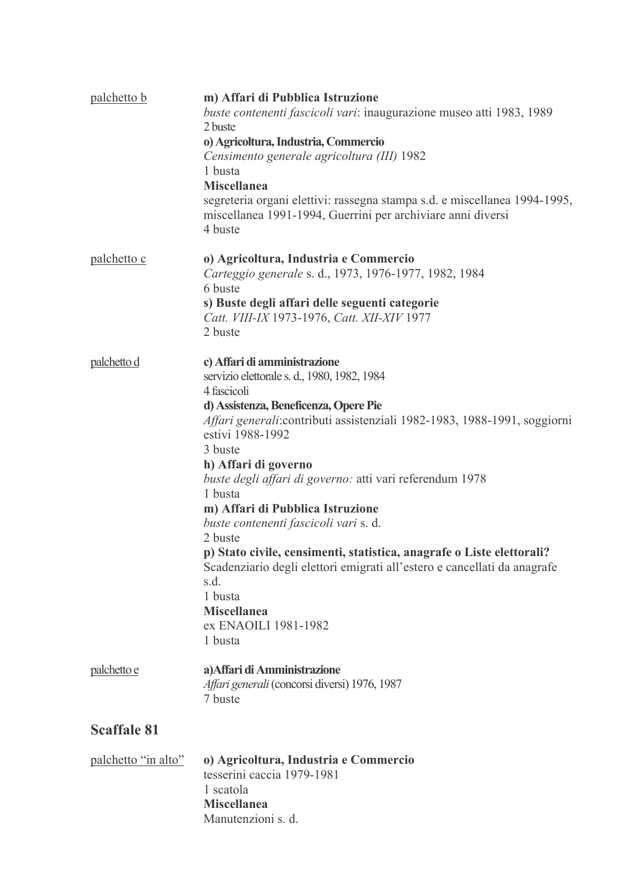| palchetto b         | m) Affari di Pubblica Istruzione<br>buste contenenti fascicoli vari: inaugurazione museo atti 1983, 1989<br>2 buste<br>o) Agricoltura, Industria, Commercio<br>Censimento generale agricoltura (III) 1982<br>1 busta<br><b>Miscellanea</b><br>segreteria organi elettivi: rassegna stampa s.d. e miscellanea 1994-1995,<br>miscellanea 1991-1994, Guerrini per archiviare anni diversi<br>4 buste                                                                                                                                                                                                                                                                       |
|---------------------|-------------------------------------------------------------------------------------------------------------------------------------------------------------------------------------------------------------------------------------------------------------------------------------------------------------------------------------------------------------------------------------------------------------------------------------------------------------------------------------------------------------------------------------------------------------------------------------------------------------------------------------------------------------------------|
| palchetto c         | o) Agricoltura, Industria e Commercio<br>Carteggio generale s. d., 1973, 1976-1977, 1982, 1984<br>6 buste<br>s) Buste degli affari delle seguenti categorie<br>Catt. VIII-IX 1973-1976, Catt. XII-XIV 1977<br>2 buste                                                                                                                                                                                                                                                                                                                                                                                                                                                   |
| palchetto d         | c) Affari di amministrazione<br>servizio elettorale s. d., 1980, 1982, 1984<br>4 fascicoli<br>d) Assistenza, Beneficenza, Opere Pie<br>Affari generali: contributi assistenziali 1982-1983, 1988-1991, soggiorni<br>estivi 1988-1992<br>3 buste<br>h) Affari di governo<br>buste degli affari di governo: atti vari referendum 1978<br>1 busta<br>m) Affari di Pubblica Istruzione<br>buste contenenti fascicoli vari s. d.<br>2 buste<br>p) Stato civile, censimenti, statistica, anagrafe o Liste elettorali?<br>Scadenziario degli elettori emigrati all'estero e cancellati da anagrafe<br>s.d.<br>1 busta<br><b>Miscellanea</b><br>ex ENAOILI 1981-1982<br>1 busta |
| palchetto e         | a) Affari di Amministrazione<br>Affari generali (concorsi diversi) 1976, 1987<br>7 buste                                                                                                                                                                                                                                                                                                                                                                                                                                                                                                                                                                                |
| <b>Scaffale 81</b>  |                                                                                                                                                                                                                                                                                                                                                                                                                                                                                                                                                                                                                                                                         |
| palchetto "in alto" | o) Agricoltura, Industria e Commercio<br>tesserini caccia 1979-1981<br>1 scatola<br><b>Miscellanea</b><br>Manutenzioni s. d.                                                                                                                                                                                                                                                                                                                                                                                                                                                                                                                                            |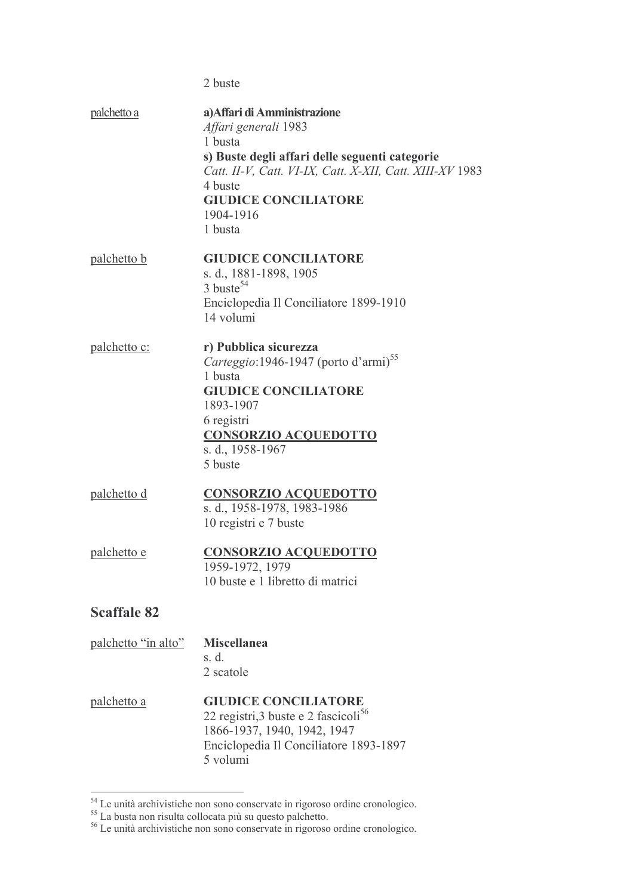|                     | 2 buste                                                                                                                                                                                                                                         |
|---------------------|-------------------------------------------------------------------------------------------------------------------------------------------------------------------------------------------------------------------------------------------------|
| palchetto a         | a) Affari di Amministrazione<br>Affari generali 1983<br>1 busta<br>s) Buste degli affari delle seguenti categorie<br>Catt. II-V, Catt. VI-IX, Catt. X-XII, Catt. XIII-XV 1983<br>4 buste<br><b>GIUDICE CONCILIATORE</b><br>1904-1916<br>1 busta |
| palchetto b         | <b>GIUDICE CONCILIATORE</b><br>s. d., 1881-1898, 1905<br>$3$ buste <sup>54</sup><br>Enciclopedia Il Conciliatore 1899-1910<br>14 volumi                                                                                                         |
| <u>palchetto c:</u> | r) Pubblica sicurezza<br>Carteggio: 1946-1947 (porto d'armi) <sup>55</sup><br>1 busta<br><b>GIUDICE CONCILIATORE</b><br>1893-1907<br>6 registri<br><b>CONSORZIO ACQUEDOTTO</b><br>s. d., 1958-1967<br>5 buste                                   |
| <u>palchetto d</u>  | <b>CONSORZIO ACQUEDOTTO</b><br>s. d., 1958-1978, 1983-1986<br>10 registri e 7 buste                                                                                                                                                             |
| <u>palchetto e</u>  | <b>CONSORZIO ACQUEDOTTO</b><br>1959-1972, 1979<br>10 buste e 1 libretto di matrici                                                                                                                                                              |
| <b>Scaffale 82</b>  |                                                                                                                                                                                                                                                 |
| palchetto "in alto" | <b>Miscellanea</b><br>s. d.<br>2 scatole                                                                                                                                                                                                        |
| palchetto a         | <b>GIUDICE CONCILIATORE</b><br>22 registri, 3 buste e 2 fascicoli <sup>56</sup><br>1866-1937, 1940, 1942, 1947<br>Enciclopedia Il Conciliatore 1893-1897<br>5 volumi                                                                            |

Le unità archivistiche non sono conservate in rigoroso ordine cronologico.<br>  $55$  La busta non risulta collocata più su questo palchetto.<br>  $56$  Le unità archivistiche non sono conservate in rigoroso ordine cronologico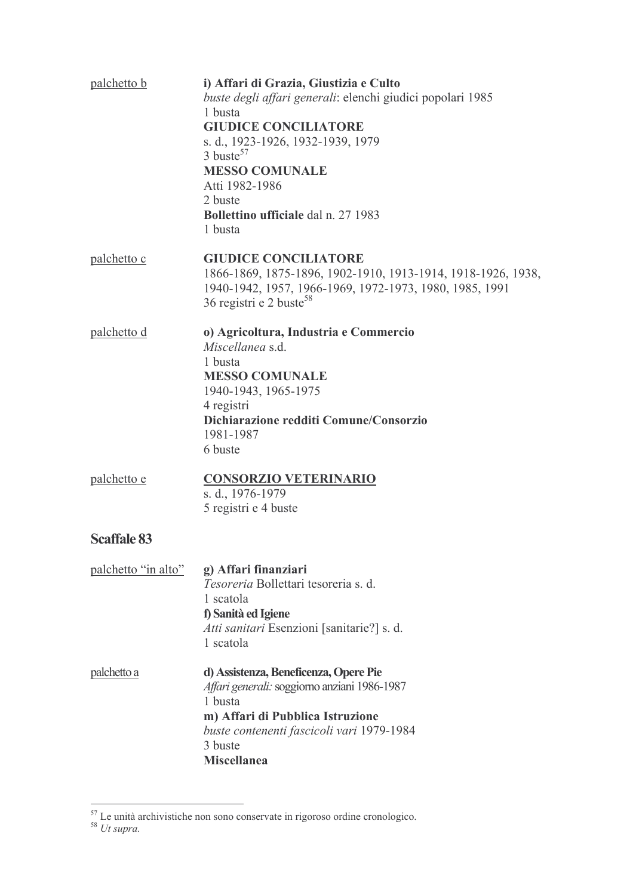| palchetto b         | i) Affari di Grazia, Giustizia e Culto<br>buste degli affari generali: elenchi giudici popolari 1985<br>1 busta<br><b>GIUDICE CONCILIATORE</b><br>s. d., 1923-1926, 1932-1939, 1979<br>$3 \text{ burste}^{57}$<br><b>MESSO COMUNALE</b><br>Atti 1982-1986<br>2 buste<br><b>Bollettino ufficiale</b> dal n. 27 1983<br>1 busta |
|---------------------|-------------------------------------------------------------------------------------------------------------------------------------------------------------------------------------------------------------------------------------------------------------------------------------------------------------------------------|
| palchetto c         | <b>GIUDICE CONCILIATORE</b><br>1866-1869, 1875-1896, 1902-1910, 1913-1914, 1918-1926, 1938,<br>1940-1942, 1957, 1966-1969, 1972-1973, 1980, 1985, 1991<br>36 registri e 2 buste <sup>58</sup>                                                                                                                                 |
| palchetto d         | o) Agricoltura, Industria e Commercio<br>Miscellanea s.d.<br>1 busta<br><b>MESSO COMUNALE</b><br>1940-1943, 1965-1975<br>4 registri<br>Dichiarazione redditi Comune/Consorzio<br>1981-1987<br>6 buste                                                                                                                         |
| palchetto e         | <b>CONSORZIO VETERINARIO</b><br>s. d., 1976-1979<br>5 registri e 4 buste                                                                                                                                                                                                                                                      |
| <b>Scaffale 83</b>  |                                                                                                                                                                                                                                                                                                                               |
| palchetto "in alto" | g) Affari finanziari<br>Tesoreria Bollettari tesoreria s. d.<br>1 scatola<br>f) Sanità ed Igiene<br>Atti sanitari Esenzioni [sanitarie?] s. d.<br>1 scatola                                                                                                                                                                   |
| palchetto a         | d) Assistenza, Beneficenza, Opere Pie<br>Affari generali: soggiorno anziani 1986-1987<br>1 busta<br>m) Affari di Pubblica Istruzione<br>buste contenenti fascicoli vari 1979-1984<br>3 buste<br><b>Miscellanea</b>                                                                                                            |

 $rac{57}{100}$  Le unità archivistiche non sono conservate in rigoroso ordine cronologico.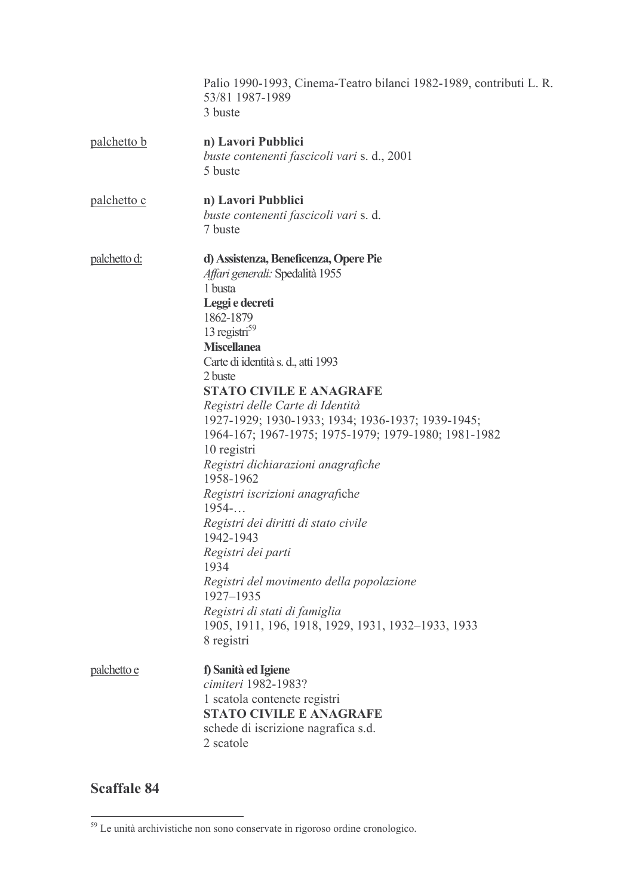|                     | Palio 1990-1993, Cinema-Teatro bilanci 1982-1989, contributi L. R.<br>53/81 1987-1989<br>3 buste                                                                                                                                                                                                                                                                                                                                                                                                                                                                                                                                                                                                                                                                         |
|---------------------|--------------------------------------------------------------------------------------------------------------------------------------------------------------------------------------------------------------------------------------------------------------------------------------------------------------------------------------------------------------------------------------------------------------------------------------------------------------------------------------------------------------------------------------------------------------------------------------------------------------------------------------------------------------------------------------------------------------------------------------------------------------------------|
| palchetto b         | n) Lavori Pubblici<br>buste contenenti fascicoli vari s. d., 2001<br>5 buste                                                                                                                                                                                                                                                                                                                                                                                                                                                                                                                                                                                                                                                                                             |
| <u>palchetto c</u>  | n) Lavori Pubblici<br>buste contenenti fascicoli vari s. d.<br>7 buste                                                                                                                                                                                                                                                                                                                                                                                                                                                                                                                                                                                                                                                                                                   |
| <u>palchetto d:</u> | d) Assistenza, Beneficenza, Opere Pie<br>Affari generali: Spedalità 1955<br>1 busta<br>Leggi e decreti<br>1862-1879<br>13 registri <sup>59</sup><br><b>Miscellanea</b><br>Carte di identità s. d., atti 1993<br>2 buste<br><b>STATO CIVILE E ANAGRAFE</b><br>Registri delle Carte di Identità<br>1927-1929; 1930-1933; 1934; 1936-1937; 1939-1945;<br>1964-167; 1967-1975; 1975-1979; 1979-1980; 1981-1982<br>10 registri<br>Registri dichiarazioni anagrafiche<br>1958-1962<br>Registri iscrizioni anagrafiche<br>1954<br>Registri dei diritti di stato civile<br>1942-1943<br>Registri dei parti<br>1934<br>Registri del movimento della popolazione<br>1927-1935<br>Registri di stati di famiglia<br>1905, 1911, 196, 1918, 1929, 1931, 1932–1933, 1933<br>8 registri |
| palchetto e         | f) Sanità ed Igiene<br>cimiteri 1982-1983?<br>1 scatola contenete registri<br><b>STATO CIVILE E ANAGRAFE</b><br>schede di iscrizione nagrafica s.d.<br>2 scatole                                                                                                                                                                                                                                                                                                                                                                                                                                                                                                                                                                                                         |

**Scaffale 84** 

 $rac{1}{2}$ <br><sup>59</sup> Le unità archivistiche non sono conservate in rigoroso ordine cronologico.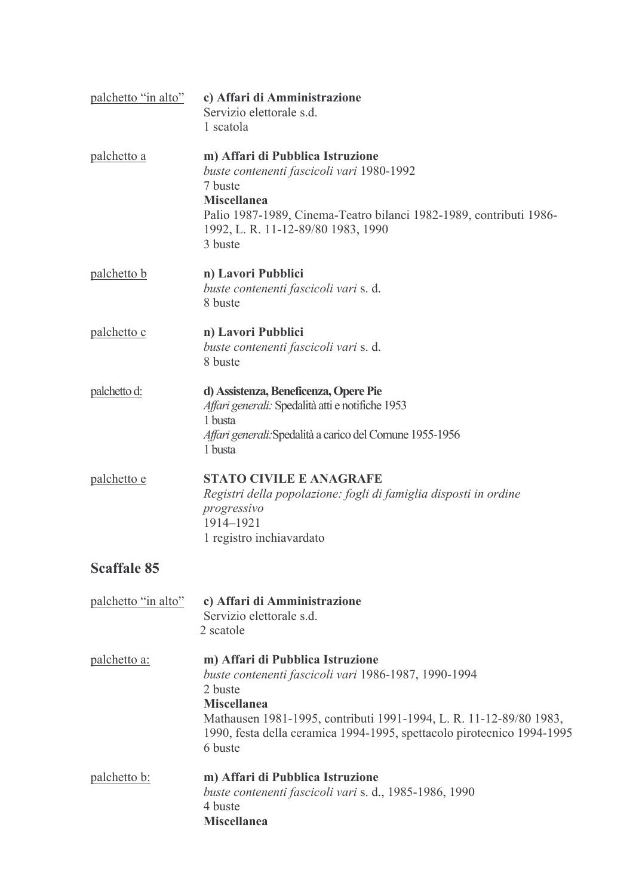| palchetto "in alto" | c) Affari di Amministrazione<br>Servizio elettorale s.d.<br>1 scatola                                                                                                                                                                                                                |
|---------------------|--------------------------------------------------------------------------------------------------------------------------------------------------------------------------------------------------------------------------------------------------------------------------------------|
| palchetto a         | m) Affari di Pubblica Istruzione<br>buste contenenti fascicoli vari 1980-1992<br>7 buste<br><b>Miscellanea</b><br>Palio 1987-1989, Cinema-Teatro bilanci 1982-1989, contributi 1986-<br>1992, L. R. 11-12-89/80 1983, 1990<br>3 buste                                                |
| palchetto b         | n) Lavori Pubblici<br>buste contenenti fascicoli vari s. d.<br>8 buste                                                                                                                                                                                                               |
| palchetto c         | n) Lavori Pubblici<br>buste contenenti fascicoli vari s. d.<br>8 buste                                                                                                                                                                                                               |
| palchetto d:        | d) Assistenza, Beneficenza, Opere Pie<br>Affari generali: Spedalità atti e notifiche 1953<br>1 busta<br>Affari generali: Spedalità a carico del Comune 1955-1956<br>1 busta                                                                                                          |
| palchetto e         | <b>STATO CIVILE E ANAGRAFE</b><br>Registri della popolazione: fogli di famiglia disposti in ordine<br>progressivo<br>1914-1921<br>1 registro inchiavardato                                                                                                                           |
| <b>Scaffale 85</b>  |                                                                                                                                                                                                                                                                                      |
| palchetto "in alto" | c) Affari di Amministrazione<br>Servizio elettorale s.d.<br>2 scatole                                                                                                                                                                                                                |
| palchetto a:        | m) Affari di Pubblica Istruzione<br>buste contenenti fascicoli vari 1986-1987, 1990-1994<br>2 buste<br><b>Miscellanea</b><br>Mathausen 1981-1995, contributi 1991-1994, L. R. 11-12-89/80 1983,<br>1990, festa della ceramica 1994-1995, spettacolo pirotecnico 1994-1995<br>6 buste |
| <u>palchetto b:</u> | m) Affari di Pubblica Istruzione<br>buste contenenti fascicoli vari s. d., 1985-1986, 1990<br>4 buste<br><b>Miscellanea</b>                                                                                                                                                          |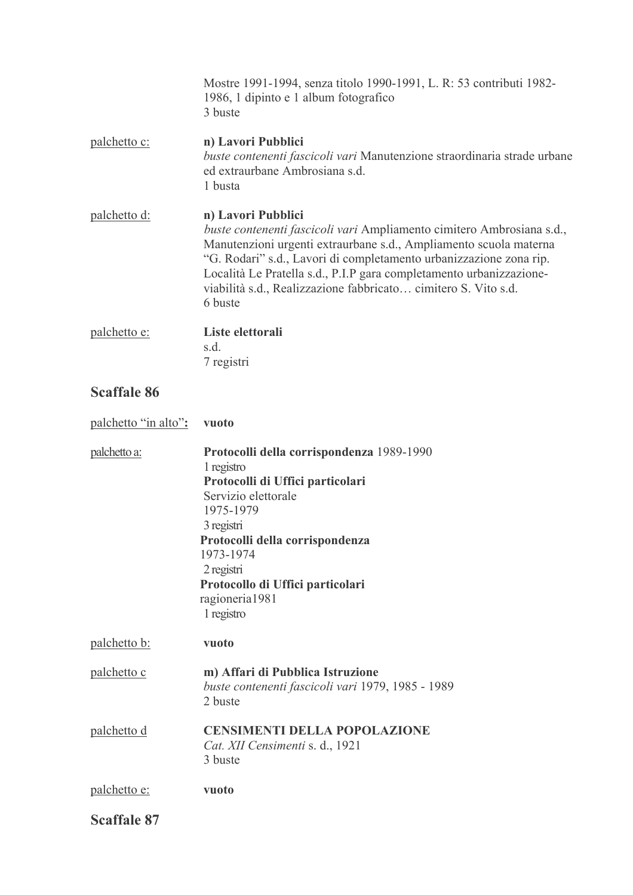|                      | Mostre 1991-1994, senza titolo 1990-1991, L. R: 53 contributi 1982-<br>1986, 1 dipinto e 1 album fotografico<br>3 buste                                                                                                                                                                                                                                                                    |
|----------------------|--------------------------------------------------------------------------------------------------------------------------------------------------------------------------------------------------------------------------------------------------------------------------------------------------------------------------------------------------------------------------------------------|
| palchetto c:         | n) Lavori Pubblici<br>buste contenenti fascicoli vari Manutenzione straordinaria strade urbane<br>ed extraurbane Ambrosiana s.d.<br>1 busta                                                                                                                                                                                                                                                |
| palchetto d:         | n) Lavori Pubblici<br>buste contenenti fascicoli vari Ampliamento cimitero Ambrosiana s.d.,<br>Manutenzioni urgenti extraurbane s.d., Ampliamento scuola materna<br>"G. Rodari" s.d., Lavori di completamento urbanizzazione zona rip.<br>Località Le Pratella s.d., P.I.P gara completamento urbanizzazione-<br>viabilità s.d., Realizzazione fabbricato cimitero S. Vito s.d.<br>6 buste |
| palchetto e:         | Liste elettorali<br>s.d.<br>7 registri                                                                                                                                                                                                                                                                                                                                                     |
| <b>Scaffale 86</b>   |                                                                                                                                                                                                                                                                                                                                                                                            |
| palchetto "in alto": | vuoto                                                                                                                                                                                                                                                                                                                                                                                      |
| palchetto a:         | Protocolli della corrispondenza 1989-1990<br>1 registro<br>Protocolli di Uffici particolari<br>Servizio elettorale<br>1975-1979<br>3 registri<br>Protocolli della corrispondenza<br>1973-1974<br>2 registri<br>Protocollo di Uffici particolari<br>ragioneria1981<br>1 registro                                                                                                            |
| palchetto b:         | vuoto                                                                                                                                                                                                                                                                                                                                                                                      |
| palchetto c          | m) Affari di Pubblica Istruzione<br>buste contenenti fascicoli vari 1979, 1985 - 1989<br>2 buste                                                                                                                                                                                                                                                                                           |
| palchetto d          | <b>CENSIMENTI DELLA POPOLAZIONE</b><br>Cat. XII Censimenti s. d., 1921<br>3 buste                                                                                                                                                                                                                                                                                                          |
| palchetto e:         | vuoto                                                                                                                                                                                                                                                                                                                                                                                      |
| <b>Scaffale 87</b>   |                                                                                                                                                                                                                                                                                                                                                                                            |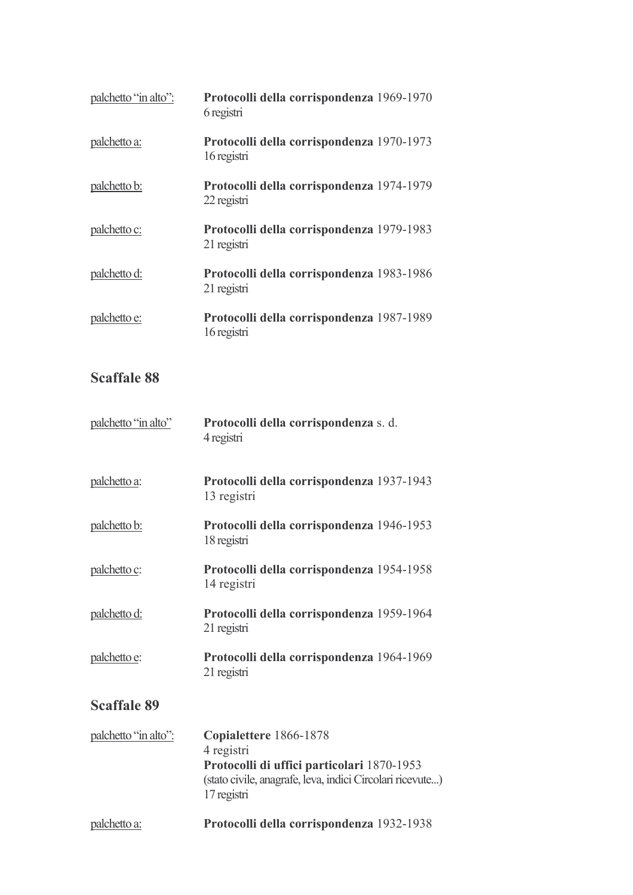| palchetto "in alto": | Protocolli della corrispondenza 1969-1970<br>6 registri  |
|----------------------|----------------------------------------------------------|
| palchetto a:         | Protocolli della corrispondenza 1970-1973<br>16 registri |
| palchetto b:         | Protocolli della corrispondenza 1974-1979<br>22 registri |
| palchetto c:         | Protocolli della corrispondenza 1979-1983<br>21 registri |
| palchetto d:         | Protocolli della corrispondenza 1983-1986<br>21 registri |
| palchetto e:         | Protocolli della corrispondenza 1987-1989<br>16 registri |

## **Scaffale 88**

| palchetto "in alto" | Protocolli della corrispondenza s. d.<br>4 registri      |  |
|---------------------|----------------------------------------------------------|--|
| palchetto a:        | Protocolli della corrispondenza 1937-1943<br>13 registri |  |
| <u>palchetto b:</u> | Protocolli della corrispondenza 1946-1953<br>18 registri |  |
| palchetto c:        | Protocolli della corrispondenza 1954-1958<br>14 registri |  |
| palchetto d:        | Protocolli della corrispondenza 1959-1964<br>21 registri |  |
| palchetto e:        | Protocolli della corrispondenza 1964-1969<br>21 registri |  |
| <b>Scaffale 89</b>  |                                                          |  |

| palchetto "in alto": | Copialettere 1866-1878                                                                                                 |
|----------------------|------------------------------------------------------------------------------------------------------------------------|
|                      | 4 registri                                                                                                             |
|                      | Protocolli di uffici particolari 1870-1953<br>(stato civile, anagrafe, leva, indici Circolari ricevute)<br>17 registri |
| palchetto a:         | Protocolli della corrispondenza 1932-1938                                                                              |